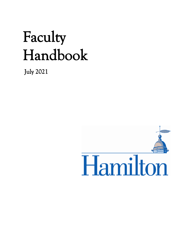# Faculty Handbook

July 2021

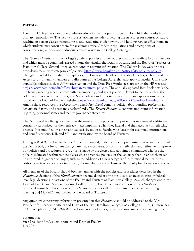#### PREFACE

Hamilton College provides undergraduates education in an open curriculum, for which the faculty have primary responsibility. The faculty's role as teachers includes providing the structures for courses of study, teaching in-person classes, responding to and evaluating student work, and holding regular office hours in which students may consult them for academic advice. Academic regulations and descriptions of concentrations, minors, and individual courses reside in the College Catalogue.

The *Faculty Handbook* is the College's guide to policies and procedures that directly affect faculty members and which must be commonly agreed among the Faculty, the Dean of Faculty, and the Board of Trustees of Hamilton College. Several other sources contain relevant information. The College Policy website has a drop-down menu with categories of policies:<https://www.hamilton.edu/offices/afs/policies/policies> . Though intended for non-faculty employees, the Employee Handbook describes benefits, such as Facilities Access cards for family members and discounts at the College Store, that also apply to faculty. Universally applicable policies, such as Affirmative Action and the Drug-Free Workplace, appear on the HR website: [https://www.hamilton.edu/offices/human-resources/policies.](https://www.hamilton.edu/offices/human-resources/policies) The annually updated Red Book details the the faculty meeting schedule, committee membership, and select policies relevant to faculty, such as the voluntary phased retirement program. Many policies and links to request forms and applications can be found on the Dean of Faculty's website: <https://www.hamilton.edu/offices/dof/handbooks-and-forms> . Among those resources, the *Department Chair Handbook* contains policies about funding professional activity, field trips, and accessing speaker funds. The *Faculty Handbook* contains important information regarding personnel issues and faculty governance structures.

The *Handbook* is a living document, in the sense that the policies and procedures represented within are constantly scrutinized for their efficacy in accomplishing what they intend and their accuracy in reflecting practice. It is modified on a near-annual basis by required Faculty vote (except for exempted informational and benefit sections, I, II, and VIII) and ratification by the Board of Trustees.

During 2007–09, the Faculty, led by Academic Council, undertook a comprehensive review and revision of the *Handbook*, but important changes are made most years, as continual reflection and refinement improve our policies and procedures. Every effort is made by the elected and appointed committees who use the policies delineated within to note places where practices, policies, or the language that describes them can be improved. Significant changes, such as the addition of a new category of instructional faculty in this edition, can take several years to prepare, discuss, draft, vet, and bring to the faculty for discussion and vote.

All members of the Faculty should become familiar with the policies and procedures described in the Handbook. Sections of the Handbook may become dated at any time, due to changes in state or federal laws, legal decisions, or actions of the Faculty and Trustees of Hamilton College. As such changes occur, the Dean of Faculty and Academic Council will notify the Faculty; a revised edition of the *Handbook* is produced annually. This edition of the *Handbook* includes all changes passed by the faculty through its meeting of 4 May 2021 and ratified by the Board of Trustees.

Any questions concerning information presented in this *Handbook* should be addressed to the Vice President for Academic Affairs and Dean of Faculty, Hamilton College, 198 College Hill Rd., Clinton, NY 13323; telephone: (315) 859-4601. I welcome notice of errors, omissions, inaccuracies, and ambiguities.

Suzanne Keen Vice President for Academic Affairs and Dean of Faculty July 2021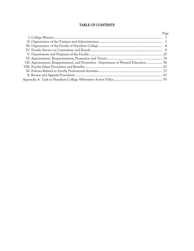# TABLE OF CONTENTS

|                                                                                       | Page |
|---------------------------------------------------------------------------------------|------|
|                                                                                       |      |
|                                                                                       |      |
|                                                                                       |      |
|                                                                                       |      |
|                                                                                       |      |
|                                                                                       |      |
| VII. Appointment, Reappointment, and Promotion - Department of Physical Education  56 |      |
|                                                                                       |      |
|                                                                                       |      |
|                                                                                       |      |
|                                                                                       |      |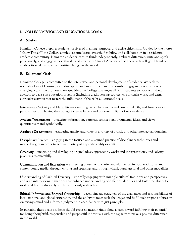# I. COLLEGE MISSION AND EDUCATIONAL GOALS

# A. Mission

Hamilton College prepares students for lives of meaning, purpose, and active citizenship. Guided by the motto "Know Thyself," the College emphasizes intellectual growth, flexibility, and collaboration in a residential academic community. Hamilton students learn to think independently, embrace difference, write and speak persuasively, and engage issues ethically and creatively. One of America's first liberal arts colleges, Hamilton enables its students to effect positive change in the world.

# B. Educational Goals

Hamilton College is committed to the intellectual and personal development of students. We seek to nourish a love of learning, a creative spirit, and an informed and responsible engagement with an everchanging world. To promote these qualities, the College challenges all of its students to work with their advisors to devise an education program (including credit-bearing courses, co-curricular work, and extracurricular activity) that fosters the fulfillment of the eight educational goals:

Intellectual Curiosity and Flexibility — examining facts, phenomena and issues in depth, and from a variety of perspectives, and having the courage to revise beliefs and outlooks in light of new evidence.

Analytic Discernment — analyzing information, patterns, connections, arguments, ideas, and views quantitatively and symbolically.

Aesthetic Discernment – evaluating quality and value in a variety of artistic and other intellectual domains.

Disciplinary Practice – engaging in the focused and sustained practice of disciplinary techniques and methodologies in order to acquire mastery of a specific ability or craft.

Creativity — imagining and developing original ideas, approaches, works and interpretations, and solving problems resourcefully.

Communication and Expression — expressing oneself with clarity and eloquence, in both traditional and contemporary media, through writing and speaking, and through visual, aural, gestural and other modalities.

Understanding of Cultural Diversity – critically engaging with multiple cultural traditions and perspectives, and with interpersonal situations that enhance understanding of different identities and foster the ability to work and live productively and harmoniously with others.

Ethical, Informed and Engaged Citizenship — developing an awareness of the challenges and responsibilities of local, national and global citizenship, and the ability to meet such challenges and fulfill such responsibilities by exercising sound and informed judgment in accordance with just principles.

In pursuing these goals, students should progress meaningfully along a path toward fulfilling their potential for being thoughtful, responsible and purposeful individuals with the capacity to make a positive difference in the world.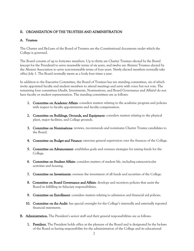# II. ORGANIZATION OF THE TRUSTEES AND ADMINISTRATION

# A. Trustees

The Charter and By-Laws of the Board of Trustees are the Constitutional documents under which the College is governed.

The Board consists of up to forty-two members. Up to thirty are Charter Trustees elected by the Board (except for the President) to serve renewable terms of six years, and twelve are Alumni Trustees elected by the Alumni Association to serve non-renewable terms of four years. Newly elected members normally take office July 1. The Board normally meets as a body four times a year.

In addition to the Executive Committee, the Board of Trustees has ten standing committees, six of which invite appointed faculty and student members to attend meetings and serve with voice but not vote. The remaining four committees (Audit, Investments, Nominations, and Board Governance and Affairs) do not have faculty or student representation. The standing committees are as follows:

- 1. Committee on Academic Affairs: considers matters relating to the academic program and policies with respect to faculty appointments and faculty compensation.
- 2. Committee on Buildings, Grounds, and Equipment: considers matters relating to the physical plant, major facilities, and College grounds.
- 3. Committee on Nominations: reviews, recommends and nominates Charter Trustee candidates to the Board.
- 4. Committee on Budget and Finance: exercises general supervision over the finances of the College.
- 5. Committee on Advancement: establishes goals and oversees strategies for raising funds for the College.
- 6. Committee on Student Affairs: considers matters of student life, including extracurricular activities and housing.
- 7. Committee on Investments: oversees the investment of all funds and securities of the College.
- 8. Committee on Board Governance and Affairs: develops and monitors policies that assist the Board in fulfilling its fiduciary responsibilities.
- 9. Committee on Enrollment: considers matters relating to admission and financial aid policies.
- 10. Committee on the Audit: has special oversight for the College's internally and externally reported financial statements.
- B. Administration. The President's senior staff and their general responsibilities are as follows:
	- **1. President.** The President holds office at the pleasure of the Board and is designated by the by-laws of the Board as having responsibility for the administration of the College and its educational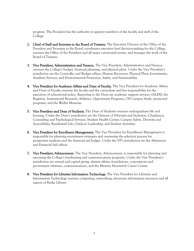program. The President has the authority to appoint members of the faculty and staff of the College.

- 2. Chief of Staff and Secretary to the Board of Trustees. The Executive Director of the Office of the President and Secretary to the Board coordinates executive level decision-making for the College, oversees the Office of the President and all major ceremonial events, and manages the work of the Board of Trustees.
- 3. Vice President, Administration and Finance. The Vice President, Administration and Finance, oversees the College's budget, financial planning, and physical plant. Under the Vice President's jurisdiction are the Controller and Budget offices, Human Resources, Physical Plant, Investments, Auxiliary Services, and Environmental Protection, Safety, and Sustainability.
- 4. Vice President for Academic Affairs and Dean of Faculty. The Vice President for Academic Affairs and Dean of Faculty oversees the faculty and the curriculum and has responsibility for the execution of educational policy. Reporting to the Dean are academic support services, (ALEX), the Registrar, Institutional Research, Athletics, Opportunity Programs, Off Campus Study, sponsored programs, and the Wellin Museum.
- 5. Vice President and Dean of Students. The Dean of Students oversees undergraduate life and housing. Under the Dean's jurisdiction are the Director of Diversity and Inclusion, Chaplaincy, Counseling and Psychological Services, Student Health Center, Campus Safety, Diversity and Accessibility, Residential Life, Outdoor Leadership, and Student Activities.
- 6. Vice President for Enrollment Management. The Vice President for Enrollment Management is responsible for planning recruitment strategies and overseeing the selection process for prospective students and the financial aid budget. Under the VP's jurisdiction are the Admission and Financial Aid offices.
- **7. Vice President, Advancement.** The Vice President, Advancement, is responsible for planning and executing the College's fundraising and communications programs. Under the Vice President's jurisdiction are annual and capital giving, alumni affairs, foundations, corporations and government relations, communications, and the Maurice Horowitch Career Center.
- 8. Vice President for Libraries Information Technology. The Vice President for Libraries and Information Technology oversees computing, networking, electronic information resources and all aspects of Burke Library.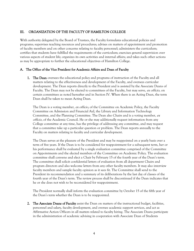# III. ORGANIZATION OF THE FACULTY OF HAMILTON COLLEGE

With authority delegated by the Board of Trustees, the Faculty formulates educational policies and programs; supervises teaching resources and procedures; advises on matters of appointment and promotion of faculty members and on other concerns relating to faculty personnel; administers the curriculum; certifies that students have fulfilled the requirements of the curriculum; exercises general supervision over various aspects of student life; organizes its own activities and internal affairs; and takes such other actions as may be appropriate to further the educational objectives of Hamilton College.

# A. The Office of the Vice President for Academic Affairs and Dean of Faculty

**1.** The Dean oversees the educational policy and programs of instruction of the Faculty and all matters relating to the effectiveness and development of the Faculty, and oversees curricular development. The Dean reports directly to the President and is assisted by the Associate Deans of Faculty. The Dean may not be elected to committees of the Faculty, but may serve, ex officio, on certain committees as noted hereafter and in Section IV. When there is an Acting Dean, the term Dean shall be taken to mean Acting Dean.

The Dean is a voting member, ex officio, of the Committee on Academic Policy, the Faculty Committee on Admission and Financial Aid, the Library and Information Technology Committee, and the Planning Committee. The Dean also Chairs and is a voting member, ex *officio*, of the Academic Council. He or she may additionally request information from any College committee at any time, has the privilege of addressing any committee, and may request that a committee take up a particular question or problem. The Dean reports annually to the Faculty on matters relating to faculty and curricular development.

The Dean serves at the pleasure of the President and may be reappointed on a yearly basis over a term of five years. If the Dean is to be considered for reappointment for a subsequent term, her or his performance shall be evaluated by a single evaluation committee comprised of the Committee on Appointments and the elected members of the Committee on Academic Policy. The evaluation committee shall convene and elect a Chair by February 15 of the fourth year of the Dean's term. The committee shall solicit confidential letters of evaluation from all department Chairs and program directors and also welcome letters from any other faculty members. It may also interview faculty members and sample faculty opinion as it sees fit. The Committee shall send to the President its recommendation and a summary of its deliberations by the last day of classes of the fourth year of the Dean's term. The review process shall be discontinued if the Dean indicates that he or she does not wish to be reconsidered for reappointment.

The President normally shall inform the evaluation committee by October 15 of the fifth year of the Dean's term whether the Dean is to be reappointed.

2. The Associate Deans of Faculty assist the Dean on matters of the instructional budget, facilities, personnel and salary, faculty development, and oversee academic support services, and act as Affirmative Action Officers in all matters related to faculty hiring. The Associate Deans participate in the administration of academic advising in cooperation with Associate Dean of Students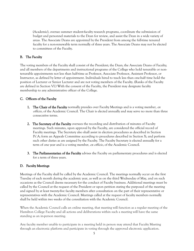(Academic), oversee summer student-faculty research programs, coordinate the submission of budget and personnel materials to the Dean for review, and assist the Dean in a wide variety of areas. The Associate Deans are appointed by the President from among the full-time tenured faculty for a non-renewable term normally of three years. The Associate Deans may not be elected to committees of the Faculty.

# B. The Faculty

The voting members of the Faculty shall consist of the President; the Dean; the Associate Deans of Faculty; and all members of the departments and instructional programs of the College who hold tenurable or nontenurable appointments not less than half-time as Professor, Associate Professor, Assistant Professor, or Instructor, as defined by letter of appointment. Individuals hired to teach less than one-half time hold the position of Lecturer or Senior Lecturer and are not voting members of the Faculty. (Ranks of the Faculty are defined in Section VI.) With the consent of the Faculty, the President may designate faculty membership to any administrative officer of the College.

# C. Officers of the Faculty

- 1. The Chair of the Faculty normally presides over Faculty Meetings and is a voting member, ex officio, of the Academic Council. The Chair is elected annually and may serve no more than three consecutive terms.
- 2. The Secretary of the Faculty oversees the recording and distribution of minutes of Faculty meetings. Such minutes, upon approval by the Faculty, are considered the official record of Faculty meetings. The Secretary also shall assist in election procedures as described in Section IV.A; form an Appeals Committee according to procedures described in Section X; and perform such other duties as are assigned by the Faculty. The Faculty Secretary is elected annually for a term of one year and is a voting member, ex officio, of the Academic Council.
- 3. The Parliamentarian of the Faculty advises the Faculty on parliamentary procedures and is elected for a term of three years.

# D. Faculty Meetings

Meetings of the Faculty shall be called by the Academic Council. The meetings normally occur on the first Tuesday of each month during the academic year, as well as on the third Wednesday of May, and on such occasions as the Council deems necessary for the conduct of Faculty business. Additional meetings must be called by the Council at the request of the President or upon petition stating the purposed of the meeting and signed by at least twenty-five faculty members after consultation on the part of their representative or representatives with the Academic Council. Meetings called at the request of faculty members normally shall be held within two weeks of the consultation with the Academic Council.

When the Academic Council calls an online meeting, that meeting will function as a regular meeting of the Hamilton College Faculty and all actions and deliberations within such a meeting will have the same standing as an in-person meeting.

Any faculty member unable to participate in a meeting held in person may attend that Faculty Meeting through an electronic platform and participate in voting through the approved electronic application.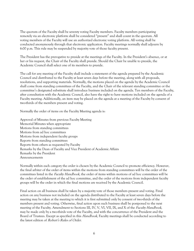The quorum of the Faculty shall be seventy voting Faculty members. Faculty members participating remotely via an electronic platform shall be considered "present" and shall count in the quorum. All voting members of the Faculty will use an authorized electronic voting platform. All voting shall be conducted anonymously through that electronic application. Faculty meetings normally shall adjourn by 6:00 p.m. This rule may be suspended by majority vote of those faculty present.

The President has the prerogative to preside at the meetings of the Faculty. In the President's absence, or at her or his request, the Chair of the Faculty shall preside. Should the Chair be unable to preside, the Academic Council shall select one of its members to preside.

The call for any meeting of the Faculty shall include a statement of the agenda prepared by the Academic Council and distributed to the Faculty at least seven days before the meeting, along with all proposals, resolutions, and supporting materials. Normally, the motions placed on the agenda by the Academic Council shall come from standing committees of the Faculty, and the Chair of the relevant standing committee or the committee's designated substitute shall introduce business included on the agenda. Ten members of the Faculty, after consultation with the Academic Council, also have the right to have motions included on the agenda of a Faculty meeting. Additionally, an item may be placed on the agenda at a meeting of the Faculty by consent of two-thirds of the members present and voting.

Normally the order of items on the Faculty Meeting agenda is:

Approval of Minutes from previous Faculty Meeting Memorial Minutes when appropriate Motions from standing committees Motions from ad hoc committees Motions from independent faculty groups Reports from standing committees Reports from others as requested by Faculty Remarks by the Dean of Faculty and Vice President of Academic Affairs Remarks by the President Announcements

Normally within each category the order is chosen by the Academic Council to promote efficiency. However, the final arbiter of the order of items within the motions from standing committees will be the order of the committees listed in the Faculty Handbook, the order of items within motions of ad hoc committees will be the order of establishment of the ad hoc committee, and the order of the motions from independent faculty groups will be the order in which the final motions are received by the Academic Council.

Final action on all business shall be taken by a majority vote of those members present and voting. Final action on any business not included on the agenda distributed to the Faculty at least seven days before the meeting may be taken at the meeting to which it is first submitted only by consent of two-thirds of the members present and voting. Otherwise, final action upon such business shall be postponed to the next meeting of the Faculty. Amendment to Sections III, IV, V, VI, VII, IX, and X of the *Faculty Handbook*, may be made only by a two-thirds vote of the Faculty, and with the concurrence of the President and the Board of Trustees. Except as specified in this *Handbook*, Faculty meetings shall be conducted according to the latest edition of Robert's Rules of Order.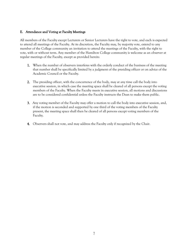#### E. Attendance and Voting at Faculty Meetings

All members of the Faculty except Lecturers or Senior Lecturers have the right to vote, and each is expected to attend all meetings of the Faculty. At its discretion, the Faculty may, by majority vote, extend to any member of the College community an invitation to attend the meetings of the Faculty, with the right to vote, with or without term. Any member of the Hamilton College community is welcome as an observer at regular meetings of the Faculty, except as provided herein:

- 1. When the number of observers interferes with the orderly conduct of the business of the meeting that number shall be specifically limited by a judgment of the presiding officer or on advice of the Academic Council or the Faculty.
- 2. The presiding officer, with the concurrence of the body, may at any time call the body into executive session, in which case the meeting space shall be cleared of all persons except the voting members of the Faculty. When the Faculty meets in executive session, all motions and discussions are to be considered confidential unless the Faculty instructs the Dean to make them public.
- 3. Any voting member of the Faculty may offer a motion to call the body into executive session, and, if the motion is seconded and supported by one third of the voting members of the Faculty present, the meeting space shall then be cleared of all persons except voting members of the Faculty.
- 4. Observers shall not vote, and may address the Faculty only if recognized by the Chair.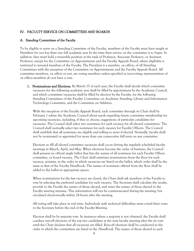#### IV. FACULTY SERVICE ON COMMITTEES AND BOARDS

#### A. Standing Committees of the Faculty

To be eligible to serve on a Standing Committee of the Faculty, members of the Faculty must have taught at Hamilton for not less than one full academic year by the time their service on the committee is to begin. In addition, they must hold a tenurable position at the rank of Professor, Associate Professor, or Assistant Professor, except for the Committee on Appointments and the Faculty Appeals Board, where eligibility is restricted to tenured members of the Faculty. The President is a member, ex officio, of all Standing Committees with the exception of the Committee on Appointments and the Faculty Appeals Board. All committee members, ex officio or not, are voting members unless specified as non-voting; representatives of ex *officio* members do not have a vote.

1. Nominations and Elections. By March 15 of each year, the Faculty shall decide which committee vacancies for the following academic year shall be filled by appointment by the Academic Council, and which committee vacancies shall be filled by election by the Faculty, for the following Standing Committees of the Faculty: Committee on Academic Standing, Library and Information Technology Committee, and the Committee on Athletics.

With the exception of the Faculty Appeals Board, each committee through its Chair shall by February 1 advise the Academic Council about needs regarding future committee membership for upcoming vacancies, including, if they so choose, suggestions of particular candidates for vacancies. The Council shall select two nominees for each vacancy for all elected committees. The Council shall normally select two nominees for each vacancy for Faculty Officers. The Council shall establish that all nominees are eligible and willing to serve if elected. Normally, faculty shall not be nominated or appointed for more than one consecutive full term on any committee.

Elections to fill all elected committee vacancies shall occur during the regularly scheduled faculty meetings in March, April, and May. When elections become the order of business, the Council shall present an official single ballot that lists the names of all nominees for each Faculty Officer, committee, or board vacancy. The Chair shall entertain nominations from the floor for each vacancy, seriatim, in the order in which vacancies are listed on the ballot, which order shall be the same as that of the Faculty Handbook. The names of nominees offered from the floor shall be added to the ballot in appropriate spaces.

When nominations for the last vacancy are closed, the Chair shall ask members of the Faculty to vote by selecting the preferred candidate for each vacancy. The Secretary shall calculate the results, provide to the Faculty the names of those elected, and enter the names of those elected in the Faculty meeting minutes. This information will not be communicated during the meeting, but circulated electronically within 24 hours after the meeting.

All voting will take place in real time. Individuals with technical difficulties must e-mail their votes to the Secretary before the end of the Faculty Meeting.

Election shall be by majority vote. In instances where a majority is not obtained, the Faculty shall conduct run-off elections of the top two candidates at the next faculty meeting after the tie vote until the Chair declares that all vacancies are filled. Run-off elections shall be conducted in the order in which the committees are listed in the *Handbook*. The names of those elected to each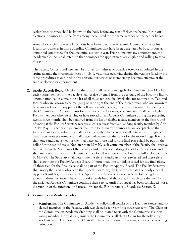earlier listed vacancy shall be known to the body before any run-off elections begin. In run-off elections, nominees must be from among those listed for the same vacancy on the earlier ballot.

After all vacancies for elected positions have been filled, the Academic Council shall appoint faculty to vacancies in those Standing Committees that have been designated by Faculty vote as appointed committees for the upcoming academic year. Prior to making any appointment, the Academic Council shall establish that nominees for appointment are eligible and willing to serve if appointed.

The Faculty Officers and new members of all committees or boards elected or appointed in the spring assume their responsibilities on July 1. Vacancies occurring during the year are filled by the same procedures as outlined in this section, but service or membership becomes effective at the time of election or appointment.

2. Faculty Appeals Board. Election to the Board shall be by two-stage ballot. Not later than May 10, each voting member of the Faculty shall receive by email from the Secretary of the Faculty a link to a nomination ballot containing a list of all those tenured faculty eligible for nomination. Tenured faculty who are known to be resigning or retiring at the end of the current year, who are known to be going on leave for any part of the following academic year, or who are known to be serving on the Committee on Appointments for any part of the following academic year shall be ineligible. Faculty members who are serving or have served on an Appeals Committee during the preceding twenty-three months shall be removed from the list of eligible faculty members in the first round of voting if the Faculty Secretary receives such a request from a qualifying faculty member by April 15. By May 17, each voting member shall vote for as many nominees as are acceptable to that faculty member and submit the ballot electronically. The Secretary shall determine the eighteen candidates most preferred and shall place their names on the ballot for the second stage. If more than one candidate is tied for the final place, all those tied for the final place shall be put on the ballot for the second stage. Not later than May 20, each voting member of the Faculty shall receive by email from the Secretary of the Faculty a link to the second-stage ballot for the election, and shall mark on this ballot a preferential choice for all nominees and submit the ballot electronically by May 27. The Secretary shall determine the eleven candidates most preferred and these eleven shall constitute the Faculty Appeals Board. If more than one candidate is tied for the final place, all those tied for the final place shall be part of the Faculty Appeals Board. The Faculty Secretary shall notify the Faculty who is on the Appeals Board by July 1, on which date the newly elected Appeals Board begins its service. The Appeals Board term of service ends the following June 30 except in those instances where an appeal extends beyond that date, in which case the members of the assigned Appeals Committee continue their service until the appeal has been concluded. For a description of the functions and procedures for the Faculty Appeals Board, see Section X.

#### 3. Committee on Academic Policy

**a.** Membership. The Committee on Academic Policy shall consist of the Dean, ex officio, and six elected members of the Faculty, with two elected each year for a three-year term. The Chair of the Committee on Academic Standing shall be invited to sit with the Committee as a nonvoting member. Normally in January the Committee shall elect a Chair for the following academic year. The Committee Chair shall have the option of receiving a one-course teaching reduction.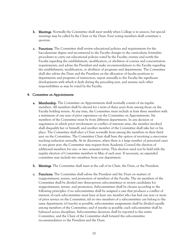- b. Meetings. Normally the Committee shall meet weekly when College is in session, but special meetings may be called by the Chair or the Dean. Four voting members shall constitute a quorum.
- c. Functions. The Committee shall review educational policies and requirements for the baccalaureate degree and recommend to the Faculty changes to the curriculum; formulate procedures to carry out educational policies voted by the Faculty; oversee and notify the Faculty regarding the establishment, modification, or abolition of courses and concentration requirements; and advise the President and make recommendations to the Faculty regarding the establishment, modification, or abolition of programs and departments. The Committee shall also advise the Dean and the President on the allocation of faculty positions to departments and programs of instruction, report annually to the Faculty the significant developments with which it dealt during the preceding year, and assume such other responsibilities as may be voted by the Faculty.

#### 4. Committee on Appointments

- **a.** Membership. The Committee on Appointments shall normally consist of six regular members. All members shall be elected for a term of three years from among those on the Faculty holding tenure. At any time, the Committee must include at least three members with a minimum of one year of prior experience on the Committee on Appointments. Six members of the Committee must be from different departments. In any decision or negotiation in which prior involvement or conflict of interests arise, the member involved shall disqualify her or himself, and another member of the Committee shall take her or his place. The Committee shall elect a Chair normally from among the members in their third year on the Committee. The Committee Chair shall have the option of receiving a one-course teaching reduction annually. At its discretion, when there is a large number of personnel cases in any given year, the Committee may request from Academic Council the election of additional members for one- or two- semester terms. This election need not be held with the regular election of Committee members in May of each year. If necessary, an expanded committee may include two members from one department.
- b. Meetings. The Committee shall meet at the call of its Chair, the Dean, or the President.
- c. Functions. The Committee shall advise the President and the Dean on matters of reappointment, tenure, and promotion of members of the Faculty. The six members of the Committee shall be divided into three-person subcommittees to review candidates for reappointment, tenure, and promotion. Subcommittees shall be chosen according to the following principles: i) no subcommittee shall be assigned a case that produces a conflict of interest; ii) each subcommittee must have at least one member who has had one year or more of prior service on the Committee; iii) no two members of a subcommittee can belong to the same department; iv) insofar as possible, subcommittee assignments shall be divided equally among members of the Committee; and v) insofar as possible, each subcommittee shall be balanced across disciplines. Subcommittee decisions shall be reported to the entire Committee, and the Chair of the Committee shall forward the subcommittee recommendation to the President and the Dean.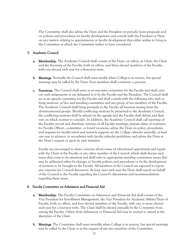The Committee shall also advise the Dean and the President on periodic leave proposals and on policies and procedures for faculty development; and consult with the President or Dean on any matters relating to appointments or faculty development that either wishes to bring to the Committee or which the Committee wishes to have considered.

#### 5. Academic Council

- **a.** Membership. The Academic Council shall consist of the Dean, ex officio, as Chair, the Chair and the Secretary of the Faculty, both ex officio, and three elected members of the Faculty, with one elected each year for a three-year term.
- b. Meetings. Normally the Council shall meet weekly when College is in session, but special meetings may be called by the Dean. Four members shall constitute a quorum.
- c. Functions. The Council shall serve as an executive committee for the Faculty and shall carry out such assignments as are delegated to it by the Faculty and the President. The Council shall act as an agenda committee for the Faculty and shall consult with the following who wish to bring motions: *ad hoc* and standing committees and any group of ten members of the Faculty. The Academic Council shall bring promptly to the Faculty all business issuing from the aforementioned groups. Should conflicting motions be presented to the Academic Council, the conflicting motions shall be placed on the agenda and the Faculty shall debate and then vote on which motion to consider. In addition, the Academic Council shall call meetings of the Faculty; record and distribute minutes of all Faculty meetings; prepare slates of nominees for Faculty Officer-, committee-, or board vacancies; advise the Dean on policy, procedures, and requests for faculty travel and research support; set the College calendar annually, at least one year in advance, in accordance with faculty calendar guidelines; and advise the Dean at the Dean's request or upon its own initiative.

Faculty are encouraged to share concerns about issues of educational opportunity and equity with the Chair of the Faculty or any other member of the Council, which shall discuss such issues that come to its attention and shall refer to appropriate standing committees issues that may be addressed either by changes in Faculty policies and procedures or by the development of motions to be brought to the Faculty. All members of the Council are expected to report any concerns for Council discussion. At least once each year the Dean shall report on behalf of the Council to the Faculty regarding the Council's discussions and recommendations regarding these issues.

# 6. Faculty Committee on Admission and Financial Aid

- a. Membership. The Faculty Committee on Admission and Financial Aid shall consist of the Vice President for Enrollment Management, the Vice President for Academic Affairs/Dean of Faculty, both ex officio, and four elected members of the Faculty, with one or more elected each year for a four-year term. The Chair shall be elected annually by the Committee from among the Faculty. Others from Admission or Financial Aid may be invited to attend at the discretion of the Chair.
- b. Meetings. The Committee shall meet monthly when College is in session, but special meetings may be called by the Chair or at the request of any two members of the Committee.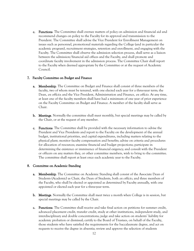c. Functions. The Committee shall oversee matters of policy on admission and financial aid and recommend changes on policy to the Faculty for its approval and transmission to the President. The Committee shall advise the Vice President for Enrollment Management on issues such as personnel, promotional materials regarding the College (and in particular the academic program), recruitment strategies, retention and enrollment, and engaging with the Faculty. The Committee shall observe the admission selection process, shall serve as a liaison between the admission/financial aid offices and the Faculty, and shall promote and coordinate faculty involvement in the admission process. The Committee Chair shall report to the Faculty when deemed appropriate by the Committee or at the request of Academic Council.

#### 7. Faculty Committee on Budget and Finance

- **a.** Membership. The Committee on Budget and Finance shall consist of three members of the faculty, two of whom must be tenured, with one elected each year for a three-year term; the Dean, *ex officio*; and the Vice President, Administration and Finance, *ex officio*. At any time, at least one of the faculty members shall have had a minimum of one year of prior experience on the Faculty Committee on Budget and Finance. A member of the faculty shall serve as Chair.
- b. Meetings. Normally the committee shall meet monthly, but special meetings may be called by the Chair, or at the request of any member.
- c. Functions. The Committee shall be provided with the necessary information to advise the President and Vice Presidents and report to the Faculty on the development of the annual budget, institutional priorities, and capital expenditures, including matters relating to the physical plant; monitor faculty compensation and benefits; advise on criteria and procedures for allocation of resources; examine financial and budget projections; participate in determining the existence or imminence of financial exigency; and consult with the President or officers on any matters they, or other committee members, wish to bring to the committee. The committee shall report at least once each academic year to the Faculty.

#### 8. Committee on Academic Standing

- a. Membership. The Committee on Academic Standing shall consist of the Associate Dean of Students (Academic) as Chair, the Dean of Students, both ex officio, and three members of the Faculty, who shall be elected or appointed as determined by Faculty annually, with one appointed or elected each year for a three-year term.
- b. Meetings. Normally the Committee shall meet twice a month when College is in session, but special meetings may be called by the Chair.
- c. Functions. The Committee shall receive and take final action on petitions for summer credit, advanced placement credit, transfer credit, study at other institutions, independent study, and interdisciplinary and double concentrations; judge and take action on students' liability for academic probation or dismissal; certify to the Board of Trustees, on behalf of the Faculty, those students who have satisfied the requirements for the baccalaureate degree, and act on requests to receive the degree in absentia; review and approve the selection of students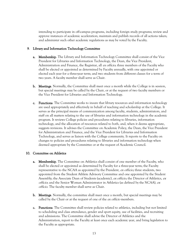intending to participate in off-campus programs, including foreign study programs; review and approve instances of academic acceleration; maintain and publish records of all actions taken; and administer such other academic regulations as may be voted by the Faculty.

#### 9. Library and Information Technology Committee

- **a.** Membership. The Library and Information Technology Committee shall consist of the Vice President for Libraries and Information Technology, the Dean, the Vice President, Administration and Finance, the Registrar, all *ex officio*; three members of the Faculty who shall be elected or appointed as determined by Faculty annually, with one appointed or elected each year for a three-year term; and two students from different classes for a term of two years. A faculty member shall serve as Chair.
- b. Meetings. Normally, the Committee shall meet once a month while the College is in session, but special meetings may be called by the Chair, or at the request of two faculty members or the Vice President for Libraries and Information Technology.
- c. Functions. The Committee works to insure that library resources and information technology are used appropriately and effectively in behalf of teaching and scholarship at the College. It serves as the principal means of communication among faculty, students, administrators, and staff on all matters relating to the use of libraries and information technology in the academic program. It reviews College policies and procedures relating to libraries, information technology, and the allocation of resources related to both, and, when it deems appropriate, suggests revisions. It advises the Committee on Academic Policy, the Dean, the Vice President for Administration and Finance, and the Vice President for Libraries and Information Technology, and serves as liaison with the College community. It reports to the Faculty on changes to policies and procedures relating to libraries and information technology when deemed appropriate by the Committee or at the request of Academic Council.

#### 10. Committee on Athletics

- **a.** Membership. The Committee on Athletics shall consist of one member of the Faculty, who shall be elected or appointed as determined by Faculty for a three-year term; the Faculty representative to the NCAA as appointed by the President, ex officio; three students, two appointed from the Student Athlete Advisory Committee and one appointed by the Student Assembly; the Associate Dean of Students (academic), ex officio; the Director of Athletics, ex officio; and the Senior Woman Administrator in Athletics (as defined by the NCAA), ex officio. The faculty member shall serve as Chair.
- b. Meetings. Normally, the committee shall meet once a month, but special meetings may be called by the Chair or at the request of one of the *ex officio* members.
- c. Functions. The Committee shall review policies related to athletics, including but not limited to scheduling and class attendance, gender and sport equity, use of facilities, and recruiting and admissions. The Committee shall advise the Director of Athletics and the Administration, report to the Faculty at least once each academic year, and bring legislation to the Faculty as appropriate.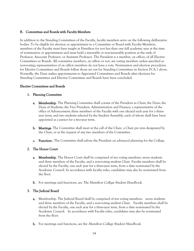#### B. Committees and Boards with Faculty Members

In addition to the Standing Committees of the Faculty, faculty members serve on the following deliberative bodies. To be eligible for election or appointment to a Committee or Board with Faculty Members, members of the Faculty must have taught at Hamilton for not less than one full academic year at the time of nomination or appointment and must hold a tenurable or non-tenurable position at the rank of Professor, Associate Professor, or Assistant Professor. The President is a member, ex officio, of all Elective Committees or Boards. All committee members, ex officio or not, are voting members unless specified as non-voting; representatives of *ex officio* members do not have a vote. Nomination and election procedures for Elective Committees and Boards follow those set out for Standing Committees in Section IV.A.1 above. Normally, the Dean makes appointments to Appointed Committees and Boards after elections for Standing Committees and Elective Committees and Boards have been concluded.

#### Elective Committees and Boards

#### 1. Planning Committee

- a. Membership. The Planning Committee shall consist of the President as Chair; the Dean; the Dean of Students; the Vice President, Administration and Finance; a representative of the office of Advancement; three members of the Faculty with one elected each year for a threeyear term; and two students selected by the Student Assembly, each of whom shall have been appointed as a junior for a two-year term.
- b. Meetings. The Committee shall meet at the call of the Chair, a Chair pro tem designated by the Chair, or at the request of any two members of the Committee.
- c. Functions. The Committee shall advise the President on advanced planning for the College.

# 2. The Honor Court

- **a.** Membership. The Honor Court shall be comprised of ten voting members: seven students and three members of the Faculty, and a non-voting student Chair. Faculty members shall be elected by the Faculty, one each year for a three-year term, from a slate nominated by the Academic Council. In accordance with faculty rules, candidates may also be nominated from the floor.
- **b.** For meetings and functions, see *The Hamilton College Student Handbook*.

# 3. The Judicial Board

- a. Membership. The Judicial Board shall be comprised of ten voting members: seven students and three members of the Faculty, and a non-voting student Chair. Faculty members shall be elected by the Faculty, one each year for a three-year term, from a slate nominated by the Academic Council. In accordance with Faculty rules, candidates may also be nominated from the floor.
- **b.** For meetings and functions, see the *Hamilton College Student Handbook*.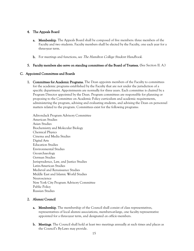#### 4. The Appeals Board

- **a.** Membership. The Appeals Board shall be composed of five members: three members of the Faculty and two students. Faculty members shall be elected by the Faculty, one each year for a three-year term.
- **b.** For meetings and functions, see *The Hamilton College Student Handbook*.
- 5. Faculty members also serve on standing committees of the Board of Trustees. (See Section II. A.)

#### C. Appointed Committees and Boards

1. Committees for Academic Programs. The Dean appoints members of the Faculty to committees for the academic programs established by the Faculty that are not under the jurisdiction of a specific department. Appointments are normally for three years. Each committee is chaired by a Program Director appointed by the Dean. Program committees are responsible for planning or proposing to the Committee on Academic Policy curriculum and academic requirements, administering the program, advising and evaluating students, and advising the Dean on personnel matters related to the program. Committees exist for the following programs:

Adirondack Program Advisory Committee American Studies Asian Studies Biochemistry and Molecular Biology Chemical Physics Cinema and Media Studies Digital Arts Education Studies Environmental Studies Geoarchaeology German Studies Jurisprudence, Law, and Justice Studies Latin-American Studies Medieval and Renaissance Studies Middle East and Islamic World Studies Neuroscience New York City Program Advisory Committee Public Policy Russian Studies

# 2. Alumni Council

- a. Membership. The membership of the Council shall consist of class representatives, representatives of local alumni associations, members-at-large, one faculty representative appointed for a three-year term, and designated ex officio members.
- **b.** Meetings. The Council shall hold at least two meetings annually at such times and places as the Council's By-Laws may provide.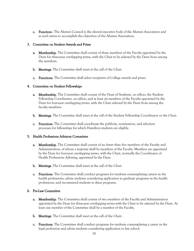c. Functions. The Alumni Council is the elected executive body of the Alumni Association and as such serves to accomplish the objectives of the Alumni Association.

#### 3. Committee on Student Awards and Prizes

- **a.** Membership. The Committee shall consist of three members of the Faculty appointed by the Dean for three-year overlapping terms, with the Chair to be selected by the Dean from among the members.
- b. Meetings. The Committee shall meet at the call of the Chair.
- c. Functions. The Committee shall select recipients of College awards and prizes.

#### 4. Committee on Student Fellowships

- **a. Membership**. The Committee shall consist of the Dean of Students, *ex officio*, the Student Fellowship Coordinator, ex *officio*, and at least six members of the Faculty appointed by the Dean for four-year overlapping terms, with the Chair selected by the Dean from among the faculty members.
- b. Meetings. The Committee shall meet at the call of the Student Fellowship Coordinator or the Chair.
- c. Functions. The Committee shall coordinate the publicity, nomination, and selection processes for fellowships for which Hamilton students are eligible.

# 5. Health Professions Advisory Committee

- **a.** Membership. The Committee shall consist of no fewer than five members of the Faculty and Administration, of whom a majority shall be members of the Faculty. Members are appointed by the Dean for four-year overlapping terms, with the Chair, normally the Coordinator of Health Professions Advising, appointed by the Dean.
- b. Meetings. The Committee shall meet at the call of the Chair.
- c. Functions. The Committee shall conduct programs for students contemplating careers in the health professions, advise students considering application to graduate programs in the health professions, and recommend students to these programs.

# 6. Pre-Law Committee

- **a.** Membership. The Committee shall consist of two members of the Faculty and Administration appointed by the Dean for three-year overlapping terms with the Chair to be selected by the Dean. At least one member of the Committee shall be a member of the Faculty.
- b. Meetings. The Committee shall meet at the call of the Chair.
- c. Functions. The Committee shall conduct programs for students contemplating a career in the legal profession and advise students considering application to law school.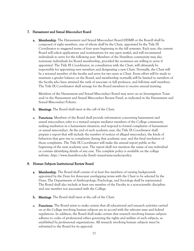#### 7. Harassment and Sexual Misconduct Board

**a.** Membership. The Harassment and Sexual Misconduct Board (HSMB or the Board) shall be composed of eight members, one of whom shall be the Chair, appointed by the Title IX Coordinator to staggered terms of four years beginning in the fall semester. Each year, the current Board will solicit applications and nominations for any open seat(s), and will recommend individuals to serve for the following year. Members of the Hamilton community may also nominate individuals for Board membership, provided the nominees are willing to serve if appointed. The Title IX Coordinator, in consultation with the Chair, will ultimately be responsible for appointing new members and designating a new Chair. Normally, the Chair will be a tenured member of the faculty and serve for two years as Chair. Every effort will be made to maintain a gender balance on the Board, and membership normally will be limited to members of the faculty who have attained the rank of associate or full professor, and full-time staff members. The Title IX Coordinator shall arrange for the Board members to receive annual training.

Members of the Harassment and Sexual Misconduct Board may serve on an Investigation Team and/or the Harassment and Sexual Misconduct Review Panel, as indicated in the Harassment and Sexual Misconduct Policies.

- b. Meetings. The Board shall meet at the call of the Chair.
- c. Functions. Members of the Board shall provide information concerning harassment and sexual misconduct; refer to a trained campus mediator members of the College community seeking mediation in a harassment situation; and respond to formal complaints of harassment or sexual misconduct. At the end of each academic year, the Title IX Coordinator shall prepare a report that will include the number of notices of alleged misconduct, the kinds of behaviors that gave rise to complaints during that academic year, and the final resolution of those complaints. The Title IX Coordinator will make the annual report public at the beginning of the next academic year. The report shall not mention the name of any individual or contain identifying details of any case. The complete policy is available on the college website: <http://www.hamilton.edu/hsmb/sexual-misconduct-policy>.

#### 8. Human Subjects Institutional Review Board

- **a.** Membership. The Board shall consist of at least five members of varying backgrounds appointed by the Dean for three-year overlapping terms with the Chair to be selected by the Dean. The Departments of Anthropology, Psychology, and Sociology shall be represented. The Board shall also include at least one member of the Faculty in a non-scientific discipline and one member not associated with the College.
- b. Meetings. The Board shall meet at the call of the Chair.
- c. Functions. The Board exists to make certain that all educational and research activities carried on at the College involving human subjects are in accord with the relevant state and federal regulations. In addition, the Board shall make certain that research involving human subjects adheres to codes of professional ethics governing the rights and welfare of such subjects, as established by professional organizations. All research involving human subjects must be submitted to the Board for its approval.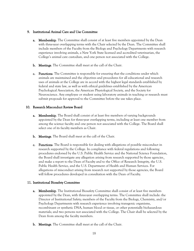#### 9. Institutional Animal Care and Use Committee

- **a.** Membership. The Committee shall consist of at least five members appointed by the Dean with three-year overlapping terms with the Chair selected by the Dean. The Committee shall include members of the Faculty from the Biology and Psychology Departments with research experience involving animals, a New York State licensed and accredited veterinarian, the College's animal care custodian, and one person not associated with the College.
- b. Meetings. The Committee shall meet at the call of the Chair.
- c. Functions. The Committee is responsible for ensuring that the conditions under which animals are maintained and the objectives and procedures for all educational and research uses of animals at the College are in accord with the highest legal standards established by federal and state law, as well as with ethical guidelines established by the American Psychological Association, the American Physiological Society, and the Society for Neuroscience. Any employee or student using laboratory animals in teaching or research must submit proposals for approval to the Committee before the use takes place.

#### 10. Research Misconduct Review Board

- **a.** Membership. The Board shall consist of at least five members of varying backgrounds appointed by the Dean for three-year overlapping terms, including at least one member from among the science faculty and one person not associated with the College. The Board shall select one of its faculty members as Chair.
- b. Meetings. The Board shall meet at the call of the Chair.
- c. Functions. The Board is responsible for dealing with allegations of possible misconduct in research supported by the College. In compliance with federal regulations and following procedures endorsed by the U.S. Public Health Service and the National Science Foundation, the Board shall investigate any allegation arising from research supported by those agencies and make a report to the Dean of Faculty and to the Office of Research Integrity, the U.S. Public Health Service, and the U.S. Department of Health and Human Services. For allegations of misconduct arising from research not supported by those agencies, the Board will follow procedures developed in consultation with the Dean of Faculty.

# 11. Institutional Biosafety Committee

- **a.** Membership. The Institutional Biosafety Committee shall consist of at least five members appointed by the Dean, with three-year overlapping terms. The Committee shall include: the Director of Institutional Safety; members of the Faculty from the Biology, Chemistry, and/or Psychology Departments with research experience involving transgenic organisms, recombinant or synthetic DNA, human blood or tissue, or other potentially biohazardous materials; and two persons not associated with the College. The Chair shall be selected by the Dean from among the faculty members.
- b. Meetings. The Committee shall meet at the call of the Chair.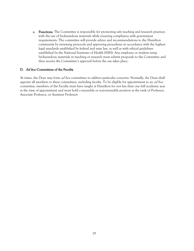c. Functions. The Committee is responsible for promoting safe teaching and research practices with the use of biohazardous materials while ensuring compliance with government requirements. The committee will provide advice and recommendations to the Hamilton community by reviewing protocols and approving procedures in accordance with the highest legal standards established by federal and state law, as well as with ethical guidelines established by the National Institutes of Health (NIH). Any employee or student using biohazardous materials in teaching or research must submit proposals to the Committee and then receive the Committee's approval before the use takes place.

#### D. Ad hoc Committees of the Faculty

At times, the Dean may form *ad hoc* committees to address particular concerns. Normally, the Dean shall appoint all members to these committees, including faculty. To be eligible for appointment to an *ad hoc* committee, members of the Faculty must have taught at Hamilton for not less than one full academic year at the time of appointment and must hold a tenurable or non-tenurable position at the rank of Professor, Associate Professor, or Assistant Professor.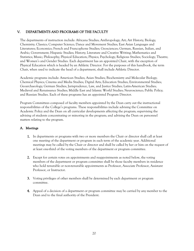# V. DEPARTMENTS AND PROGRAMS OF THE FACULTY

The departments of instruction include: Africana Studies; Anthropology; Art; Art History; Biology; Chemistry; Classics; Computer Science; Dance and Movement Studies; East Asian Languages and Literatures; Economics; French and Francophone Studies; Geosciences; German, Russian, Italian, and Arabic; Government; Hispanic Studies; History; Literature and Creative Writing; Mathematics and Statistics; Music; Philosophy; Physical Education; Physics; Psychology; Religious Studies; Sociology; Theatre; and Women's and Gender Studies. Each department has an appointed Chair, with the exception of Physical Education which is headed by an Athletic Director. For the purposes of this handbook, the term Chair, when used to indicate the head of a department, shall include Athletic Director.

Academic programs include: American Studies; Asian Studies; Biochemistry and Molecular Biology; Chemical Physics; Cinema and Media Studies; Digital Arts; Education Studies; Environmental Studies; Geoarchaeology; German Studies; Jurisprudence, Law, and Justice Studies; Latin-American Studies; Medieval and Renaissance Studies; Middle East and Islamic World Studies; Neuroscience; Public Policy; and Russian Studies. Each of these programs has an appointed Program Director.

Program Committees composed of faculty members appointed by the Dean carry out the instructional responsibilities of the College's programs. These responsibilities include advising the Committee on Academic Policy and the Dean on all curricular developments affecting the program; supervising the advising of students concentrating or minoring in the program; and advising the Dean on personnel matters relating to the program.

# A. Meetings

- 1. In departments or programs with two or more members the Chair or director shall call at least one meeting of the department or program in each term of the academic year. Additional meetings may be called by the Chair or director and shall be called by her or him on the request of at least one-third of the voting members of the department or program committee.
- 2. Except for certain votes on appointments and reappointments as noted below, the voting members of the department or program committee shall be those faculty members in residence who hold tenurable or non-tenurable appointments as Professor, Associate Professor, Assistant Professor, or Instructor.
- 3. Voting privileges of other members shall be determined by each department or program committee.
- 4. Appeal of a decision of a department or program committee may be carried by any member to the Dean and to the final authority of the President.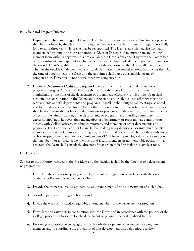#### B. Chair and Program Director

- 1. Department Chair and Program Director. The Chair of a department or the Director of a program shall be appointed by the Dean from among the members of the department or program, normally for a term of three years. He or she may be reappointed. The Dean shall solicit advice from all members before appointing or reappointing a Chair or Director. If an appropriate and willing member from within a department is not available, the Dean, after consulting with the Committee on Appointments, may appoint as Chair a faculty member from outside the department. Based on the outside Chair's qualifications and the needs of the department, the Dean shall determine whether the outside Chair would vote on curricular matters, personnel matters, both, or neither. At the time of appointment, the Dean and the appointee shall agree on a suitable means of compensation. Directors do not normally receive compensation.
- 2. Duties of Department Chairs and Program Directors. In consultation with department or program colleagues, Chairs and directors shall ensure that the educational, recruitment, and administrative functions of the department or program are effectively fulfilled. The Dean shall facilitate the coordination of the Chairs and directors to ensure that course offerings meet the requirements of both departments and programs. It shall be their duty to call meetings, as noted, and to preside over such meetings. Unless other provisions are made by vote, Chairs and directors shall be the intermediaries between departments or programs, on the one hand, and, on the other, officers of the administration, other departments or programs, and standing committees. It is expressly stipulated, however, that any member of a department or program may communicate directly with College officers, standing committees, and members of other departments and programs. The Dean shall consult Chairs before making salary decisions. For untenured faculty members in a tenurable position in a program, the Dean shall consult the chair of the candidate's ad hoc reappointment and tenure committee (see VI.G.1.b) before making salary decisions about that member. For tenured faculty members and faculty members in non-tenurable positions in a program, the Dean shall consult the director of that program before making salary decisions.

# C. Functions

Subject to the authority reserved to the President and the Faculty, it shall be the function of a department or program to:

- 1. Formulate the educational policy of the department or program in accordance with the overall academic policy established by the Faculty.
- 2. Provide the proper courses, examinations, and requirements for the carrying out of such policy.
- 3. Award department or program honors and prizes.
- 4. Divide the work of instruction equitably among members of the department or program.
- 5. Formulate and carry out, in consultation with the Dean, and in accordance with the policies of the College, procedures to secure for the department or program the best qualified faculty.
- 6. Encourage and assist the pedagogical and scholarly development of department or program members and to coordinate the evaluation of that development through periodic reviews.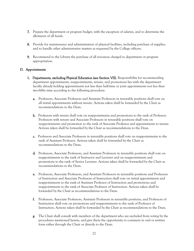- 7. Prepare the department or program budget, with the exception of salaries, and to determine the allotment of all funds.
- 8. Provide for maintenance and administration of physical facilities, including purchase of supplies, and to handle other administrative matters as requested by the College officers.
- 9. Recommend to the Library the purchase of all resources charged to department or program appropriation.

#### D. Appointments

- 1. Departments, excluding Physical Education (see Section VII). Responsibility for recommending department appointments, reappointments, tenure, and promotions lies with the department faculty already holding appointments not less than half-time or joint appointments not less than two-fifths time according to the following procedure:
	- a. Professors, Associate Professors and Assistant Professors in tenurable positions shall vote on all initial appointments without tenure. Actions taken shall be forwarded by the Chair as recommendations to the Dean.
	- b. Professors with tenure shall vote on reappointments and promotions to the rank of Professor. Professors with tenure and Associate Professors in tenurable positions shall vote on reappointments and promotion to the rank of Associate Professor and appointments to tenure. Actions taken shall be forwarded by the Chair as recommendations to the Dean.
	- c. Professors and Associate Professors in tenurable positions shall vote on reappointments to the rank of Assistant Professor. Actions taken shall be forwarded by the Chair as recommendations to the Dean.
	- d. Professors, Associate Professors, and Assistant Professors in tenurable positions shall vote on reappointments to the rank of Instructor and Lecturer and on reappointments and promotions to the rank of Senior Lecturer. Actions taken shall be forwarded by the Chair as recommendations to the Dean.
	- e. Professors, Associate Professors, and Assistant Professors in tenurable positions and Professors of Instruction and Associate Professors of Instruction shall vote on initial appointments and reappointments to the rank of Assistant Professor of Instruction and promotions and reappointments to the rank of Associate Professor of Instruction. Actions taken shall be forwarded by the Chair as recommendations to the Dean.
	- f. Professors, Associate Professors, Assistant Professors in tenurable positions, and Professors of Instruction shall vote on promotions and reappointments to the rank of Professor of Instruction. Actions taken shall be forwarded by the Chair as recommendations to the Dean.
	- g. The Chair shall consult with members of the department who are excluded from voting by the procedures mentioned herein, and give them the opportunity to comment in oral or written form either through the Chair or directly to the Dean.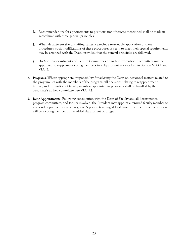- h. Recommendations for appointments to positions not otherwise mentioned shall be made in accordance with these general principles.
- i. When department size or staffing patterns preclude reasonable application of these procedures, such modifications of these procedures as seem to meet their special requirements may be arranged with the Dean, provided that the general principles are followed.
- j. Ad hoc Reappointment and Tenure Committees or ad hoc Promotion Committees may be appointed to supplement voting members in a department as described in Section VI.G.1 and VI.G.2.
- 2. Programs. Where appropriate, responsibility for advising the Dean on personnel matters related to the program lies with the members of the program. All decisions relating to reappointment, tenure, and promotion of faculty members appointed in programs shall be handled by the candidate's ad hoc committee (see VI.G.1.).
- 3. Joint Appointments. Following consultation with the Dean of Faculty and all departments, program committees, and faculty involved, the President may appoint a tenured faculty member to a second department or to a program. A person teaching at least two-fifths time in such a position will be a voting member in the added department or program.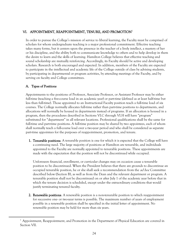# VI. APPOINTMENT, REAPPOINTMENT, TENURE, AND PROMOTION<sup>1</sup>

In order to pursue the College's mission of service to liberal learning, the Faculty must be comprised of scholars for whom undergraduate teaching is a major professional commitment. Effective teaching takes many forms, but it centers upon the presence in the teacher of a lively intellect, a mastery of her or his discipline, and the ability both to communicate knowledge to others and to help develop in them the desire to learn and the skills of learning. Hamilton College believes that effective teaching and sound scholarship are mutually reinforcing. Accordingly, its Faculty should be active and developing scholars. Research is both encouraged and expected. In addition, members of the Faculty are expected to participate in the intellectual and academic life of the College outside of class by advising students, by participating in departmental or program activities, by attending meetings of the Faculty, and by serving on faculty and College committees.

# A. Types of Positions

 $\overline{a}$ 

Appointments to the positions of Professor, Associate Professor, or Assistant Professor may be either full-time (teaching a five-course load in an academic year) or part-time (defined as at least half-time but less than full-time). Those appointed to an Instructional Faculty position teach a full-time load of six courses. The College normally allocates full-time rather than part-time positions to departments, and allocations will normally be housed in departments instead of programs. If an allocation is housed in a program, then the procedures described in Sections VI.C through VI.H will have "program" substituted for "department" in all relevant locations. Professional qualifications shall be the same for full-time and part-time positions. A full-time position may be shared by two appointees, each of whom shall normally teach a full-course load over a two-year period and who shall be considered as separate part-time appointees for the purposes of reappointment, promotion, and tenure.

1. Tenurable positions. A tenurable position is one for which it is expected that the College will have a continuing need. The large majority of positions at Hamilton are tenurable, and individuals appointed to the Faculty are normally appointed to tenurable positions. These appointments are made with the expectation that the position will not be discontinued while occupied.

Unforeseen financial, enrollment, or curricular changes may on occasion cause a tenurable position to be discontinued. When the President believes that there are grounds to discontinue an occupied tenurable position, he or she shall seek a recommendation from the *ad hoc* Committee described below (Section B), as well as from the Dean and the relevant department or program. A tenurable position shall not be discontinued on or after July 1 of the academic year before that in which the tenure decision is scheduled, except under the extraordinary conditions that would justify terminating tenured faculty.

2. Renewable positions. A renewable position is a non-tenurable position to which reappointment for successive one- or two-year terms is possible. The maximum number of years of employment possible in a renewable position shall be specified in the initial letter of appointment. No renewable position may be held for more than six years.

 $1$  Appointment, Reappointment, and Promotion in the Department of Physical Education are covered in Section VII.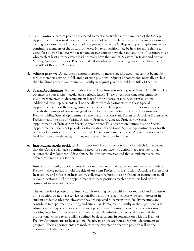- **3. Term positions.** A term position is created to meet a particular short-term need of the College. Appointment to it is made for a specified period of time. The large majority of term positions are visiting positions created for a term of one year to enable the College to appoint replacements for continuing members of the Faculty on leave. No term position may be held for more than six years. Post-doctoral fellows who teach one or two courses have the rank and title of Lecturer; those who teach at least a three-course load normally have the rank of Assistant Professor and title of Visiting Assistant Professor. Post-doctoral fellows who are not teaching any courses have the rank and title of Research Associate.
- **4.** Adjunct positions. An adjunct position is created to meet a specific need that cannot be met by faculty members serving in full- and part-time positions. Adjunct appointments normally are less than half-time and are not tenurable. Faculty in adjunct positions hold the title of Lecturer.
- 5. Special Appointments. Non-tenurable Special Appointments existing as of March 1, 2018 provide coverage of courses when faculty take periodic leaves. These three-fifths time non-tenurable positions were given to departments in lieu of hiring a series of faculty in term positions. Additional leave replacements will not be allocated to departments with these Special Appointments unless the average number of courses to be replaced over three or more years exceeds the number of courses assigned to the faculty member in the Special Appointment. Faculty holding Special Appointments have the rank of Assistant Professor, Associate Professor, or Professor, and the title of Visiting Assistant Professor, Associate Professor by Special Appointment, or Professor by Special Appointment. This description defines existing Special Appointments; it does not provide for the creation of additional Special Appointments or for the transfer of a position to another individual. These non-tenurable Special Appointments may be held for more than six years, but they must remain less than full time.
- 6. Instructional Faculty positions. An Instructional Faculty position is one for which it is expected that the College will have a continuing need for supportive instruction in a department that requires the development of disciplinary skill through practice and that complements courses offered by tenure track faculty.

Instructional Faculty appointments do not require a terminal degree and are normally full-time. Faculty in these positions hold the title of Assistant Professor of Instruction, Associate Professor of Instruction, or Professor of Instruction, collectively referred to as professors of instruction in all relevant locations. Full-time appointments to these positions teach a six-course load or the equivalent in an academic year.

The main role of professors of instruction is teaching. Scholarship is not required and professors of instruction do not have service responsibilities at the level of college-wide committees or in student academic advising. However, they are expected to participate in faculty meetings and contribute to department planning and curricular development. Faculty in these positions with administrative responsibilities will receive a proportionate course release from the six-course teaching load (maximum release of three courses). Administrative responsibilities and the proportional course release will be defined by departments in consultation with the Dean of Faculty. Appointments to Instructional Faculty positions are housed within a department or program. These appointments are made with the expectation that the position will not be discontinued while occupied.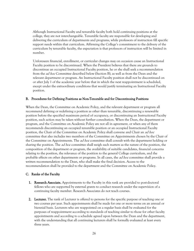Although Instructional Faculty and tenurable faculty both hold continuing positions at the college, they are not interchangeable. Tenurable faculty are responsible for developing and delivering the curriculum of departments and programs, while professors of instruction fill specific support needs within that curriculum. Affirming the College's commitment to the delivery of the curriculum by tenurable faculty, the expectation is that professors of instruction will be limited in number.

Unforeseen financial, enrollment, or curricular changes may on occasion cause an Instructional Faculty position to be discontinued. When the President believes that there are grounds to discontinue an occupied Instructional Faculty position, he or she shall seek a recommendation from the *ad hoc* Committee described below (Section B), as well as from the Dean and the relevant department or program. An Instructional Faculty position shall not be discontinued on or after July 1 of the academic year before that in which the next reappointment is scheduled, except under the extraordinary conditions that would justify terminating an Instructional Faculty position.

#### B. Procedures for Defining Positions as Non-Tenurable and for Discontinuing Positions

When the Dean, the Committee on Academic Policy, and the relevant department or program all recommend defining or redefining a position as other than tenurable, discontinuing a renewable position before the specified maximum period of occupancy, or discontinuing an Instructional Faculty position, such action may be taken without further consultation. When the Dean, the department or program, and the Committee on Academic Policy are not all in agreement, or when any of them recommends discontinuing an occupied tenurable position or an occupied Instructional Faculty position, the Chair of the Committee on Academic Policy shall convene and Chair an *ad hoc* committee that also includes two members of the Committee on Appointments chosen by the Chair of the Committee on Appointments. The *ad hoc* committee shall consult with the department holding or sharing the position. The *ad hoc* committee shall weigh such matters as the nature of the position, the composition of the department or program, the availability of suitable candidates, financial concerns relating to the position, the relevance of the position to the general College curriculum, and the probable effects on other departments or programs. In all cases, the *ad hoc* committee shall provide a written recommendation to the Dean, who shall make the final decision. Access to the recommendation shall be provided to the department and the Committee on Academic Policy.

# C. Ranks of the Faculty

- 1. Research Associate. Appointments to the Faculty in this rank are provided to post-doctoral fellows who are supported by external grants to conduct research under the supervision of a continuing faculty member. Research Associates do not teach courses.
- **2.** Lecturer. The rank of Lecturer is offered to persons for the specific purpose of teaching one or two courses per year. Such appointments shall be made for one or more terms on an annual or biennial basis. Lecturers who are reappointed on a regular basis shall be evaluated for the purposes of reappointment according to standards of teaching similar to those for other faculty appointments and according to a schedule agreed upon between the Dean and the department, with the understanding that all continuing lecturers shall be formally evaluated at least every three years.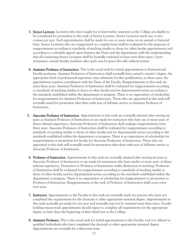- **3. Senior Lecturer.** Lecturers who have taught for at least twelve semesters at the College are eligible to be considered for promotion to the rank of Senior Lecturer. Senior Lecturers teach one or two courses per year. Such appointments shall be made for one or more terms on an annual or biennial basis. Senior Lecturers who are reappointed on a regular basis shall be evaluated for the purposes of reappointment according to standards of teaching similar to those for other faculty appointments and according to a schedule agreed upon between the Dean and the department, with the understanding that all continuing Senior Lecturers shall be formally evaluated at least every three years. Upon retirement, emeriti faculty members who teach may be given this title without review.
- 4. Assistant Professor of Instruction. This is the usual rank for initial appointments to Instructional Faculty positions. Assistant Professors of Instruction shall normally have earned a master's degree. An appropriate level of professional experience may substitute for this qualification; in these cases, the appointment requires consultation with the Dean of the Faculty. Reappointments at this rank are every three years. Assistant Professors of Instruction shall be evaluated for reappointment according to standards of teaching similar to those of other faculty and for departmental service according to the standards established within the department or program. There is no expectation of scholarship for reappointment for Assistant Professors of Instruction. Those who are appointed at this rank will normally stand for promotion after their sixth year of full-time service as Assistant Professor of Instruction.
- **5.** Associate Professor of Instruction. Appointments in this rank are normally attained after serving six years as Assistant Professor of Instruction or are made for instructors who have six or more years of direct relevant experience. Associate Professors of Instruction shall undergo reappointment every three years. Associate Professors of Instruction shall be evaluated for reappointment according to standards of teaching similar to those of other faculty and for departmental service according to the standards established within the department or program. There is no expectation of scholarship for reappointment or promotion for faculty for Associate Professors of Instruction. Those who are appointed at this rank will normally stand for promotion after their sixth year of full-time service as Associate Professor of Instruction.
- 6. Professor of Instruction. Appointments in this rank are normally attained after serving six years as Associate Professor of Instruction or are made for instructors who have twelve or more years of direct relevant experience. Promotion to Professor of Instruction marks distinction in teaching. Professors of Instruction shall be evaluated for reappointment according to standards of teaching similar to those of other faculty and for departmental service according to the standards established within the department or program. There is no expectation of scholarship for reappointment or promotion to Professor of Instruction. Reappointments at the rank of Professor of Instruction shall occur every four years.
- 7. Instructor. Appointments to the Faculty in this rank are normally made for persons who have not completed the requirements for the doctoral or other appropriate terminal degree. Appointments in this rank normally are made for one year and normally may not be renewed more than twice. Faculty holding tenure-track appointments should expect to complete all requirements for the appropriate degree no later than the beginning of their third year at the College.
- 8. Assistant Professor. This is the usual rank for initial appointments to the Faculty, and it is offered to qualified individuals who have completed the doctoral or other appropriate terminal degree. Appointments are normally for a three-year term.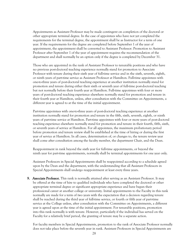Appointments as Assistant Professor may be made contingent on completion of the doctoral or other appropriate terminal degree. In the case of appointees who have not yet completed the requirements for the terminal degree, the appointment shall be as Instructor for a term of one year. If the requirements for the degree are completed before September 1 of the year of appointment, the appointment shall be converted to Assistant Professor. Promotion to Assistant Professor after September 1 of the year of appointment requires the recommendation of the department and shall normally be an option only if the degree is completed by December 31.

Those who are appointed in the rank of Assistant Professor to tenurable positions and who have no previous post-doctoral teaching experience normally stand for promotion to Associate Professor with tenure during their sixth year of full-time service and in the sixth, seventh, eighth, or ninth years of part-time service as Assistant Professor at Hamilton. Full-time appointees with one-to-three years of post-doctoral teaching experience at another institution normally stand for promotion and tenure during either their sixth or seventh year of full-time post-doctoral teaching but not normally before their fourth year at Hamilton. Full-time appointees with four or more years of post-doctoral teaching experience elsewhere normally stand for promotion and tenure in their fourth year at Hamilton, unless, after consultation with the Committee on Appointments, a different year is agreed to at the time of the initial appointment.

Part-time appointees with one-to-three years of post-doctoral teaching experience at another institution normally stand for promotion and tenure in the fifth, sixth, seventh, eighth, or ninth years of part-time service at Hamilton. Part-time appointees with four or more years of post-doctoral teaching experience elsewhere normally stand for promotion and tenure in their fourth, fifth, sixth, or seventh years of service at Hamilton. For all appointees, the maximum probationary period before promotion and tenure review shall be established at the time of hiring or during the first year of service at Hamilton. In all cases, determination of, or changes to, the tenure review year shall come after consultation among the faculty member, the department Chair, and the Dean.

Reappointment in rank beyond the sixth year for full-time appointments, or beyond the ninth year for part-time appointments, normally shall be terminal appointments for one year only.

Assistant Professors in Special Appointments shall be reappointed according to a schedule agreed upon by the Dean and the department, with the understanding that all Assistant Professors in Special Appointments shall undergo reappointment at least every three years.

9. Associate Professor. This rank is normally attained after serving as an Assistant Professor. It may be offered at the time of hire to qualified individuals who have completed the doctoral or other appropriate terminal degree or significant appropriate experience and have begun their professional career at another college or university. Initial appointments to the Faculty in this rank normally are made for a term of two years with the expectation that a decision regarding tenure shall be reached during the third year of full-time service, or fourth or fifth year of part-time service at the College unless, after consultation with the Committee on Appointments, a different year is agreed upon at the time of the initial appointment. For tenurable positions, promotion into this rank normally is with tenure. However, particularly if the individual has served on the Faculty for a relatively brief period, the granting of tenure may be a separate action.

For faculty members in Special Appointments, promotion to the rank of Associate Professor normally does not take place before the seventh year in rank. Assistant Professors in Special Appointments are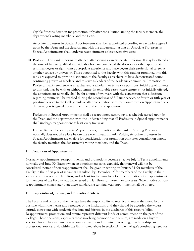eligible for consideration for promotion only after consultation among the faculty member, the department's voting members, and the Dean.

Associate Professors in Special Appointments shall be reappointed according to a schedule agreed upon by the Dean and the department, with the understanding that all Associate Professors in Special Appointments shall undergo reappointment at least every five years.

10. Professor. This rank is normally attained after serving as an Associate Professor. It may be offered at the time of hire to qualified individuals who have completed the doctoral or other appropriate terminal degree or significant appropriate experience and have begun their professional career at another college or university. Those appointed to the Faculty with this rank or promoted into this rank are expected to provide distinction to the Faculty as teachers, to have demonstrated sound, continuing growth as scholars, and to serve as leaders of the academic community. Promotion to Professor marks eminence as a teacher and a scholar. For tenurable positions, initial appointments to this rank may be with or without tenure. In tenurable cases where tenure is not initially offered, the appointment normally shall be for a term of two years with the expectation that a decision regarding tenure will be reached during the second year of full-time service, or fourth or fifth year of part-time service to the College unless, after consultation with the Committee on Appointments, a different year is agreed upon at the time of the initial appointment.

Professors in Special Appointments shall be reappointed according to a schedule agreed upon by the Dean and the department, with the understanding that all Professors in Special Appointments shall undergo reappointment at least every five years

For faculty members in Special Appointments, promotion to the rank of Visiting Professor normally does not take place before the eleventh year in rank. Visiting Associate Professors in Special Appointments are eligible for consideration for promotion only after consultation among the faculty member, the department's voting members, and the Dean.

#### D. Conditions of Appointments

Normally, appointments, reappointments, and promotions become effective July 1. Term appointments normally end June 30. Except when an appointment states explicitly that renewal will not be considered, notice of non-reappointment shall be given in writing by January 31 for members of the Faculty in their first year of service at Hamilton, by December 15 for members of the Faculty in their second year of service at Hamilton, and at least twelve months before the expiration of an appointment for members of the Faculty who have served at Hamilton for more than two years. When notice of nonreappointment comes later than these standards, a terminal year appointment shall be offered.

#### E. Reappointment, Tenure, and Promotion Criteria

The Faculty and officers of the College have the responsibility to recruit and retain the finest faculty possible within the means and resources of the institution, and they should be accorded the widest latitude consistent with academic freedom and fairness in the discharge of this responsibility. Reappointment, promotion, and tenure represent different kinds of commitment on the part of the College. These decisions, especially those involving promotion and tenure, are made on a highly selective basis. They are based on accomplishments and promise in teaching, in scholarship, and in professional service, and, within the limits stated above in section A., the College's continuing need for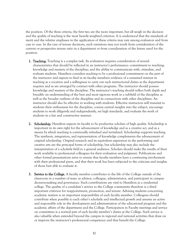the position. Of the three criteria, the first two are the more important, but all weigh in the decision and the quality of teaching is the most heavily weighted criterion. It is understood that the standards of merit and the relative emphases in the application of these criteria may vary among evaluators and from case to case. In the case of tenure decisions, such variations may not result from consideration of the current or prospective tenure ratio in a department or from consideration of the future need for the position.

- 1. Teaching. Teaching is a complex task. Its evaluation requires consideration of several characteristics that should be reflected in an instructor's performance: commitment to teaching; knowledge and mastery of the discipline; and the ability to communicate with, stimulate, and evaluate students. Hamilton considers teaching to be a professional commitment on the part of the instructor and expects to find in its faculty members evidence of a sustained interest in teaching as a vocation and a willingness to carry out such instructional duties as the department requires and as are arranged by contract with other programs. The instructor should possess knowledge and mastery of the discipline. The instructor's teaching should reflect both depth and breadth: an understanding of the best and most rigorous work in a subfield of the discipline as well as the broader outlines of the discipline and its connections with other disciplines. An instructor should also be effective in working with students. Effective instructors will transmit to students their enthusiasm for the discipline, convey central insights into the subject, encourage students to work diligently and independently, set high standards, and evaluate the work of students in a fair and constructive manner.
- 2. Scholarship. Hamilton expects its faculty to be productive scholars of high quality. Scholarship is important in its own right for the advancement of knowledge and as a creative act, and as a means by which teaching is continually refreshed and revitalized. Scholarship supports teaching. The synthesis, integration, and representation of knowledge complements the advancement of original scholarship. Original research and its equivalent expression in the performing and creative arts are the principal forms of scholarship, but scholarship may also include the interpretation of a scholarly field to a general audience. Scholars should make the results of their work available to professional colleagues for their evaluation and judgment. Publications and other formal presentations serve to ensure that faculty members have a continuing involvement with their professional peers, and that their work has been subjected to the criticism and insights of those best able to evaluate it.
- 3. Service to the College. A faculty member contributes to the life of the College outside of the classroom in a number of ways: as advisor, colleague, administrator, and participant in campus decision-making and governance. Such contributions are vital to Hamilton as a residential college. The quality of a candidate's service to the College community therefore is a third important criterion for reappointment, promotion, and tenure. Advising students concerning academic matters is an important responsibility of each faculty member. Colleagues should contribute when possible to each other's scholarly and intellectual growth and assume an active and responsible role in the development and administration of the educational program and the academic affairs of the department and the College. Participation in Faculty meetings and service on committees is a normal part of each faculty member's duties at the College. Such service is also valuable when extended beyond the campus in regional and national activities that draw on or improve the instructor's professional competence and that benefit the College.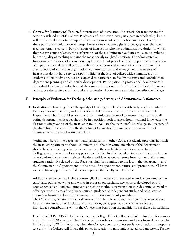4. Criteria for Instructional Faculty. For professors of instruction, the criteria for teaching are the same as outlined in VI.E.1 above. Professors of instruction may participate in scholarship, but it will not be used as a criterion upon which reappointment or promotion are based. Faculty in these positions should, however, keep abreast of new technologies and pedagogies so that their teaching remains current. For professors of instruction who have administrative duties for which they receive course releases, the performance of those administrative duties will also be evaluated, but the quality of teaching remains the most heavily-weighted criterion. The administrative functions of professors of instruction may be varied, but provide critical support to the operation of departments and the college and facilitate the educational mission of our community. The areas of evaluation include organization, communication, and management. Professors of instruction do not have service responsibilities at the level of college-wide committees or in student academic advising, but are expected to participate in faculty meetings and contribute to department planning and curricular development. Participation in professional development is also valuable when extended beyond the campus in regional and national activities that draw on or improve the professor of instruction's professional competence and that benefits the College.

#### F. Principles of Evaluation for Teaching, Scholarship, Service, and Administrative Performance

1. Evaluation of Teaching. Since the quality of teaching is to be the most heavily weighted criterion for reappointment, tenure, and promotion, solid evidence of that quality must be secured. Department Chairs should establish and communicate a protocol to ensure that, normally, all voting department colleagues should be in a position both to assess from firsthand knowledge the classroom effectiveness of the instructor and to evaluate the instructor's knowledge and mastery of the discipline. The letter from the department Chair should summarize the evaluations of classroom teaching by all voting members.

 Voting members of the department and participants in other College academic programs in which the instructor participates should comment, and the non-voting members of the department should be given the opportunity to comment on the candidate's qualities as a teacher. Any College course evaluation forms approved by the Faculty shall be taken into consideration. Letters of evaluation from students selected by the candidate, as well as letters from former and current students randomly selected by the Registrar, shall be submitted to the Dean, the department, and the Committee on Appointments at the time of reappointment, tenure, and promotion. All letters solicited for reappointment shall become part of the faculty member's file.

Additional evidence may include course syllabi and other course-related materials prepared by the candidate, published works and works in progress on teaching, new courses developed or old courses revised and updated, innovative teaching methods, participation in redesigning curricular offerings, work in cross-disciplinary courses, guidance of independent study, and other course evaluation forms developed by departments or individual faculty members. The College may obtain outside evaluations of teaching by sending teaching-related materials to faculty members at other institutions. In addition, colleagues may be asked to evaluate an individual's contributions within the College that bear upon the qualities of excellence in teaching.

Due to the COVID-19 Global Pandemic, the College did not collect student evaluations for courses in the Spring 2020 semester. The College will not solicit random student letters from classes taught in the Spring 2020. In the future, when the College does not collect student evaluations in response to a crisis, the College will follow this policy in relation to randomly selected student letters. Faculty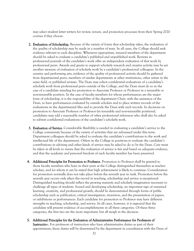may select student letter writers for review, tenure, and promotion processes from their Spring 2020 courses if they choose.

- 2. Evaluation of Scholarship. Because of the variety of forms that scholarship takes, the evaluation of the quality of scholarship may be made in a number of ways. In all cases, the College should seek evidence relevant to each discipline. Whenever appropriate, tenured members of the department should be asked to evaluate a candidate's published and unpublished work. Reviews in professional journals of the candidate's work offer an independent evaluation of that work by professional peers. Awards and grants to support scholarly research and creative activity may be yet another measure of evaluation of scholarly work by a candidate's professional colleagues. In the creative and performing arts, evidence of the quality of professional activity should be gathered from departmental peers, members of similar departments at other institutions, other artists in the same field, or published reviews. The Dean may solicit confidential evaluations of a candidate's scholarly work from professional peers outside of the College, and the Dean must do so in the case of a candidate standing for promotion to Associate Professor or Professor in a tenurable or non-tenurable position. In the case of faculty members for whom performances are the major form of scholarship, it is the responsibility of the department Chair, with the assistance of the Dean, to have performances evaluated by outside scholars and to place written records of the evaluations in the departmental files and to provide the Dean with such records. In decisions on promotion to Associate Professor or Professor (in tenurable and non-tenurable positions), candidates may add a reasonable number of other professional references who shall also be asked to submit confidential evaluations of the candidate's scholarly work.
- 3. Evaluation of Service. Considerable flexibility is needed in evaluating a candidate's service to the College community because of the variety of activities that are subsumed under this term. Department colleagues should be asked to evaluate the candidate's contributions to the work and intellectual life of the department. Others in the College in positions to evaluate the candidate's contributions in advising and other kinds of service may be asked to do so by the Dean. Care must be taken at all levels to insure that the evaluation of service is fair and based on adequate evidence, and that the academic and personal freedom of each faculty member has been preserved.
- 4. Additional Principles for Promotion to Professor. Promotion to Professor shall be granted to those faculty members who have in their years at the College distinguished themselves as teacherscholars, and for whom it can be stated that high achievement is likely to continue. Consideration for promotion normally does not take place before the seventh year in rank. Promotion before the seventh year occurs only when the record in teaching, scholarship and service is exceptional. Distinguished teaching should reflect the growing maturity and scholarly imagination necessary to challenge all types of students. Sound and developing scholarship, an important sign of sustained learning, creativity, and professional growth, should be demonstrated through forms of public scholarship such as publication, critical investigation, invention, and the presentation of papers, or exhibitions or performances. Each candidate for promotion to Professor may have different strengths in teaching, scholarship, and service. In all cases, however, it is expected that the candidate will present evidence of accomplishments in all three categories. Of these three categories, the first two are the more important, but all weigh in the decision.
- 5. Additional Principles for the Evaluation of Administrative Performance for Professors of Instruction. For professors of instruction who have administrative duties as part of their appointment, those duties will be determined by the department in consultation with the Dean of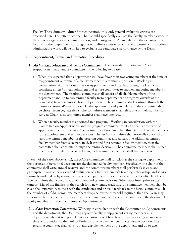Faculty. These duties will differ for each position; thus only general evaluative criteria are described here. The letter from the Chair should specifically evaluate the faculty member's work in the areas of organization, communication, and management. All members of the department and faculty in other departments or programs with direct experience with the professor of instruction's administrative work, will be invited to evaluate the candidate's performance by the Dean.

#### G. Reappointment, Tenure, and Promotion Procedures

- 1. Ad hoc Reappointment and Tenure Committees. The Dean shall appoint an *ad hoc* reappointment and tenure committee in the following two cases.
	- a. When it is expected that a department will have fewer than two voting members at the time of reappointment or tenure of a faculty member in a tenurable position. Working in consultation with the Committee on Appointments and the department, the Dean shall constitute an *ad hoc* reappointment and tenure committee to supplement voting members in the department. The resulting committee shall consist of all eligible members of the department and up to two tenured faculty from departments or programs outside of the designated faculty member's home department. The committee shall continue through the tenure decision. Whenever possible, the appointed faculty members on the committee shall be chosen from cognate fields. The committee members shall select one of their number to serve as Chair; each committee member shall have one vote.
	- b. When a faculty member is appointed in a program. Working in consultation with the Committee on Appointments and the program committee, the Dean shall, at the time of appointment, constitute an *ad hoc* committee of no fewer than three tenured faculty members for reappointment and tenure decisions. The *ad hoc* committee shall normally consist of at least one tenured member of the program committee and at least one additional tenured faculty member from a cognate field. If created for a tenurable faculty member, then the committee shall continue through the tenure decision. The committee members shall select one of their number to serve as Chair; each committee member shall have one vote.

In each of the cases above (a., b.), the *ad hoc* committee shall function as the surrogate department for the purposes of personnel decisions for the designated faculty member. Specifically, the chair of the committee shall write annual reviews, and the committee members shall perform class visits and participate in any other review and evaluation of a faculty member's teaching, scholarship, and service normally undertaken by voting members of a department in accordance with the Faculty Handbook. The committee shall vote on reappointment and tenure decisions. When appointed prior to the campus visits of the finalists in the search for a new tenure-track hire, all committee members shall be given the opportunity to meet with the candidates and provide feedback to the hiring committee. If the number of *ad hoc* committee members drops below the threshold required, then the Dean may appoint replacements in consultation with the remaining members of the committee, the designated faculty member, and the Committee on Appointments.

2. Ad hoc Promotion Committees. Working in consultation with the Committee on Appointments and the department, the Dean may appoint faculty to supplement voting members in a department when it is expected that a department will have fewer than two voting members at the time of promotion to the rank of Professor of a faculty member in a tenurable position. The resulting committee shall consist of any eligible members of the department and up to two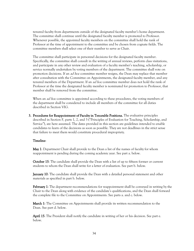tenured faculty from departments outside of the designated faculty member's home department. The committee shall continue until the designated faculty member is promoted to Professor. Whenever possible, the appointed faculty members on the committee shall hold the rank of Professor at the time of appointment to the committee and be chosen from cognate fields. The committee members shall select one of their number to serve as Chair.

The committee shall participate in personnel decisions for the designated faculty member. Specifically, the committee shall consult in the writing of annual reviews, perform class visitations, and participate in any other review and evaluation of a faculty member's teaching, scholarship, or service normally undertaken by voting members of the department. The committee shall vote on promotion decisions. If an *ad hoc* committee member resigns, the Dean may replace that member after consultation with the Committee on Appointments, the designated faculty member, and any tenured members of the Department. If an *ad hoc* committee member does not hold the rank of Professor at the time the designated faculty member is nominated for promotion to Professor, that member shall be removed from the committee.

When an *ad hoc* committee is appointed according to these procedures, the voting members of the department shall be considered to include all members of the committee for all duties described in Section VIG.

3. Procedures for Reappointment of Faculty in Tenurable Positions. The evaluative principles described in Section F, parts 1, 2, and 3 ("Principles of Evaluation for Teaching, Scholarship, and Service"), are here assumed. The dates provided in this section are guidelines intended to enable candidates to learn of the decisions as soon as possible. They are not deadlines in the strict sense that failure to meet them would constitute procedural impropriety.

### Timeline:

May 1: Department Chair shall provide to the Dean a list of the names of faculty for whom reappointment is pending during the coming academic year. See part a. below.

October 15: The candidate shall provide the Dean with a list of up to fifteen former or current students to whom the Dean shall write for a letter of evaluation. See part b. below.

**January 10**: The candidate shall provide the Dean with a detailed personal statement and other materials as specified in part b. below.

February 1: The department recommendations for reappointment shall be conveyed in writing by the Chair to the Dean along with evidence of the candidate's qualifications, and the Dean shall forward the complete file to the Committee on Appointments. See parts a. and c. below.

March 1: The Committee on Appointments shall provide its written recommendation to the Dean. See part d. below.

April 15: The President shall notify the candidate in writing of her or his decision. See part e. below.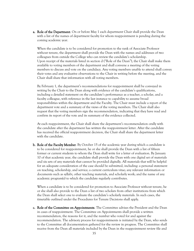**a. Role of the Department**. On or before May 1 each department Chair shall provide the Dean with a list of the names of department faculty for whom reappointment is pending during the coming academic year.

When the candidate is to be considered for promotion to the rank of Associate Professor without tenure, the department shall provide the Dean with the names and addresses of two colleagues from outside the College who can review the candidate's scholarship. Upon receipt of the materials listed in section d ("Role of the Dean"), the Chair shall make them available to voting members of the department and shall convene a meeting of the voting members to discuss and vote on the candidacy. Any voting members unable to attend shall convey their votes and any evaluative observations to the Chair in writing before the meeting, and the Chair shall share that information with all voting members.

By February 1, the department's recommendations for reappointment shall be conveyed in writing by the Chair to the Dean along with evidence of the candidate's qualifications, including a detailed statement on the candidate's performance as a teacher, a scholar, and a faculty colleague, with reference in the last instance to capability to assume broad responsibilities within the department and the Faculty. The Chair must include a report of the department vote and a summary of the views of the voting members. The Chair shall also request that the voting members sign the recommendation, indicating that they have read and confirm its report of the vote and its summary of the evidence collected.

At each reappointment, the Chair shall share the department's recommendation orally with the candidate after the department has written the reappointment letter. After the candidate has received the official reappointment decision, the Chair shall share the department letter with the candidate.

**b. Role of the Faculty Member**. By October 15 of the academic year during which a candidate is to be considered for reappointment, he or she shall provide the Dean with a list of fifteen former or current students to whom the Dean shall write for a letter of evaluation. By January 10 of that academic year, the candidate shall provide the Dean with one digital set of materials and six sets of any materials that cannot be provided digitally. All materials that will be helpful for an adequate consideration of the case should be submitted, including: a personal statement on teaching, scholarship, and service; a current curriculum vitae; any relevant information or documents such as syllabi, other teaching materials, and scholarly work; and the name of any academic program(s) to which the candidate regularly contributes.

When a candidate is to be considered for promotion to Associate Professor without tenure, he or she shall also provide to the Dean a list of two scholars from other institutions from which the Dean shall select one to evaluate the candidate's scholarly materials. In such cases, the timetable outlined under the Procedures for Tenure Decisions shall apply.

c. Role of the Committee on Appointments. The Committee advises the President and the Dean in cases of reappointment. The Committee on Appointments shall provide a written recommendation, the reasons for it, and the number who voted for and against the recommendation. The advisory process for reappointments is initiated by the Dean, who sends to the Committee all documentation gathered for the review in progress. The Committee shall receive from the Dean all materials included by the Dean in the reappointment review file and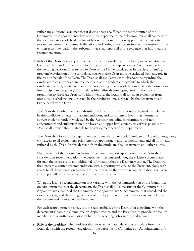gather any additional evidence that it deems necessary. When the subcommittee of the Committee on Appointments differs with the department, the Subcommittee shall confer with the voting members of the department before the Committee on Appointments makes its recommendation. Committee deliberations and voting always occur in executive session. In the written recommendation, the Subcommittee shall report all of the evidence that informed the recommendation.

d. Role of the Dean. For reappointments, it is the responsibility of the Dean, in consultation with both the Chair and the candidate, to gather as full and complete a record as appears useful to the pending decision. If an Associate Dean of the Faculty participates in the department's (or program's) evaluation of the candidate, that Associate Dean must be excluded from any role in the case on behalf of the Dean. The Dean shall seek letters with observations regarding the candidacy from current committee members of the academic program(s) to which the candidate regularly contributes and from non-voting members of the candidate's department or interdisciplinary program (for candidates hired directly into a program).. In the case of promotion to Associate Professor without tenure, the Dean shall solicit an evaluation from four outside scholars, one suggested by the candidate, one suggested by the department, and two selected by the Dean.

The Dean shall gather the materials submitted by the candidate, contact the students selected by the candidate for letters of recommendation, and solicit letters from fifteen former or current students randomly selected by the Registrar, including concentrators and nonconcentrators and students from both lower- and upper-level courses. As early as possible the Dean shall provide these materials to the voting members of the department.

The Dean shall forward the department recommendation to the Committee on Appointments, along with access to all evaluations, prior letters of appointment and reappointment, and all information gathered by the Dean for this decision from the candidate, the department, and other sources.

Upon receipt of the recommendation of the Committee on Appointments, the Dean shall consider that recommendation, the department recommendation, the evidence accumulated through the process, and any additional information that the Dean may gather. The Dean will then present a written recommendation, with supporting reasons, to the President, along with access to all documentation gathered for the review. In the written recommendation, the Dean shall report all of the evidence that informed the recommendation.

When the Dean's recommendation is at variance with the recommendation of the Committee on Appointments or of the department, the Dean shall call a meeting of the Committee on Appointments Chair and the Committee on Appointments Subcommittee that considered the case, the Dean, and the voting members of the department in order to seek agreement before the recommendations go to the President.

For each reappointment review, it is the responsibility of the Dean, after consulting with the department Chair, the Committee on Appointments, and the President, to provide the faculty member with a written evaluation of her or his teaching, scholarship, and service.

e. Role of the President. The President shall receive the materials on the candidate from the Dean along with the recommendations of the department, Committee on Appointments, and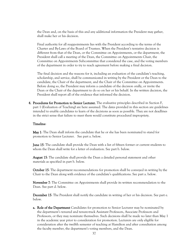the Dean and, on the basis of this and any additional information the President may gather, shall make her or his decision.

Final authority for all reappointments lies with the President according to the terms of the Charter and By-Laws of the Board of Trustees. When the President's tentative decision is different from that of the Dean, or the Committee on Appointments, or the department, the President shall call a meeting of the Dean, the Committee on Appointments Chair, the Committee on Appointments Subcommittee that considered the case, and the voting members of the department in order to try to reach agreement before making a final decision.

The final decision and the reasons for it, including an evaluation of the candidate's teaching, scholarship, and service, shall be communicated in writing by the President or the Dean to the candidate, the Chair of the department, and the Chair of the Committee on Appointments. Before doing so, the President may inform a candidate of the decision orally, or invite the Dean or the Chair of the department to do so on her or his behalf. In the written decision, the President shall report all of the evidence that informed the decision.

4. Procedures for Promotion to Senior Lecturer. The evaluative principles described in Section F, part 1 (Evaluation of Teaching) are here assumed. The dates provided in this section are guidelines intended to enable candidates to learn of the decisions as soon as possible. They are not deadlines in the strict sense that failure to meet them would constitute procedural impropriety.

### Timeline:

May 1: The Dean shall inform the candidate that he or she has been nominated to stand for promotion to Senior Lecturer. See part a. below.

**June 15:** The candidate shall provide the Dean with a list of fifteen former or current students to whom the Dean shall write for a letter of evaluation. See part b. below.

**August 15:** The candidate shall provide the Dean a detailed personal statement and other materials as specified in part b. below.

October 15: The department recommendations for promotion shall be conveyed in writing by the Chair to the Dean along with evidence of the candidate's qualifications. See part a. below.

November 7: The Committee on Appointments shall provide its written recommendation to the Dean. See part d. below.

December 15: The President shall notify the candidate in writing of her or his decision. See part e. below.

a. Role of the Department Candidates for promotion to Senior Lecturer may be nominated by the department's tenured and tenure-track Assistant Professors, Associate Professors and Professors, or they may nominate themselves. Such decisions shall be made no later than May 1 in the academic year prior to consideration for promotion. Lecturers are only eligible for consideration after the twelfth semester of teaching at Hamilton and after consultation among the faculty member, the department's voting members, and the Dean.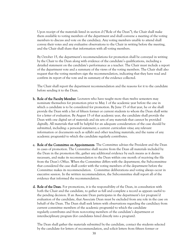Upon receipt of the materials listed in section d ("Role of the Dean"), the Chair shall make them available to voting members of the department and shall convene a meeting of the voting members to discuss and vote on the candidacy. Any voting members unable to attend shall convey their votes and any evaluative observations to the Chair in writing before the meeting, and the Chair shall share that information with all voting members.

By October 15, the department's recommendations for promotion shall be conveyed in writing by the Chair to the Dean along with evidence of the candidate's qualifications, including a detailed statement on the candidate's performance as a teacher. The Chair must include a report of the department vote and a summary of the views of the voting members. The Chair shall also request that the voting members sign the recommendation, indicating that they have read and confirm its report of the vote and its summary of the evidence collected.

The Chair shall report the department recommendation and the reasons for it to the candidate before sending it to the Dean.

- **b. Role of the Faculty Member.** Lecturers who have taught more than twelve semesters may nominate themselves for promotion prior to May 1 of the academic year before the one in which a candidate is to be considered for promotion. By June 15 of that year, he or she shall provide the Dean with a list of fifteen former or current students to whom the Dean shall write for a letter of evaluation. By August 15 of that academic year, the candidate shall provide the Dean with one digital set of materials and six sets of any materials that cannot be provided digitally. All materials that will be helpful for an adequate consideration of the case should be submitted, including: a personal statement; a current *curriculum vitae*; any relevant information or documents such as syllabi and other teaching materials; and the name of any academic program(s) to which the candidate regularly contributes.
- c. Role of the Committee on Appointments. The Committee advises the President and the Dean in cases of promotion. The Committee shall receive from the Dean all materials included by the Dean in the promotion file, gather any additional evidence by such means as it deems necessary, and make its recommendation to the Dean within one month of receiving the file from the Dean's Office. When the Committee differs with the department, the Subcommittee that considered the case shall confer with the voting members of the department before the Committee makes its recommendation. Committee deliberations and voting always occur in executive session. In the written recommendation, the Subcommittee shall report all of the evidence that informed the recommendation.
- d. Role of the Dean. For promotions, it is the responsibility of the Dean, in consultation with both the Chair and the candidate, to gather as full and complete a record as appears useful to the pending decision. If an Associate Dean participates in the department's (or program's) evaluation of the candidate, that Associate Dean must be excluded from any role in the case on behalf of the Dean. The Dean shall seek letters with observations regarding the candidacy from current committee members of the academic program(s) to which the candidate regularly contributes and from non-voting members of the candidate's department or interdisciplinary program (for candidates hired directly into a program).

The Dean shall gather the materials submitted by the candidate, contact the students selected by the candidate for letters of recommendation, and solicit letters from fifteen former or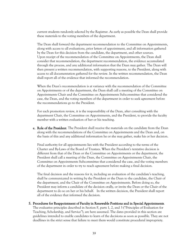current students randomly selected by the Registrar. As early as possible the Dean shall provide these materials to the voting members of the department.

The Dean shall forward the department recommendation to the Committee on Appointments, along with access to all evaluations, prior letters of appointment, and all information gathered by the Dean for this decision from the candidate, the department, and other sources. Upon receipt of the recommendation of the Committee on Appointments, the Dean shall consider that recommendation, the department recommendation, the evidence accumulated through the process, and any additional information that the Dean may gather. The Dean will then present a written recommendation, with supporting reasons, to the President, along with access to all documentation gathered for the review. In the written recommendation, the Dean shall report all of the evidence that informed the recommendation.

When the Dean's recommendation is at variance with the recommendation of the Committee on Appointments or of the department, the Dean shall call a meeting of the Committee on Appointments Chair and the Committee on Appointments Subcommittee that considered the case, the Dean, and the voting members of the department in order to seek agreement before the recommendations go to the President.

For each promotion review, it is the responsibility of the Dean, after consulting with the department Chair, the Committee on Appointments, and the President, to provide the faculty member with a written evaluation of her or his teaching.

e. Role of the President. The President shall receive the materials on the candidate from the Dean along with the recommendations of the Committee on Appointments and the Dean and, on the basis of this and any additional information he or she may gather, make his or her decision.

Final authority for all appointments lies with the President according to the terms of the Charter and By-Laws of the Board of Trustees. When the President's tentative decision is different from that of the Dean or the Committee on Appointments or the department, the President shall call a meeting of the Dean, the Committee on Appointments Chair, the Committee on Appointments Subcommittee that considered the case, and the voting members of the department in order to try to reach agreement before making a final decision.

The final decision and the reasons for it, including an evaluation of the candidate's teaching, shall be communicated in writing by the President or the Dean to the candidate, the Chair of the department, and the Chair of the Committee on Appointments. Before doing so, the President may inform a candidate of the decision orally, or invite the Dean or the Chair of the department to do so on her or his behalf. In the written decision, the President shall report all of the evidence that informed the decision.

#### 5. Procedures for Reappointment of Faculty in Renewable Positions and in Special Appointments.

The evaluative principles described in Section F, parts 1, 2, and 3 ("Principles of Evaluation for Teaching, Scholarship, and Service"), are here assumed. The dates provided in this section are guidelines intended to enable candidates to learn of the decisions as soon as possible. They are not deadlines in the strict sense that failure to meet them would constitute procedural impropriety.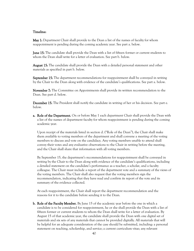#### Timeline:

May 1: Department Chair shall provide to the Dean a list of the names of faculty for whom reappointment is pending during the coming academic year. See part a. below.

June 15: The candidate shall provide the Dean with a list of fifteen former or current students to whom the Dean shall write for a letter of evaluation. See part b. below.

**August 15:** The candidate shall provide the Dean with a detailed personal statement and other materials as specified in part b. below.

**September 15:** The department recommendations for reappointment shall be conveyed in writing by the Chair to the Dean along with evidence of the candidate's qualifications. See part a. below.

November 7: The Committee on Appointments shall provide its written recommendation to the Dean. See part d. below.

December 15: The President shall notify the candidate in writing of her or his decision. See part e. below.

**a. Role of the Department.** On or before May 1 each department Chair shall provide the Dean with a list of the names of department faculty for whom reappointment is pending during the coming academic year.

Upon receipt of the materials listed in section d. ("Role of the Dean"), the Chair shall make them available to voting members of the department and shall convene a meeting of the voting members to discuss and vote on the candidacy. Any voting members unable to attend shall convey their votes and any evaluative observations to the Chair in writing before the meeting, and the Chair shall share that information with all voting members.

By September 15, the department's recommendations for reappointment shall be conveyed in writing by the Chair to the Dean along with evidence of the candidate's qualifications, including a detailed statement on the candidate's performance as a teacher, a scholar, and a faculty colleague. The Chair must include a report of the department vote and a summary of the views of the voting members. The Chair shall also request that the voting members sign the recommendation, indicating that they have read and confirm its report of the vote and its summary of the evidence collected.

At each reappointment, the Chair shall report the department recommendation and the reasons for it to the candidate before sending it to the Dean.

**b. Role of the Faculty Member.** By June 15 of the academic year before the one in which a candidate is to be considered for reappointment, he or she shall provide the Dean with a list of fifteen former or current students to whom the Dean shall write for a letter of evaluation. By August 15 of that academic year, the candidate shall provide the Dean with one digital set of materials and six sets of any materials that cannot be provided digitally. All materials that will be helpful for an adequate consideration of the case should be submitted, including: a personal statement on teaching, scholarship, and service; a current curriculum vitae; any relevant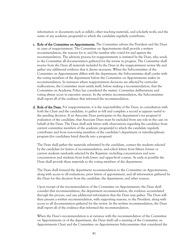information or documents such as syllabi, other teaching materials, and scholarly work; and the name of any academic program(s) to which the candidate regularly contributes.

- c. Role of the Committee on Appointments. The Committee advises the President and the Dean in cases of reappointment. The Committee on Appointments shall provide a written recommendation, the reasons for it, and the number who voted for and against the recommendation. The advisory process for reappointments is initiated by the Dean, who sends to the Committee all documentation gathered for the review in progress. The Committee shall receive from the Dean all materials included by the Dean in the reappointment review file and gather any additional evidence that it deems necessary. When the Subcommittee of the Committee on Appointments differs with the department, the Subcommittee shall confer with the voting members of the department before the Committee on Appointments makes its recommendation. In instances where reappointment decisions are affected by curricular reallocations, the Committee must satisfy itself, before making a recommendation, that the Committee on Academic Policy has considered the matter. Committee deliberations and voting always occur in executive session. In the written recommendation, the Subcommittee shall report all of the evidence that informed the recommendation.
- d. Role of the Dean. For reappointments, it is the responsibility of the Dean, in consultation with both the Chair and the candidate, to gather as full and complete a record as appears useful to the pending decision. If an Associate Dean participates in the department's (or program's) evaluation of the candidate, that Associate Dean must be excluded from any role in the case on behalf of the Dean. The Dean shall seek letters with observations regarding the candidacy from current committee members of the academic program(s) to which the candidate regularly contributes and from non-voting members of the candidate's department or interdisciplinary program (for candidates hired directly into a program).

The Dean shall gather the materials submitted by the candidate, contact the students selected by the candidate for letters of recommendation, and solicit letters from fifteen former or current students randomly selected by the Registrar, including concentrators and nonconcentrators and students from both lower- and upper-level courses. As early as possible the Dean shall provide these materials to the voting members of the department.

The Dean shall forward the department recommendation to the Committee on Appointments, along with access to all evaluations, prior letters of appointment, and all information gathered by the Dean for this decision from the candidate, the department, and other sources.

Upon receipt of the recommendation of the Committee on Appointments, the Dean shall consider that recommendation, the department recommendation, the evidence accumulated through the process, and any additional information that the Dean may gather. The Dean will then present a written recommendation, with supporting reasons, to the President, along with access to all documentation gathered for the review. In the written recommendation, the Dean shall report all of the evidence that informed the recommendation.

When the Dean's recommendation is at variance with the recommendation of the Committee on Appointments or of the department, the Dean shall call a meeting of the Committee on Appointments Chair and the Committee on Appointments Subcommittee that considered the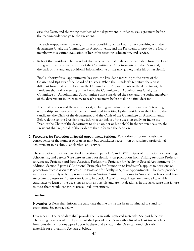case, the Dean, and the voting members of the department in order to seek agreement before the recommendations go to the President.

For each reappointment review, it is the responsibility of the Dean, after consulting with the department Chair, the Committee on Appointments, and the President, to provide the faculty member with a written evaluation of her or his teaching, scholarship, and service.

e. Role of the President. The President shall receive the materials on the candidate from the Dean along with the recommendations of the Committee on Appointments and the Dean and, on the basis of this and any additional information he or she may gather, make his or her decision.

Final authority for all appointments lies with the President according to the terms of the Charter and By-Laws of the Board of Trustees. When the President's tentative decision is different from that of the Dean or the Committee on Appointments or the department, the President shall call a meeting of the Dean, the Committee on Appointments Chair, the Committee on Appointments Subcommittee that considered the case, and the voting members of the department in order to try to reach agreement before making a final decision.

The final decision and the reasons for it, including an evaluation of the candidate's teaching, scholarship, and service, shall be communicated in writing by the President or the Dean to the candidate, the Chair of the department, and the Chair of the Committee on Appointments. Before doing so, the President may inform a candidate of the decision orally, or invite the Dean or the Chair of the department to do so on her or his behalf. In the written decision, the President shall report all of the evidence that informed the decision.

6. Procedures for Promotion in Special Appointment Positions. Promotion is not exclusively the consequence of the number of years in rank but constitutes recognition of sustained professional achievement in teaching, scholarship, and service.

The evaluative principles described in Section F, parts 1, 2, and 3 ("Principles of Evaluation for Teaching, Scholarship, and Service") are here assumed for decisions on promotion from Visiting Assistant Professor to Associate Professor and from Associate Professor to Professor for faculty in Special Appointments. In addition, Section F part 4 ("Additional Principles for Promotion to Professor"), applies to decisions on promotion from Associate Professor to Professor for faculty in Special Appointments. The dates provided in this section apply to both promotions from Visiting Assistant Professor to Associate Professor and from Associate Professor to Professor for faculty in Special Appointments. Dates are intended to enable candidates to learn of the decisions as soon as possible and are not deadlines in the strict sense that failure to meet them would constitute procedural impropriety.

#### Timeline:

November 1: Dean shall inform the candidate that he or she has been nominated to stand for promotion. See part a. below.

December 1: The candidate shall provide the Dean with requested materials. See part b. below. The voting members of the department shall provide the Dean with a list of at least two scholars from outside institutions agreed upon by them and to whom the Dean can send scholarly materials for evaluation. See part c. below.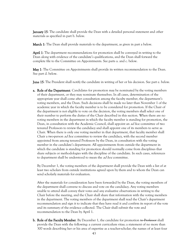**January 15:** The candidate shall provide the Dean with a detailed personal statement and other materials as specified in part b. below.

March 1: The Dean shall provide materials to the department, as given in part a below.

April 1: The department recommendations for promotion shall be conveyed in writing to the Dean along with evidence of the candidate's qualifications, and the Dean shall forward the complete file to the Committee on Appointments. See parts a. and c. below.

May 1: The Committee on Appointments shall provide its written recommendation to the Dean. See part d. below.

June 15: The President shall notify the candidate in writing of her or his decision. See part e. below.

**a. Role of the Department**. Candidates for promotion may be nominated by the voting members of their department, or they may nominate themselves. In all cases, determination of the appropriate year shall come after consultation among the faculty member, the department's voting members, and the Dean. Such decisions shall be made no later than November 1 of the academic year in which the faculty member is to be considered for promotion. If the Chair of the department is not eligible to vote on the decision, the voting members shall select one of their number to perform the duties of the Chair described in this section. When there are no voting members in the department in which the faculty member is standing for promotion, the Dean, in consultation with the Academic Council, shall appoint an *ad hoc* committee of two tenured Professors to review the candidacy and shall appoint one of its members to serve as Chair. When there is only one voting member in that department, that faculty member shall Chair a two-person *ad hoc* committee to review the candidacy, with the second member appointed from among tenured Professors by the Dean, in consultation with the voting member in the candidate's department. All appointments from outside the department in which the candidate is standing for promotion should normally come from disciplines that share subjects or methodologies with the discipline of the candidate. In such cases, references to department shall be understood to mean the *ad hoc* committee.

By December 1, the voting members of the department shall provide the Dean with a list of at least two scholars from outside institutions agreed upon by them and to whom the Dean can send scholarly materials for evaluation.

After the materials for consideration have been forwarded by the Dean, the voting members of the department shall convene to discuss and vote on the candidacy. Any voting members unable to attend shall convey their votes and any evaluative observations in writing to the Chair before the meeting, and the Chair shall share that information with the voting members in the department. The voting members of the department shall read the Chair's department recommendation and sign it to indicate that they have read it and confirm its report of the vote and its summary of the evidence collected. The Chair shall submit the vote and recommendation to the Dean by April 1.

b. Role of the Faculty Member. By December 1, the candidate for promotion to Professor shall provide the Dean with the following: a current curriculum vitae; a statement of no more than 300 words describing her or his area of expertise as a teacher-scholar; the names of at least four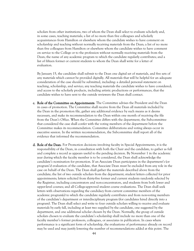scholars from other institutions, two of whom the Dean shall select to evaluate scholarly and, in some cases, teaching materials; a list of no more than five colleagues and scholarly acquaintances from Hamilton or elsewhere whom the candidate wishes to have comment on scholarship and teaching without normally receiving materials from the Dean; a list of no more than five colleagues from Hamilton or elsewhere whom the candidate wishes to have comment on service to the College or to the profession without normally receiving materials from the Dean; the name of any academic program to which the candidate regularly contributes; and a list of fifteen former or current students to whom the Dean shall write for a letter of evaluation.

By January 15, the candidate shall submit to the Dean one digital set of materials, and five sets of any materials which cannot be provided digitally. All materials that will be helpful for an adequate consideration of the case should be submitted, including: a detailed personal statement on teaching, scholarship, and service; any teaching materials the candidate wishes to have considered; and access to the scholarly products, including artistic productions or performances, that the candidate wishes to have sent to the outside reviewers the Dean shall contact.

- c. Role of the Committee on Appointments. The Committee advises the President and the Dean in cases of promotion. The Committee shall receive from the Dean all materials included by the Dean in the promotion file, gather any additional evidence by such means as it deems necessary, and make its recommendation to the Dean within one month of receiving the file from the Dean's Office. When the Committee differs with the department, the Subcommittee that considered the case shall confer with the voting members of the department before the Committee makes its recommendation. Committee deliberations and voting always occur in executive session. In the written recommendation, the Subcommittee shall report all of the evidence that informed the recommendation.
- d. Role of the Dean. For Promotion decisions involving faculty in Special Appointments, it is the responsibility of the Dean, in consultation with both the Chair and the candidate, to gather as full and complete a record as appears useful to the pending decision. By November 1 in the academic year during which the faculty member is to be considered, the Dean shall acknowledge the candidate's nomination for promotion. If an Associate Dean participates in the department's (or program's) evaluation of the candidate, that Associate Dean must be excluded from any role in the case on behalf of the Dean. The Dean shall gather the materials described above from the candidate; the list of two outside scholars from the department; student letters collected for prior appointments; letters solicited from thirty-five former and current students randomly selected by the Registrar, including concentrators and non-concentrators, and students from both lower and upper-level courses; and all College-approved student course evaluations. The Dean shall seek letters with observations regarding the candidacy from current committee members of the academic program(s) to which the candidate regularly contributes and from non-voting members of the candidate's department or interdisciplinary program (for candidates hired directly into a program). The Dean shall select and write to four outside scholars willing to receive and evaluate materials by early fall, including at least two supplied by the candidate, one suggested by the department, and one additional scholar chosen by the Dean. Normally, the group of outside scholars chosen to evaluate the candidate's scholarship shall include no more than one of the faculty member's former professors, colleagues, or associates in publication. In cases where performance is a significant form of scholarship, the evaluations of performance already on record may be used and may justify lowering the number of recommendations added at this point. The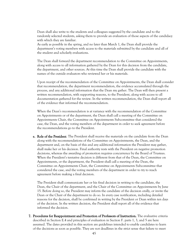Dean shall also write to the students and colleagues suggested by the candidate and to the randomly selected students, asking them to provide an evaluation of those aspects of the candidacy with which they are familiar.

As early as possible in the spring, and no later than March 1, the Dean shall provide the department's voting members with access to the materials submitted by the candidate and all of the student and scholarly evaluations.

The Dean shall forward the department recommendation to the Committee on Appointments, along with access to all information gathered by the Dean for this decision from the candidate, the department, and other sources. At this time the Dean shall provide the candidate with the names of the outside evaluators who reviewed her or his materials.

Upon receipt of the recommendation of the Committee on Appointments, the Dean shall consider that recommendation, the department recommendation, the evidence accumulated through the process, and any additional information that the Dean my gather. The Dean will then present a written recommendation, with supporting reasons, to the President, along with access to all documentation gathered for the review. In the written recommendation, the Dean shall report all of the evidence that informed the recommendation.

When the Dean's recommendation is at variance with the recommendation of the Committee on Appointments or of the department, the Dean shall call a meeting of the Committee on Appointments Chair, the Committee on Appointments Subcommittee that considered the case, the Dean, and the voting members of the department in order to seek agreement before the recommendations go to the President.

**e. Role of the President**. The President shall receive the materials on the candidate from the Dean along with the recommendations of the Committee on Appointments, the Dean, and the department and, on the basis of this and any additional information the President may gather, shall make her or his decision. Final authority rests with the President on negative promotion decisions, whereas the awarding of promotion requires concurrence by the Board of Trustees. When the President's tentative decision is different from that of the Dean, the Committee on Appointments, or the department, the President shall call a meeting of the Dean, the Committee on Appointments Chair, the Committee on Appointments Subcommittee that considered the case, and the voting members of the department in order to try to reach agreement before making a final decision.

The President shall communicate her or his final decision in writing to the candidate, the Dean, the Chair of the department, and the Chair of the Committee on Appointments by June 15. Before doing so, the President may inform the candidate of the decision orally, or invite the Dean or the Chair of the department to do so. In every case notification, including detailed reasons for the decision, shall be confirmed in writing by the President or Dean within ten days of the decision. In the written decision, the President shall report all of the evidence that informed the decision.

7. Procedures for Reappointment and Promotion of Professors of Instruction. The evaluative criteria described in Section E.4 and principles of evaluation in Section F. parts 1, 3, and 5 are here assumed. The dates provided in this section are guidelines intended to enable candidates to learn of the decisions as soon as possible. They are not deadlines in the strict sense that failure to meet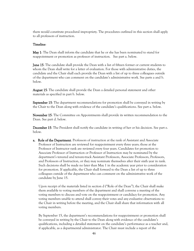them would constitute procedural impropriety. The procedures outlined in this section shall apply to all professors of instruction.

### Timeline:

May 1: The Dean shall inform the candidate that he or she has been nominated to stand for reappointment or promotion as professor of instruction. See part a. below.

June 15: The candidate shall provide the Dean with a list of fifteen former or current students to whom the Dean shall write for a letter of evaluation. For those with administrative duties, the candidate and the Chair shall each provide the Dean with a list of up to three colleagues outside of the department who can comment on the candidate's administrative work. See parts a and b. below.

**August 15:** The candidate shall provide the Dean a detailed personal statement and other materials as specified in part b. below.

September 15: The department recommendations for promotion shall be conveyed in writing by the Chair to the Dean along with evidence of the candidate's qualifications. See part a. below.

November 15: The Committee on Appointments shall provide its written recommendation to the Dean. See part d. below.

December 15: The President shall notify the candidate in writing of her or his decision. See part e. below.

**a.** Role of the Department. Professors of instruction at the rank of Assistant and Associate Professor of Instruction are reviewed for reappointment every three years; those at the Professor of Instructor rank are reviewed every four years. Candidates for promotion to Associate Professor of Instruction or Professor of Instruction may be nominated by the department's tenured and tenure-track Assistant Professors, Associate Professors, Professors, and Professors of Instruction, or they may nominate themselves after their sixth year in rank. Such decisions shall be made no later than May 1 in the academic year prior to consideration for promotion. If applicable, the Chair shall forward to the Dean a list of up to three colleagues outside of the department who can comment on the administrative work of the candidate by June 15.

Upon receipt of the materials listed in section d ("Role of the Dean"), the Chair shall make them available to voting members of the department and shall convene a meeting of the voting members to discuss and vote on the reappointment or candidacy for promotion. Any voting members unable to attend shall convey their votes and any evaluative observations to the Chair in writing before the meeting, and the Chair shall share that information with all voting members.

By September 15, the department's recommendations for reappointment or promotion shall be conveyed in writing by the Chair to the Dean along with evidence of the candidate's qualifications, including a detailed statement on the candidate's performance as a teacher and, if applicable, as a departmental administrator. The Chair must include a report of the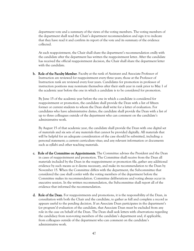department vote and a summary of the views of the voting members. The voting members of the department shall read the Chair's department recommendation and sign it to indicate that they have read it and confirm its report of the vote and its summary of the evidence collected.

At each reappointment, the Chair shall share the department's recommendation orally with the candidate after the department has written the reappointment letter. After the candidate has received the official reappointment decision, the Chair shall share the department letter with the candidate.

b. Role of the Faculty Member. Faculty at the rank of Assistant and Associate Professor of Instruction are reviewed for reappointment every three years; those at the Professor of Instruction rank are reviewed every four years. Candidates for promotion in professor of instruction positions may nominate themselves after their sixth year in rank prior to May 1 of the academic year before the one in which a candidate is to be considered for promotion.

By June 15 of the academic year before the one in which a candidate is considered for reappointment or promotion, the candidate shall provide the Dean with a list of fifteen former or current students to whom the Dean shall write for a letter of evaluation. For candidates who have administrative duties, the candidate shall provide the Dean with a list of up to three colleagues outside of the department who can comment on the candidate's administrative work.

By August 15 of that academic year, the candidate shall provide the Dean with one digital set of materials and six sets of any materials that cannot be provided digitally. All materials that will be helpful for an adequate consideration of the case should be submitted, including: a personal statement; a current curriculum vitae; and any relevant information or documents such as syllabi and other teaching materials.

- c. Role of the Committee on Appointments. The Committee advises the President and the Dean in cases of reappointment and promotion. The Committee shall receive from the Dean all materials included by the Dean in the reappointment or promotion file, gather any additional evidence by such means as it deems necessary, and make its recommendation to the Dean by November 15. When the Committee differs with the department, the Subcommittee that considered the case shall confer with the voting members of the department before the Committee makes its recommendation. Committee deliberations and voting always occur in executive session. In the written recommendation, the Subcommittee shall report all of the evidence that informed the recommendation.
- d. Role of the Dean. For reappointments and promotions, it is the responsibility of the Dean, in consultation with both the Chair and the candidate, to gather as full and complete a record as appears useful to the pending decision. If an Associate Dean participates in the department's (or program's) evaluation of the candidate, that Associate Dean must be excluded from any role in the case on behalf of the Dean. The Dean shall seek letters with observations regarding the candidacy from non-voting members of the candidate's department and, if applicable, from colleagues outside of the department who can comment on the candidate's administrative work.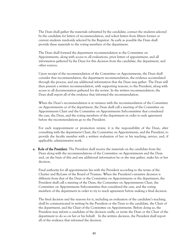The Dean shall gather the materials submitted by the candidate, contact the students selected by the candidate for letters of recommendation, and solicit letters from fifteen former or current students randomly selected by the Registrar. As early as possible the Dean shall provide these materials to the voting members of the department.

The Dean shall forward the department recommendation to the Committee on Appointments, along with access to all evaluations, prior letters of appointment, and all information gathered by the Dean for this decision from the candidate, the department, and other sources.

Upon receipt of the recommendation of the Committee on Appointments, the Dean shall consider that recommendation, the department recommendation, the evidence accumulated through the process, and any additional information that the Dean may gather. The Dean will then present a written recommendation, with supporting reasons, to the President, along with access to all documentation gathered for the review. In the written recommendation, the Dean shall report all of the evidence that informed the recommendation.

When the Dean's recommendation is at variance with the recommendation of the Committee on Appointments or of the department, the Dean shall call a meeting of the Committee on Appointments Chair and the Committee on Appointments Subcommittee that considered the case, the Dean, and the voting members of the department in order to seek agreement before the recommendations go to the President.

For each reappointment or promotion review, it is the responsibility of the Dean, after consulting with the department Chair, the Committee on Appointments, and the President, to provide the faculty member with a written evaluation of her or his teaching, service, and, if applicable, administrative work.

e. Role of the President. The President shall receive the materials on the candidate from the Dean along with the recommendations of the Committee on Appointments and the Dean and, on the basis of this and any additional information he or she may gather, make his or her decision.

Final authority for all appointments lies with the President according to the terms of the Charter and By-Laws of the Board of Trustees. When the President's tentative decision is different from that of the Dean or the Committee on Appointments or the department, the President shall call a meeting of the Dean, the Committee on Appointments Chair, the Committee on Appointments Subcommittee that considered the case, and the voting members of the department in order to try to reach agreement before making a final decision.

The final decision and the reasons for it, including an evaluation of the candidate's teaching, shall be communicated in writing by the President or the Dean to the candidate, the Chair of the department, and the Chair of the Committee on Appointments. Before doing so, the President may inform a candidate of the decision orally, or invite the Dean or the Chair of the department to do so on her or his behalf. In the written decision, the President shall report all of the evidence that informed the decision.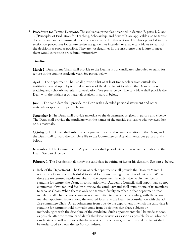8. Procedures for Tenure Decisions. The evaluative principles described in Section F, parts 1, 2, and 3 ("Principles of Evaluation for Teaching, Scholarship, and Service"), are applicable also to tenure decisions and are here assumed except where expanded in this section. The dates provided in this section on procedures for tenure review are guidelines intended to enable candidates to learn of the decisions as soon as possible. They are not deadlines in the strict sense that failure to meet them would constitute procedural impropriety.

### Timeline:

March 1: Department Chair shall provide to the Dean a list of candidates scheduled to stand for tenure in the coming academic year. See part a. below.

April 1: The department Chair shall provide a list of at least two scholars from outside the institution agreed upon by tenured members of the department to whom the Dean can send teaching and scholarly materials for evaluation. See part a. below. The candidate shall provide the Dean with the initial set of materials as given in part b. below.

**June 1**: The candidate shall provide the Dean with a detailed personal statement and other materials as specified in part b. below.

**September 1**: The Dean shall provide materials to the department, as given in parts a and c below. The Dean shall provide the candidate with the names of the outside evaluators who reviewed her or his materials.

October 1: The Chair shall submit the department vote and recommendation to the Dean, and the Dean shall forward the complete file to the Committee on Appointments. See parts a. and c. below.

November 1: The Committee on Appointments shall provide its written recommendation to the Dean. See part d. below.

February 1: The President shall notify the candidate in writing of her or his decision. See part e. below.

**a. Role of the Department**. The Chair of each department shall provide the Dean by March 1 with a list of candidates scheduled to stand for tenure during the next academic year. When there are no tenured faculty members in the department in which the faculty member is standing for tenure, the Dean, in consultation with Academic Council, shall appoint an *ad hoc* committee of two tenured faculty to review the candidacy and shall appoint one of its members to serve as Chair. When there is only one tenured faculty member in that department, that member shall Chair a two-person *ad hoc* committee to review the candidacy, with the second member appointed from among the tenured faculty by the Dean, in consultation with the *ad* hoc committee Chair. All appointments from outside the department in which the candidate is standing for tenure should normally come from disciplines that share subjects or methodologies with the discipline of the candidate. Such appointments shall be made as soon as possible after the tenure candidate's third-year review, or as soon as possible for an advanced candidate who will not have a third-year review. In such cases, references to department shall be understood to mean the *ad hoc* committee.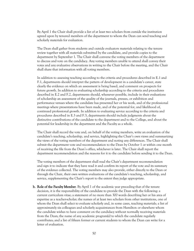By April 1 the Chair shall provide a list of at least two scholars from outside the institution agreed upon by tenured members of the department to whom the Dean can send teaching and scholarly materials for evaluation.

The Dean shall gather from students and outside evaluators materials relating to the tenure review together with all materials submitted by the candidate, and provide copies to the department by September 1. The Chair shall convene the voting members of the department to discuss and vote on the candidacy. Any voting members unable to attend shall convey their votes and any evaluative observations in writing to the Chair before the meeting, and the Chair shall share that information with all voting members.

In addition to assessing teaching according to the criteria and procedures described in E.1 and F.1, departments should interpret the pattern of development in a candidate's career, state clearly the evidence on which an assessment is being based, and comment on prospects for future growth. In addition to evaluating scholarship according to the criteria and procedures described in E.2 and F.2, departments should, whenever possible, include in their evaluations of scholarship an assessment of the quality of the journals, presses, or exhibition and performance venues where the candidate has presented her or his work, and of the professional meetings where presentations have been made, and of the potential for, and likelihood of, continued professional growth. In addition to evaluating service according to the criteria and procedures described in E.3 and F.3, departments should include judgments about the distinctive contributions of the candidate to the department and to the College, and about the potential for leadership in the department and the Faculty as a whole.

The Chair shall record the vote and, on behalf of the voting members, write an evaluation of the candidate's teaching, scholarship, and service, highlighting the Chair's own views and summarizing the views of the voting members of the department and noting any differences. The Chair shall submit the department vote and recommendation to the Dean by October 1 or within one month of receiving the file from the Dean's office, whichever is later. The Chair shall report the department recommendation and the reasons for it to the candidate before sending it to the Dean.

The voting members of the department shall read the Chair's department recommendation and sign it to indicate that they have read it and confirm its report of the vote and its summary of the evidence collected. The voting members may also provide, either directly to the Dean or through the Chair, their own written evaluations of the candidate's teaching, scholarship, and service, supplementing the Chair's report to the extent they judge appropriate.

b. Role of the Faculty Member. By April 1 of the academic year preceding that of the tenure decision, it is the responsibility of the candidate to provide the Dean with the following: a current curriculum vitae; a statement of no more than 300 words describing her or his area of expertise as a teacher-scholar; the names of at least two scholars from other institutions, one of whom the Dean shall select to evaluate scholarly and, in some cases, teaching materials; a list of approximately six colleagues and scholarly acquaintances from Hamilton or elsewhere whom the candidate wishes to have comment on the candidacy without normally receiving materials from the Dean; the name of any academic program(s) to which the candidate regularly contributes; and a list of fifteen former or current students to whom the Dean can write for a letter of evaluation.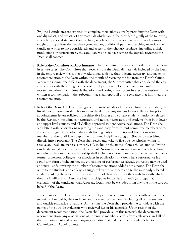By June 1 candidates are expected to complete their submissions by providing the Dean with one digital set, and six sets of any materials which cannot be provided digitally of the following: a detailed personal statement on teaching, scholarship, and service; syllabi from all courses taught during at least the last three years and any additional pertinent teaching materials the candidate wishes to have considered; and access to the scholarly products, including artistic productions or performances, the candidate wishes to have sent to the outside reviewers the Dean shall contact.

- c. Role of the Committee on Appointments. The Committee advises the President and the Dean in tenure cases. The Committee shall receive from the Dean all materials included by the Dean in the tenure review file; gather any additional evidence that it deems necessary; and make its recommendation to the Dean within one month of receiving the file from the Dean's Office. When the Committee differs with the department, the Subcommittee that considered the case shall confer with the voting members of the department before the Committee makes its recommendation. Committee deliberations and voting always occur in executive session. In the written recommendation, the Subcommittee shall report all of the evidence that informed the recommendation.
- d. Role of the Dean. The Dean shall gather the materials described above from the candidate; the list of two or more outside scholars from the department; student letters collected for prior appointments; letters solicited from thirty-five former and current students randomly selected by the Registrar, including concentrators and non-concentrators and students from both lowerand upper-level courses; and all College-approved student course evaluations. The Dean shall seek letters with observations regarding the candidacy from current committee members of the academic program(s) to which the candidate regularly contributes and from non-voting members of the candidate's department or interdisciplinary program (for candidates hired directly into a program). The Dean shall select and write to five outside scholars willing to receive and evaluate materials by early fall, including the name of one scholar supplied by the candidate and at least one by the department. Normally, the group of outside scholars chosen to evaluate the candidate's scholarship shall include no more than one of the faculty member's former professors, colleagues, or associates in publication. In cases where performance is a significant form of scholarship, the evaluations of performances already on record may be used and may justify lowering the number of recommendations added at this point. The Dean shall write to the students and colleagues suggested by the candidate and to the randomly selected students, asking them to provide an evaluation of those aspects of the candidacy with which they are familiar. If an Associate Dean participates in the department's (or program's) evaluation of the candidate, that Associate Dean must be excluded from any role in the case on behalf of the Dean.

By September 1 the Dean shall provide the department's tenured members with access to the material submitted by the candidate and collected by the Dean, including all of the student and outside scholarly evaluations. At this time the Dean shall provide the candidate with the names of the outside evaluators who reviewed her or his materials. Upon receipt of the department recommendation, the Dean shall provide all of this material, the department recommendation, any observations of untenured members, letters from colleagues, and all of the reappointment and accompanying evaluative material from the candidate's file to the Committee on Appointments.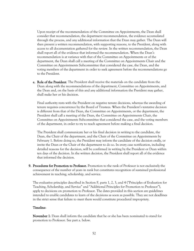Upon receipt of the recommendation of the Committee on Appointments, the Dean shall consider that recommendation, the department recommendation, the evidence accumulated through the process, and any additional information that the Dean may gather. The Dean will then present a written recommendation, with supporting reasons, to the President, along with access to all documentation gathered for the review. In the written recommendation, the Dean shall report all of the evidence that informed the recommendation. When the Dean's recommendation is at variance with that of the Committee on Appointments or of the department, the Dean shall call a meeting of the Committee on Appointments Chair and the Committee on Appointments Subcommittee that considered the case, the Dean, and the voting members of the department in order to seek agreement before the recommendations go to the President.

e. Role of the President. The President shall receive the materials on the candidate from the Dean along with the recommendations of the department, Committee on Appointments, and the Dean and, on the basis of this and any additional information the President may gather, shall make her or his decision.

Final authority rests with the President on negative tenure decisions, whereas the awarding of tenure requires concurrence by the Board of Trustees. When the President's tentative decision is different from that of the Dean, the Committee on Appointments, or the department, the President shall call a meeting of the Dean, the Committee on Appointments Chair, the Committee on Appointments Subcommittee that considered the case, and the voting members of the department, in order to try to reach agreement before making a final decision.

The President shall communicate her or his final decision in writing to the candidate, the Dean, the Chair of the department, and the Chair of the Committee on Appointments by February 1. Before doing so, the President may inform the candidate of the decision orally, or invite the Dean or the Chair of the department to do so. In every case notification, including detailed reasons for the decision, will be confirmed in writing by the President or Dean within ten days of the decision. In the written decision, the President shall report all of the evidence that informed the decision.

9. Procedures for Promotion to Professor. Promotion to the rank of Professor is not exclusively the consequence of the number of years in rank but constitutes recognition of sustained professional achievement in teaching, scholarship, and service.

The evaluative principles described in Section F, parts 1, 2, 3, and 4 ("Principles of Evaluation for Teaching, Scholarship, and Service" and "Additional Principles for Promotion to Professor"), apply to decisions on promotion to Professor. The dates provided in this section are guidelines intended to enable candidates to learn of the decisions as soon as possible. They are not deadlines in the strict sense that failure to meet them would constitute procedural impropriety.

### Timeline:

November 1: Dean shall inform the candidate that he or she has been nominated to stand for promotion to Professor. See part a. below.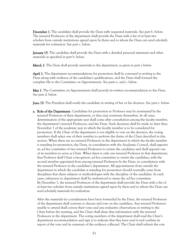**December 1**: The candidate shall provide the Dean with requested materials. See part b. below. The tenured Professors of the department shall provide the Dean with a list of at least two scholars from outside institutions agreed upon by them and to whom the Dean can send scholarly materials for evaluation. See part c. below.

**January 15:** The candidate shall provide the Dean with a detailed personal statement and other materials as specified in part b. below.

**March 1**: The Dean shall provide materials to the department, as given in part a below.

April 1: The department recommendations for promotion shall be conveyed in writing to the Dean along with evidence of the candidate's qualifications, and the Dean shall forward the complete file to the Committee on Appointments. See parts a. and c. below.

May 1: The Committee on Appointments shall provide its written recommendation to the Dean. See part d. below.

June 15: The President shall notify the candidate in writing of her or his decision. See part e. below.

**a. Role of the Department**. Candidates for promotion to Professor may be nominated by the tenured Professors of their department, or they may nominate themselves. In all cases, determination of the appropriate year shall come after consultation among the faculty member, the department's tenured Professors, and the Dean. Such decisions shall be made no later than November 1 of the academic year in which the faculty member is to be considered for promotion. If the Chair of the department is not eligible to vote on the decision, the voting members shall select one of their number to perform the duties of the Chair described in this section. When there are no tenured Professors in the department in which the faculty member is standing for promotion, the Dean, in consultation with the Academic Council, shall appoint an *ad hoc* committee of two tenured Professors to review the candidacy and shall appoint one of its members to serve as Chair. When there is only one tenured Professor in that department, that Professor shall Chair a two-person ad hoc committee to review the candidacy, with the second member appointed from among tenured Professors by the Dean, in consultation with the tenured Professor in the candidate's department. All appointments from outside the department in which the candidate is standing for promotion should normally come from disciplines that share subjects or methodologies with the discipline of the candidate. In such cases, references to department shall be understood to mean the *ad hoc* committee. By December 1, the tenured Professors of the department shall provide the Dean with a list of at least two scholars from outside institutions agreed upon by them and to whom the Dean can send scholarly materials for evaluation.

After the materials for consideration have been forwarded by the Dean, the tenured Professors of the department shall convene to discuss and vote on the candidacy. Any tenured Professors unable to attend shall convey their votes and any evaluative observations in writing to the Chair before the meeting, and the Chair shall share that information with the tenured Professors in the department. The voting members of the department shall read the Chair's department recommendation and sign it to indicate that they have read it and confirm its report of the vote and its summary of the evidence collected. The Chair shall submit the vote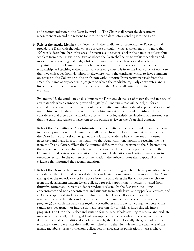and recommendation to the Dean by April 1. The Chair shall report the department recommendation and the reasons for it to the candidate before sending it to the Dean.

b. Role of the Faculty Member. By December 1, the candidate for promotion to Professor shall provide the Dean with the following: a current curriculum vitae; a statement of no more than 300 words describing her or his area of expertise as a teacher-scholar; the names of at least four scholars from other institutions, two of whom the Dean shall select to evaluate scholarly and, in some cases, teaching materials; a list of no more than five colleagues and scholarly acquaintances from Hamilton or elsewhere whom the candidate wishes to have comment on scholarship and teaching without normally receiving materials from the Dean; a list of no more than five colleagues from Hamilton or elsewhere whom the candidate wishes to have comment on service to the College or to the profession without normally receiving materials from the Dean; the name of any academic program to which the candidate regularly contributes; and a list of fifteen former or current students to whom the Dean shall write for a letter of evaluation.

By January 15, the candidate shall submit to the Dean one digital set of materials, and five sets of any materials which cannot be provided digitally. All materials that will be helpful for an adequate consideration of the case should be submitted, including: a detailed personal statement on teaching, scholarship, and service; any teaching materials the candidate wishes to have considered; and access to the scholarly products, including artistic productions or performances, that the candidate wishes to have sent to the outside reviewers the Dean shall contact.

- c. Role of the Committee on Appointments. The Committee advises the President and the Dean in cases of promotion. The Committee shall receive from the Dean all materials included by the Dean in the promotion file, gather any additional evidence by such means as it deems necessary, and make its recommendation to the Dean within one month of receiving the file from the Dean's Office. When the Committee differs with the department, the Subcommittee that considered the case shall confer with the voting members of the department before the Committee makes its recommendation. Committee deliberations and voting always occur in executive session. In the written recommendation, the Subcommittee shall report all of the evidence that informed the recommendation.
- d. Role of the Dean. By November 1 in the academic year during which the faculty member is to be considered, the Dean shall acknowledge the candidate's nomination for promotion. The Dean shall gather the materials described above from the candidate; the list of two outside scholars from the department; student letters collected for prior appointments; letters solicited from thirty-five former and current students randomly selected by the Registrar, including concentrators and non-concentrators, and students from both lower and upper-level courses; and all College-approved student course evaluations. The Dean shall seek letters with observations regarding the candidacy from current committee members of the academic program(s) to which the candidate regularly contributes and from non-voting members of the candidate's department or interdisciplinary program (for candidates hired directly into a program). The Dean shall select and write to four outside scholars willing to receive and evaluate materials by early fall, including at least two supplied by the candidate, one suggested by the department, and one additional scholar chosen by the Dean. Normally, the group of outside scholars chosen to evaluate the candidate's scholarship shall include no more than one of the faculty member's former professors, colleagues, or associates in publication. In cases where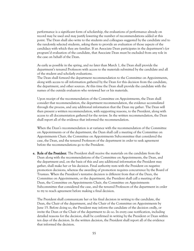performance is a significant form of scholarship, the evaluations of performance already on record may be used and may justify lowering the number of recommendations added at this point. The Dean shall also write to the students and colleagues suggested by the candidate and to the randomly selected students, asking them to provide an evaluation of those aspects of the candidacy with which they are familiar. If an Associate Dean participates in the department's (or program's) evaluation of the candidate, that Associate Dean must be excluded from any role in the case on behalf of the Dean.

As early as possible in the spring, and no later than March 1, the Dean shall provide the department's tenured Professors with access to the materials submitted by the candidate and all of the student and scholarly evaluations.

The Dean shall forward the department recommendation to the Committee on Appointments, along with access to all information gathered by the Dean for this decision from the candidate, the department, and other sources. At this time the Dean shall provide the candidate with the names of the outside evaluators who reviewed her or his materials.

Upon receipt of the recommendation of the Committee on Appointments, the Dean shall consider that recommendation, the department recommendation, the evidence accumulated through the process, and any additional information that the Dean my gather. The Dean will then present a written recommendation, with supporting reasons, to the President, along with access to all documentation gathered for the review. In the written recommendation, the Dean shall report all of the evidence that informed the recommendation.

When the Dean's recommendation is at variance with the recommendation of the Committee on Appointments or of the department, the Dean shall call a meeting of the Committee on Appointments Chair, the Committee on Appointments Subcommittee that considered the case, the Dean, and the tenured Professors of the department in order to seek agreement before the recommendations go to the President.

e. Role of the President. The President shall receive the materials on the candidate from the Dean along with the recommendations of the Committee on Appointments, the Dean, and the department and, on the basis of this and any additional information the President may gather, shall make her or his decision. Final authority rests with the President on negative promotion decisions, whereas the awarding of promotion requires concurrence by the Board of Trustees. When the President's tentative decision is different from that of the Dean, the Committee on Appointments, or the department, the President shall call a meeting of the Dean, the Committee on Appointments Chair, the Committee on Appointments Subcommittee that considered the case, and the tenured Professors of the department in order to try to reach agreement before making a final decision.

The President shall communicate her or his final decision in writing to the candidate, the Dean, the Chair of the department, and the Chair of the Committee on Appointments by June 15. Before doing so, the President may inform the candidate of the decision orally, or invite the Dean or the Chair of the department to do so. In every case notification, including detailed reasons for the decision, shall be confirmed in writing by the President or Dean within ten days of the decision. In the written decision, the President shall report all of the evidence that informed the decision.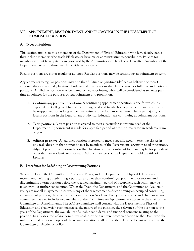## VII. APPOINTMENT, REAPPOINTMENT, AND PROMOTION IN THE DEPARTMENT OF PHYSICAL EDUCATION

## A. Types of Positions

This section applies to those members of the Department of Physical Education who have faculty status: they include members who teach PE classes or have major administrative responsibilities. Policies for members without faculty status are governed by the Administration Handbook. Hereafter, "members of the Department" refers to those members with faculty status.

Faculty positions are either regular or adjunct. Regular positions may be continuing- appointment or term.

Appointments to regular positions may be either full-time or part-time (defined as half-time or more), although they are normally full-time. Professional qualifications shall be the same for full-time and part-time positions. A full-time position may be shared by two appointees, who shall be considered as separate parttime appointees for the purposes of reappointment and promotion.

- 1. Continuing-appointment positions. A continuing-appointment position is one for which it is expected the College will have a continuing need and to which it is possible for an individual to be reappointed for as long as the need exists and performance warrants. The large majority of faculty positions in the Department of Physical Education are continuing-appointment positions.
- 2. Term positions. A term position is created to meet a particular short-term need of the Department. Appointment is made for a specified period of time, normally for an academic term or year.
- **3.** Adjunct positions. An adjunct position is created to meet a specific need in teaching classes in physical education that cannot be met by members of the Department serving in regular positions. Adjunct positions are normally less than half-time and appointment to them may be for periods of other than an academic term or year. Adjunct members of the Department hold the title of Lecturer.

## B. Procedures for Redefining or Discontinuing Positions

When the Dean, the Committee on Academic Policy, and the Department of Physical Education all recommend defining or redefining a position as other than continuing-appointment, or recommend discontinuing a term position before the specified maximum period of occupancy, such action may be taken without further consultation. When the Dean, the Department, and the Committee on Academic Policy are not all in agreement, or when any of them recommends discontinuing an occupied continuingappointment position, the chair of the Committee on Academic Policy shall convene and chair an *ad hoc* committee that also includes two members of the Committee on Appointments chosen by the chair of the Committee on Appointments. The *ad hoc* committee shall consult with the Department of Physical Education and shall weigh such matters as the nature of the position, the relevance of the position to the goals of the Department, the availability of suitable candidates, and financial concerns relating to the position. In all cases, the *ad hoc* committee shall provide a written recommendation to the Dean, who shall make the final decision. Copies of the recommendation shall be distributed to the Department and to the Committee on Academic Policy.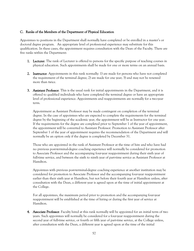### C. Ranks of the Members of the Department of Physical Education

Appointees to positions in the Department shall normally have completed or be enrolled in a master's or doctoral degree program. An appropriate level of professional experience may substitute for this qualification. In these cases, the appointment requires consultation with the Dean of the Faculty. There are five ranks within the Department:

- 1. Lecturer. The rank of Lecturer is offered to persons for the specific purpose of teaching courses in physical education. Such appointments shall be made for one or more terms on an annual basis.
- 2. Instructor. Appointments in this rank normally: 1) are made for persons who have not completed the requirement of the terminal degree; 2) are made for one year; 3) and may not be renewed more than twice.
- **3.** Assistant Professor. This is the usual rank for initial appointments in the Department, and it is offered to qualified individuals who have completed the terminal degree or have an appropriate level of professional experience. Appointments and reappointments are normally for a two-year term.

Appointment as Assistant Professor may be made contingent on completion of the terminal degree. In the case of appointees who are expected to complete the requirements for the terminal degree by the beginning of the academic year, the appointment will be as Instructor for one year. If the requirements for the degree are completed prior to September 1 of the year of appointment, the appointment will be converted to Assistant Professor. Promotion to Assistant Professor after September 1 of the year of appointment requires the recommendation of the Department and will normally be an option only if the degree is completed by December 31.

Those who are appointed in the rank of Assistant Professor at the time of hire and who have had no previous post-terminal-degree coaching experience will normally be considered for promotion to Associate Professor and the accompanying four-year reappointment during their sixth year of full-time service, and between the sixth to ninth year of part-time service as Assistant Professor at Hamilton.

Appointees with previous post-terminal-degree coaching experience at another institution may be considered for promotion to Associate Professor and the accompanying four-year reappointment earlier than their sixth year at Hamilton, but not before their fourth year at Hamilton unless, after consultation with the Dean, a different year is agreed upon at the time of initial appointment at the College.

For all appointees, the maximum period prior to promotion and the accompanying four-year reappointment will be established at the time of hiring or during the first year of service at Hamilton.

4. Associate Professor. Faculty hired at this rank normally will be appointed for an initial term of two years. Such appointees will normally be considered for a four-year reappointment during the second year of full-time service, or fourth or fifth year of part-time service, at the College unless, after consultation with the Dean, a different year is agreed upon at the time of the initial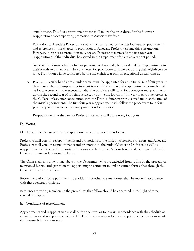appointment. This four-year reappointment shall follow the procedures for the four-year reappointment accompanying promotion to Associate Professor.

Promotion to Associate Professor normally is accompanied by the first four-year reappointment, and references in this chapter to promotion to Associate Professor assume this conjunction. However, in rare cases promotion to Associate Professor may precede the first four-year reappointment if the individual has served in the Department for a relatively brief period.

Associate Professors, whether full- or part-time, will normally be considered for reappointment in their fourth year in rank and be considered for promotion to Professor during their eighth year in rank. Promotion will be considered before the eighth year only in exceptional circumstances.

**5. Professor.** Faculty hired at this rank normally will be appointed for an initial term of four years. In those cases when a four-year appointment is not initially offered, the appointment normally shall be for two years with the expectation that the candidate will stand for a four-year reappointment during the second year of full-time service, or during the fourth or fifth year of part-time service at the College unless, after consultation with the Dean, a different year is agreed upon at the time of the initial appointment. The first four-year reappointment will follow the procedures for a fouryear reappointment accompanying promotion to Professor.

Reappointments at the rank of Professor normally shall occur every four years.

### D. Voting

Members of the Department vote reappointments and promotions as follows:

Professors shall vote on reappointments and promotions to the rank of Professor. Professors and Associate Professors shall vote on reappointments and promotion to the rank of Associate Professor, as well as reappointments to the rank of Assistant Professor and Instructor. Actions taken shall be forwarded by the Chair as recommendations to the Dean.

The Chair shall consult with members of the Department who are excluded from voting by the procedures mentioned herein, and give them the opportunity to comment in oral or written form either through the Chair or directly to the Dean.

Recommendations for appointments to positions not otherwise mentioned shall be made in accordance with these general principles.

References to voting members in the procedures that follow should be construed in the light of these general principles.

## E. Conditions of Appointment

Appointments and reappointments shall be for one, two, or four years in accordance with the schedule of appointments and reappointments in VII.C. For those already on four-year appointments, reappointments shall normally be for four years.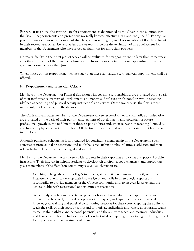For regular positions, the starting date for appointments is determined by the Chair in consultation with the Dean. Reappointments and promotions normally become effective July 1 and end June 30. For regular positions, notice of non-reappointment shall be given in writing by Jan 31 for members of the Department in their second year of service, and at least twelve months before the expiration of an appointment for members of the Department who have served at Hamilton for more than two years.

Normally, faculty in their first year of service will be evaluated for reappointment no later than three weeks after the conclusion of their main coaching season. In such cases, notice of non-reappointment shall be given in writing no later than June 1.

When notice of non-reappointment comes later than these standards, a terminal year appointment shall be offered.

# F. Reappointment and Promotion Criteria

Members of the Department of Physical Education with coaching responsibilities are evaluated on the basis of their performance, pattern of development, and potential for future professional growth in teaching (defined as coaching and physical activity instruction) and service. Of the two criteria, the first is more important, but both weigh in the decision.

The Chair and any other members of the Department whose responsibilities are primarily administrative are evaluated on the basis of their performance, pattern of development, and potential for future professional growth in the fulfillment of those responsibilities and, when relevant, in teaching (defined as coaching and physical activity instruction). Of the two criteria, the first is more important, but both weigh in the decision.

Although published scholarship is not required for continuing membership in the Department, such activities as professional presentations and published scholarship on physical fitness, athletics, and their role in higher education are encouraged and valued.

Members of the Department work closely with students in their capacities as coaches and physical activity instructors. Their interest in helping students to develop self-discipline, good character, and appropriate goals as members of the Hamilton community is a valued characteristic.

1. Coaching. The goals of the College's intercollegiate athletic program are primarily to enable interested students to develop their knowledge of and skills in intercollegiate sports and, secondarily, to provide members of the College community and, to an even lesser extent, the general public with recreational opportunities as spectators.

Accordingly, coaches are expected to possess advanced knowledge of their sport, including different levels of skill, recent developments in the sport, and equipment needs; advanced knowledge of training and physical conditioning practices for their sport or sports; the ability to teach the skills of their sport or sports and to motivate individuals and, where appropriate, teams to realize their athletic and personal potential; and the ability to teach and motivate individuals and teams to display the highest ideals of conduct while competing or practicing, including respect for opponents and fair treatment of them.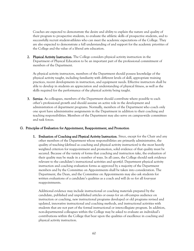Coaches are expected to demonstrate the desire and ability to explain the nature and quality of their program to prospective students, to evaluate the athletic skills of prospective students, and to successfully recruit student-athletes who can meet the academic expectations of the College. They are also expected to demonstrate a full understanding of and support for the academic priorities of the College and the value of a liberal arts education.

2. Physical Activity Instruction. The College considers physical activity instruction in the Department of Physical Education to be an important part of the professional commitment of members of the Department.

As physical activity instructors, members of the Department should possess knowledge of the physical activity taught, including familiarity with different levels of skill, appropriate training practices, recent developments in instruction, and equipment needs. Effective instructors shall be able to develop in students an appreciation and understanding of physical fitness, as well as the skills required for the performance of the physical activity being taught.

**3.** Service. As colleagues, members of the Department should contribute where possible to each other's professional growth and should assume an active role in the development and administration of department programs. Normally, members of the Department who coach only one sport have administrative assignments in the Department in addition to their coaching and teaching responsibilities. Members of the Department may also serve on campus-wide committees and task forces.

### G. Principles of Evaluation for Appointment, Reappointment, and Promotion

1. Evaluation of Coaching and Physical Activity Instruction. Since, except for the Chair and any other members of the Department whose responsibilities are primarily administrative, the quality of teaching (defined as coaching and physical activity instruction) is the most heavily weighted criterion for reappointment and promotion, solid evidence of that quality must be secured. Because of the variety of forms that coaching and instruction take, the evaluation of their quality may be made in a number of ways. In all cases, the College should seek evidence relevant to the candidate's instructional activities and sport(s). Department physical activity instruction and coaching evaluation forms as approved by a majority of the Department members and by the Committee on Appointments shall be taken into consideration. The Department, the Dean, and the Committee on Appointments may also ask students for written evaluations of a candidate's qualities as a coach and will do so for all four-year reappointments.

Additional evidence may include instructional or coaching materials prepared by the candidate, published and unpublished articles or essays for an off-campus audience on instruction or coaching, new instructional programs developed or old programs revised and updated, innovative instructional and coaching methods, and instructional activities with students that are not part of the formal instructional or intercollegiate program. In addition, non-departmental colleagues within the College may be asked to evaluate an individual's contributions within the College that bear upon the qualities of excellence in coaching and physical activity instruction.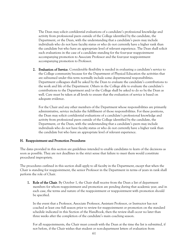The Dean may solicit confidential evaluations of a candidate's professional knowledge and activity from professional peers outside of the College identified by the candidate, the Department, or the Dean, with the understanding that a candidate's peers may include individuals who do not have faculty status or who do not currently have a higher rank than the candidate but who have an appropriate level of relevant experience. The Dean shall solicit such evaluations in the case of a candidate standing for the four-year reappointment accompanying promotion to Associate Professor and the four-year reappointment accompanying promotion to Professor.

2. Evaluation of Service. Considerable flexibility is needed in evaluating a candidate's service to the College community because for the Department of Physical Education the activities that are subsumed under this term normally include some departmental responsibilities. Department colleagues shall be asked by the Dean to evaluate the candidate's contributions to the work and life of the Department. Others in the College able to evaluate the candidate's contributions to the Department and/or the College shall be asked to do so by the Dean as well. Care must be taken at all levels to ensure that the evaluation of service is based on adequate evidence.

For the Chair and any other members of the Department whose responsibilities are primarily administrative, service includes the fulfillment of those responsibilities. For these positions, the Dean may solicit confidential evaluations of a candidate's professional knowledge and activity from professional peers outside of the College identified by the candidate, the Department, or the Dean, with the understanding that a candidate's peers may include individuals who do not have faculty status or who do not currently have a higher rank than the candidate but who have an appropriate level of relevant experience.

### H. Reappointment and Promotion Procedures

The dates provided in this section are guidelines intended to enable candidates to learn of the decisions as soon as possible. They are not deadlines in the strict sense that failure to meet them would constitute procedural impropriety.

The procedures outlined in this section shall apply to all faculty in the Department, except that when the Chair is standing for reappointment, the senior Professor in the Department in terms of years in rank shall perform the role of Chair.

1. Role of the Chair. By October 1, the Chair shall receive from the Dean a list of department members for whom reappointment and promotion are pending during that academic year, and in each case, the terms and nature of the reappointment or reappointment with promotion should be specified.

In the event that a Professor, Associate Professor, Assistant Professor, or Instructor has not coached at least one full season prior to review for reappointment or promotion on the standard schedule indicated in this Section of the Handbook, then the review shall occur no later than three weeks after the completion of the candidate's main coaching season.

For all reappointments, the Chair must consult with the Dean at the time the list is submitted, if not before, if the Chair wishes that student or non-department letters of evaluation from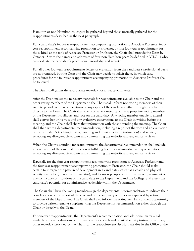Hamilton or non-Hamilton colleagues be gathered beyond those normally gathered for the reappointments described in the next paragraph.

For a candidate's four-year reappointment accompanying promotion to Associate Professor, fouryear reappointment accompanying promotion to Professor, or first four-year reappointment for those hired at the rank of Associate Professor or Professor, the Chair shall provide the Dean by October 15 with the names and addresses of four non-Hamilton peers (as defined in VII.G.1) who can evaluate the candidate's professional knowledge and activity.

For all other four-year reappointments letters of evaluation from the candidate's professional peers are not required, but the Dean and the Chair may decide to solicit them, in which case, procedures for the four-year reappointment accompanying promotion to Associate Professor shall be followed.

The Dean shall gather the appropriate materials for all reappointments.

After the Dean makes the necessary materials for reappointments available to the Chair and the other voting members of the Department, the Chair shall inform non-voting members of their right to provide written observations of any aspect of the candidacy either through the Chair or directly to the Dean. The Chair shall then convene a meeting of the appropriate voting members of the Department to discuss and vote on the candidacy. Any voting member unable to attend shall convey her or his vote and any evaluative observations to the Chair in writing before the meeting, and the Chair shall share that information with those attending the meeting. The Chair shall then write a departmental recommendation, including a report of the vote and an evaluation of the candidate's teaching (that is, coaching and physical activity instruction) and service, reflecting any divergent viewpoints and summarizing the majority and any minority views.

When the Chair is standing for reappointment, the departmental recommendation shall include an evaluation of the candidate's success at fulfilling his or her administrative responsibilities, reflecting any divergent viewpoints and summarizing the majority and any minority views.

Especially for the four-year reappointment accompanying promotion to Associate Professor and the four-year reappointment accompanying promotion to Professor, the Chair should make certain to interpret the pattern of development in a candidate's career as a coach and physical activity instructor (or as an administrator), and to assess prospects for future growth, comment on any distinctive contributions of the candidate to the Department and the College, and assess the candidate's potential for administrative leadership within the Department.

The Chair shall have the voting members sign the departmental recommendation to indicate their corroboration of the report of the vote and of the summary of the views expressed by voting members of the Department. The Chair shall also inform the voting members of their opportunity to provide written remarks supplementing the Department's recommendation either through the Chair or directly to the Dean.

For one-year reappointments, the Department's recommendation and additional material (all available student evaluations of the candidate as a coach and physical activity instructor, and any other materials provided by the Chair for the reappointment decision) are due in the Office of the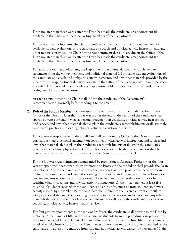Dean no later than three weeks after the Dean has made the candidate's reappointment file available to the Chair and the other voting members of the Department.

For two-year reappointments, the Department's recommendation and additional material (all available student evaluations of the candidate as a coach and physical activity instructor, and any other materials provided the Chair for the reappointment decision) are due in the Office of the Dean no later than three weeks after the Dean has made the candidate's reappointment file available to the Chair and the other voting members of the Department.

For each four-year reappointment, the Department's recommendation, any supplementary statements from the voting members, and additional material (all available student evaluations of the candidate as a coach and a physical activity instructor; and any other materials provided by the Chair for the reappointment decision) are due in the Office of the Dean no later than three weeks after the Dean has made the candidate's reappointment file available to the Chair and the other voting members of the Department.

At each reappointment, the Chair shall inform the candidate of the Department's recommendation, normally before sending it to the Dean.

2. Role of the Faculty Member. For a one-year reappointment, the candidate shall submit to the Office of the Dean no later than three weeks after the end of the season of the candidate's main sport a current curriculum vitae; a personal statement on coaching, physical activity instruction, and service; and any other materials that explain the candidate's accomplishments or illustrate the candidate's practices in coaching, physical activity instruction, or service.

For a two-year reappointment, the candidate shall submit to the Office of the Dean a current curriculum vitae; a personal statement on coaching, physical activity instruction, and service; and any other materials that explain the candidate's accomplishments or illustrate the candidate's practices in coaching, physical activity instruction, or service. The date of submission shall be determined by the Chair in consultation with the Dean no later than Oct 1.

For the four-year reappointment accompanied by promotion to Associate Professor, or the fouryear reappointment accompanied by promotion to Professor, the candidate shall provide the Dean by October 15 with the names and addresses of two non-Hamilton professional peers who can evaluate the candidate's professional knowledge and activity, and the names of fifteen former or current students whom the candidate would like to be asked for an evaluation of his or her teaching (that is, coaching and physical activity instruction). Of the fifteen names, at least five must be of students coached by the candidate and at least five must be from students in physical activity classes. By November 15, the candidate shall submit to the Dean a current curriculum vitae; a personal statement on coaching, physical activity instruction, and service; and any other materials that explain the candidate's accomplishments or illustrate the candidate's practices in coaching, physical activity instruction, or service.

For four-year reappointments in the rank of Professor, the candidate shall provide to the Dean by October 15 the names of fifteen former or current students from the preceding four years whom the candidate would like to be asked for an evaluation of his or her teaching (that is, coaching and physical activity instruction). Of the fifteen names, at least five must be of students coached by the candidate and at least five must be from students in physical activity classes. By November 15, the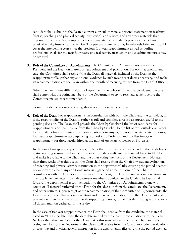candidate shall submit to the Dean a current curriculum vitae; a personal statement on teaching (that is, coaching and physical activity instruction), and service; and any other materials that explain the candidate's accomplishments or illustrate the candidate's practices in coaching, physical activity instruction, or service. The personal statement may be relatively brief and should cover the intervening years since the previous four-year reappointment as well as outline professional goals for the next four years; physical activity instruction and coaching materials may be omitted.

3. Role of the Committee on Appointments. The Committee on Appointments advises the President and the Dean on matters of reappointment and promotion. For each reappointment case, the Committee shall receive from the Dean all materials included by the Dean in the reappointment file, gather any additional evidence by such means as it deems necessary, and make its recommendations to the Dean within one month of receiving the file from the Dean's Office.

When the Committee differs with the Department, the Subcommittee that considered the case shall confer with the voting members of the Department to try to reach agreement before the Committee makes its recommendation.

Committee deliberations and voting always occur in executive session.

4. Role of the Dean. For reappointments, in consultation with both the Chair and the candidate, it is the responsibility of the Dean to gather as full and complete a record as appears useful to the pending decision. The Dean shall provide the Chair by October 1 the list of candidates for reappointment, and shall receive from the Chair by October 15 the list of four outside evaluators for candidates for any four-year reappointments accompanying promotion to Associate Professor, four-year reappointments accompanying promotion to Professor, and the first four-year reappointment for those faculty hired at the rank of Associate Professor or Professor.

In the case of one-year reappointments, no later than three weeks after the end of the candidate's main coaching season, the Dean shall receive from the candidate the material listed in VII.H.2 and make it available to the Chair and the other voting members of the Department. No later than three weeks after this occurs, the Dean shall receive from the Chair any student evaluations of coaching and physical activity instruction in the departmental files covering the period deemed relevant by the Chair, any additional materials gathered at the initiative of the Chair in consultation with the Dean or at the request of the Dean, the departmental recommendation, and any supplementary letters from department members submitted to the Chair. The Dean shall forward the departmental recommendation to the Committee on Appointments, along with copies of all material gathered by the Dean for this decision from the candidate, the Department, and other sources. Upon receipt of the recommendation of the Committee on Appointments, the Dean shall consider that recommendation and the recommendation from the Department and present a written recommendation, with supporting reasons, to the President, along with copies of all documentation gathered for the review.

In the case of two-year reappointments, the Dean shall receive from the candidate the material listed in VII.H.2 no later than the date determined by the Chair in consultation with the Dean. No later than three weeks after the Dean makes this material available to the Chair and other voting members of the Department, the Dean shall receive from the Chair any student evaluations of coaching and physical activity instruction in the departmental files covering the period deemed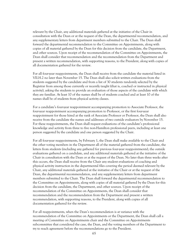relevant by the Chair, any additional materials gathered at the initiative of the Chair in consultation with the Dean or at the request of the Dean, the departmental recommendation, and any supplementary letters from department members submitted to the Chair. The Dean shall forward the departmental recommendation to the Committee on Appointments, along with copies of all material gathered by the Dean for this decision from the candidate, the Department, and other sources. Upon receipt of the recommendation of the Committee on Appointments, the Dean shall consider that recommendation and the recommendation from the Department and present a written recommendation, with supporting reasons, to the President, along with copies of all documentation gathered for the review.

For all four-year reappointments, the Dean shall receive from the candidate the material listed in VII.H.2 no later than November 15. The Dean shall also solicit written evaluations from the students suggested by the candidate and from a list of 30 students randomly selected by the Registrar from among those currently or recently taught (that is, coached or instructed in physical activity), asking the students to provide an evaluation of those aspects of the candidate with which they are familiar. At least 10 of the names shall be of students coached and at least 10 of the names shall be of students from physical activity classes.

For a candidate's four-year reappointment accompanying promotion to Associate Professor, the four-year reappointment accompanying promotion to Professor, or the first four-year reappointment for those hired at the rank of Associate Professor or Professor, the Dean shall also receive from the candidate the names and addresses of two outside evaluators by November 15. For these reappointments, the Dean shall request evaluations of the candidate's professional knowledge and activity from three to five non-Hamilton professional peers, including at least one person suggested by the candidate and one person suggested by the Chair.

For all four-year reappointments, by February 1, the Dean shall make available to the Chair and the other voting members in the Department all of the material gathered from the candidate, the letters from students (including any gathered for previous four-year reappointments), the outside evaluations gathered on a candidate, and any additional materials gathered at the initiative of the Chair in consultation with the Dean or at the request of the Dean. No later than three weeks after this occurs, the Dean shall receive from the Chair any student evaluations of coaching and physical activity instruction in the departmental files covering the period deemed relevant by the Chair, any additional materials gathered at the initiative of the Chair or at the request of the Dean, the departmental recommendation, and any supplementary letters from department members submitted to the Chair. The Dean shall forward the departmental recommendation to the Committee on Appointments, along with copies of all material gathered by the Dean for this decision from the candidate, the Department, and other sources. Upon receipt of the recommendation of the Committee on Appointments, the Dean shall consider that recommendation and the recommendation from the Department and present a written recommendation, with supporting reasons, to the President, along with copies of all documentation gathered for the review.

For all reappointments, when the Dean's recommendation is at variance with the recommendation of the Committee on Appointments or the Department, the Dean shall call a meeting of Committee on Appointments chair and the Committee on Appointments subcommittee that considered the case, the Dean, and the voting members of the Department to try to reach agreement before the recommendations go to the President.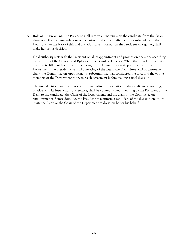5. Role of the President. The President shall receive all materials on the candidate from the Dean along with the recommendations of Department, the Committee on Appointments, and the Dean, and on the basis of this and any additional information the President may gather, shall make her or his decision.

Final authority rests with the President on all reappointment and promotion decisions according to the terms of the Charter and By-Laws of the Board of Trustees. When the President's tentative decision is different from that of the Dean, or the Committee on Appointments, or the Department, the President shall call a meeting of the Dean, the Committee on Appointments chair, the Committee on Appointments Subcommittee that considered the case, and the voting members of the Department to try to reach agreement before making a final decision.

The final decision, and the reasons for it, including an evaluation of the candidate's coaching, physical activity instruction, and service, shall be communicated in writing by the President or the Dean to the candidate, the Chair of the Department, and the chair of the Committee on Appointments. Before doing so, the President may inform a candidate of the decision orally, or invite the Dean or the Chair of the Department to do so on her or his behalf.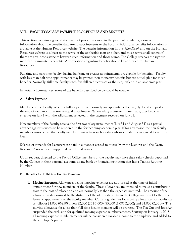## VIII. FACULTY SALARY PAYMENT PROCEDURES AND BENEFITS

This section contains a general statement of procedures used in the payment of salaries, along with information about the benefits that attend appointments to the Faculty. Additional benefits information is available at the Human Resources website. The benefits information in this *Handbook* and on the Human Resources website is subject to the terms of the applicable plan or policy, and those terms shall control if there are any inconsistencies between such information and those terms. The College reserves the right to modify or terminate its benefits. Any questions regarding benefits should be addressed to Human Resources.

Full-time and part-time faculty, having half-time or greater appointments, are eligible for benefits. Faculty with less than half-time appointments may be granted non-monetary benefits but are not eligible for most benefits. Normally, full-time faculty teach five full-credit courses or their equivalent in an academic year.

In certain circumstances, some of the benefits described below could be taxable.

# A. Salary Payment

Members of the Faculty, whether full- or part-time, normally are appointed effective July 1 and are paid at the end of each month in twelve equal installments. When salary adjustments are made, they become effective on July 1 with the adjustment reflected in the payment received on July 31.

New members of the Faculty receive the first two salary installments (July 31 and August 31) as a partial advance against services to be rendered in the forthcoming academic year. If for any reason the new faculty member cannot serve, the faculty member must return such a salary advance under terms agreed to with the Dean.

Salaries or stipends for Lecturers are paid in a manner agreed to mutually by the Lecturer and the Dean. Research Associates are supported by external grants.

Upon request, directed to the Payroll Office, members of the Faculty may have their salary checks deposited by the College in their personal accounts at any bank or financial institution that has a Transit Routing Number.

## B. Benefits for Full-Time Faculty Members

1. Moving Expenses. Allowances against moving expenses are authorized at the time of initial appointment for new members of the faculty. These allowances are intended to make a contribution toward the cost of relocation and are normally less than the expenses incurred. The amount of the allowance is determined by the distance of the old residence from the College and is set forth in the letter of appointment to the faculty member. Current guidelines for moving allowances for faculty are as follows: \$1,000 (0-250) miles; \$2,000 (251-1,000); \$3,000 (1,001-2,000); and \$4,000 (2,001+). The moving allowance for a less than full time faculty member will be prorated. The Tax Cut and Jobs Act suspended the exclusion for qualified moving expense reimbursements. Starting on January 1, 2018, all moving expense reimbursements will be considered taxable income to the employee and added to the employee's payroll.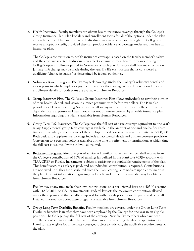2. Health Insurance. Faculty members can obtain health insurance coverage through the College's Group Insurance Plan. Plan booklets and enrollment forms for all of the options under the Plan are available from Human Resources. Individuals may waive coverage through the College and receive an opt-out credit, provided they can produce evidence of coverage under another health insurance plan.

The College's contribution to health insurance coverage is based on the faculty member's salary and the coverage selected. Individuals may elect a change in their health insurance during the College's open enrollment period in November of each year. Changes shall become effective on January 1. A change may be made during the year if a life event occurs that is considered a qualifying "change in status," as determined by federal guidelines.

- 3. Voluntary Benefit Program. Faculty may seek coverage under the College's voluntary dental and vision plans in which employees pay the full cost for the coverage selected. Benefit outlines and enrollment details for both plans are available in Human Resources.
- 4. Group Insurance Plan. The College's Group Insurance Plan allows individuals to pay their portion of their health, dental, and vision insurance premium with before-tax dollars. The Plan also provides for Flexible Spending Accounts that allow payment with before-tax dollars for qualified dependent care expenses and health expenses not otherwise covered by a health insurance plan. Information regarding this Plan is available from Human Resources.
- 5. Group Term Life Insurance. The College pays the full cost of basic coverage equivalent to one year's salary. Supplemental group term coverage is available in the amount of one-and-one-half or three times annual salary at the expense of the employee. Total coverage is currently limited to \$500,000. Both basic and supplemental coverage include an accidental death and dismemberment provision. Conversion to a personal policy is available at the time of retirement or termination, at which time the full cost is assumed by the individual insured.
- 6. Retirement Program. After one year of service at Hamilton, a faculty member shall receive from the College a contribution of 10% of earnings (as defined in the plan) to a 403(b) account with TIAA-CREF or Fidelity Investments, subject to satisfying the applicable requirements of the plan. This benefit accrues as salary is paid, and no individual contribution is required. Contributions are not taxed until they are distributed from the Plan. Vesting is immediate upon enrollment in the plan. Current information regarding this benefit and the options available may be obtained from Human Resources.

Faculty may at any time make their own contributions on a tax-deferred basis to a 403(b) account with TIAA-CREF or Fidelity Investments. Federal law sets the maximum contribution allowed under these plans and the penalties imposed for withdrawals prior to age fifty-nine and one-half. Detailed information about these programs is available from Human Resources.

7. Group Long-Term Disability Benefits. Faculty members are covered under the Group Long-Term Disability Benefits Plan after they have been employed by the College for one year in an eligible position. The College pays the full cost of the coverage. New faculty members who have been enrolled elsewhere in a similar plan within three months preceding the date of appointment at Hamilton are eligible for immediate coverage, subject to satisfying the applicable requirements of the plan.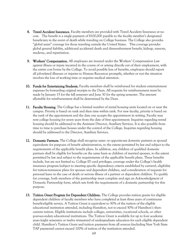- 8. Travel Accident Insurance. Faculty members are provided with Travel Accident Insurance at no cost. The benefit is a single payment of \$100,000 payable to the faculty member's designated beneficiary in the event of death while traveling on College business. The College also provides "global assist" coverage for those traveling outside the United States. This coverage provides global general liability, additional accidental death and dismemberment benefit, kidnap, ransom, medevac, and repatriation.
- 9. Workers' Compensation. All employees are insured under the Workers' Compensation Law against illness or injury incurred in the course of or arising directly out of their employment, with the entire cost borne by the College. To avoid possible loss of benefits, employees should report all job-related illnesses or injuries to Human Resources promptly, whether or not the situation involves the loss of working time or requires medical attention.
- 10. Funds for Entertaining Students. Faculty members shall be reimbursed for student entertainment expenses by forwarding original receipts to the Dean. All requests for reimbursement must be made by January 15 for the fall semester and June 30 for the spring semester. The amount allowable for reimbursement shall be determined by the Dean.
- 11. Faculty Housing. The College has a limited number of rental housing units located on or near the campus. Priority is based on rank and then time within rank. For new faculty, priority is based on the rank of the appointment and the date one accepts the appointment in writing. Faculty may rent college housing for seven years from the date of first appointment. Inquiries regarding rental housing should be addressed to the Assistant Director, Auxiliary Services. It is also possible from time to time to purchase houses under the control of the College. Inquiries regarding housing should be addressed to the Director, Auxiliary Services.
- 12. Domestic Partners. The College shall recognize same- or opposite-sex domestic partners as spousal equivalents for purposes of benefit administration, to the extent permitted by law and subject to the requirements of the applicable benefit plans. In addition, any children of qualified domestic partners shall be eligible for benefits on the same basis as children of married spouses, to the extent permitted by law and subject to the requirements of the applicable benefit plans. These benefits include, but are not limited to, College ID card privileges, coverage under the College's health insurance program (subject to meeting specific dependency criteria established by carriers), eligibility for tuition-remission plans for spouses and dependent children, and consideration of requests for personal leave in the case of death or serious illness of a partner or dependent children. To qualify for coverage, both members of the partnership must complete and sign an Acknowledgment of Domestic Partnership form, which sets forth the requirements of a domestic partnership for this purpose.
- 13. Tuition Grant Program for Dependent Children. The College provides tuition grants for eligible dependent children of faculty members who have completed at least three years of continuous benefit-eligible service. A Tuition Grant is equivalent to 50% of the tuition of the eligible educational institution attended, including Hamilton, not to exceed 50% of Hamilton's thencurrent tuition. Eligible institutions include colleges, universities, vocational schools, or other post-secondary educational institutions. The Tuition Grant is available for up to four academic years (eight semesters or twelve trimesters) of undergraduate education for each eligible dependent child. Hamilton's Tuition Grant and tuition payments from all sources (including New York State TAP payments) cannot exceed 100% of tuition of the institution attended.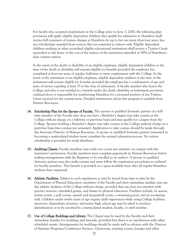For faculty who accepted employment at the College prior to June 3, 2000, the following plan provisions will apply: eligible dependent children who qualify for admission to Hamilton shall receive full remission of tuition charges at Hamilton for up to but not more than four years, less any scholarships awarded from sources that are restricted to tuition only. Eligible dependent children studying at other accredited eligible educational institutions shall receive a Tuition Grant equivalent to the lesser of the cost of the tuition of the institution attended or 50% of Hamilton's then current tuition.

In the event of the death or disability of an eligible employee, eligible dependent children at the time of the death or disability will remain eligible for benefits provided the employee has completed at least ten years of regular, half-time or more employment with the College. In the event of the retirement of an eligible employee, eligible dependent children at the time of the retirement will remain eligible for benefits provided the employee has a combination of age and years of service equaling at least 75 at the time of retirement. A faculty member who leaves the College and who is not entitled to a benefit under the death, disability or retirement provisions outlined above is responsible for reimbursing Hamilton for a prorated portion of any Tuition Grant received for the current term. Detailed information about this program is available from Human Resources.

- 14. Scholarship Plan for the Spouse of Faculty. The spouse or qualified domestic partner of a fulltime member of the Faculty who does not have a Bachelor's degree may take courses at the College without charge on a full-time or part-time basis and may qualify for a degree from the College. Spouses holding a Bachelor's degree may take courses at the College without charge on a part-time basis (two courses per semester). Application to take courses should be made through the Associate Director of Human Resources. A spouse or qualified domestic partner interested in becoming a matriculated student must complete the normal admission process. No tuition scholarship is provided for study elsewhere.
- 15. Auditing Classes. Faculty members may audit one course per semester on campus with the instructor's permission. Faculty members must complete paperwork in Human Resources before making arrangements with the Registrar to be enrolled as an auditor. A spouse or qualified domestic partner may also audit courses and must follow the registration procedures as outlined for faculty members. This benefit is provided on a space-available basis after all regular Hamilton students have registered.
- 16. Athletic Facilities. Subject to such regulations as may be issued from time to time by the Department of Physical Education, members of the Faculty and their immediate families may use the athletic facilities of the College without charge, provided that use does not interfere with practice sessions, scheduled games, and classes in physical education. Facilities include, in season, tennis courts, a golf course, squash and racquetball courts, a swimming pool, and an ice-skating rink. Children under twelve years of age require adult supervision while using College facilities; moreover, dependents of junior- and senior high school age may be asked to produce identification or to be escorted by a matriculated student, faculty, or staff member.
- 17. Use of College Buildings and Library. The Chapel may be used by the Faculty and their immediate families for weddings and funerals, provided that there is no interference with other scheduled events. Arrangements for weddings should be made well in advance with the Director of Summer Programs/Conference Services. Classrooms, meeting rooms, lounges and other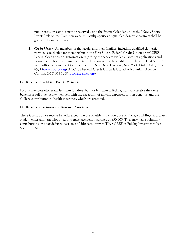public areas on campus may be reserved using the Events Calendar under the "News, Sports, Events" tab on the Hamilton website. Faculty spouses or qualified domestic partners shall be granted library privileges.

18. Credit Union. All members of the faculty and their families, including qualified domestic partners, are eligible for membership in the First Source Federal Credit Union or ACCESS Federal Credit Union. Information regarding the services available, account applications and payroll deduction forms may be obtained by contacting the credit union directly. First Source's main office is located at 4451 Commercial Drive, New Hartford, New York 13413, (315) 735- 8571 [\(www.fsource.org\)](http://www.fsource.org/). ACCESS Federal Credit Union is located at 6 Franklin Avenue, Clinton, (315) 557-1000 [\(www.accessfcu.org\)](http://www.accessfcu.org/).

## C. Benefits of Part-Time Faculty Members

Faculty members who teach less than full-time, but not less than half-time, normally receive the same benefits as full-time faculty members with the exception of moving expenses, tuition benefits, and the College contribution to health insurance, which are prorated.

### D. Benefits of Lecturers and Research Associates

These faculty do not receive benefits except the use of athletic facilities, use of College buildings, a prorated student entertainment allowance, and travel accident insurance of \$50,000. They may make voluntary contributions on a tax-deferred basis to a 403(b) account with TIAA-CREF or Fidelity Investments (see Section B. 6).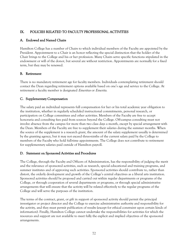# IX. POLICIES RELATED TO FACULTY PROFESSIONAL ACTIVITIES

## A. Endowed and Named Chairs

Hamilton College has a number of Chairs to which individual members of the Faculty are appointed by the President. Appointment to a Chair is an honor reflecting the special distinction that the holder of the Chair brings to the College and his or her profession. Many Chairs serve specific functions stipulated in the endowment or will of the donor, but several are without restriction. Appointments are normally for a fixed term, but they may be renewed.

# B. Retirement

There is no mandatory retirement age for faculty members. Individuals contemplating retirement should contact the Dean regarding retirement options available based on one's age and service to the College. At retirement a faculty member is designated Emeritus or Emerita.

# C. Supplementary Compensation

The salary paid an individual represents full compensation for her or his total academic year obligation to the institution, whether in regularly scheduled instructional commitments, personal research, or participation on College committees and other activities. Members of the Faculty are free to accept honoraria and consulting fees paid from sources beyond the College. Off-campus consulting must not involve absence from the campus for more than two class days a month, except by special arrangement with the Dean. Members of the Faculty are free to supplement their salaries during the summer months. When the source of the supplement is a research grant, the amount of the salary supplement usually is determined by the granting agency, but it may not exceed three-ninths of the current salary paid by the College to members of the Faculty who hold full-time appointments. The College does not contribute to retirement for supplementary salaries paid outside of Hamilton payroll.

## D. Statement on Sponsored Activities and Procedures

The College, through the Faculty and Officers of Administration, has the responsibility of judging the merit and the relevance of sponsored activities, such as research, special educational and training programs, and summer institutes and of approving such activities. Sponsored activities should contribute to, rather than distort, the orderly development and growth of the College's central objectives as a liberal arts institution. Sponsored activities should be proposed and carried out within regular departments or programs of the College, or through cooperation of several departments or programs, or through special administrative arrangements that will ensure that the activity will be related effectively to the regular programs of the College and will serve the purposes of the institution.

The terms of the contract, grant, or gift in support of sponsored activity should permit the principal investigator or project director and the College to exercise administrative authority and responsibility for the activity, and they must permit publication of results (except for ethical constraint upon certain kinds of information). Finally, Hamilton College cannot undertake the responsibilities for activities for which the resources and support are not available to meet fully the explicit and implied objectives of the sponsored arrangements.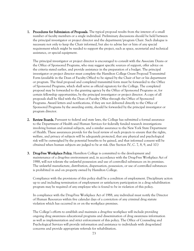1. Procedures for Submission of Proposals. The typical proposal results from the interest of a small number of faculty members or a single individual. Preliminary discussions should be held between the principal investigator or project director and the department/program Chair. Such dialogue is necessary not only to keep the Chair informed, but also to advise her or him of any special requirement which might be needed to support the project, such as space, secretarial and technical assistance, or special equipment.

The principal investigator or project director is encouraged to consult with the Associate Deans or the Office of Sponsored Programs, who may suggest specific sources of support, offer advice on the criteria stated earlier, and provide assistance in the preparation of a budget. The principal investigator or project director must complete the Hamilton College Grant Proposal Transmittal Form (available in the Dean of Faculty Office) to be signed by the Chair of her or his department or program. The final proposal and completed transmittal form must be forwarded to the Office of Sponsored Programs, which shall serve as official signatory for the College. The completed proposal may be forwarded to the granting agency by the Office of Sponsored Programs or, for certain fellowship opportunities, by the principal investigator or project director. A copy of all proposals shall be filed with the Dean of Faculty Office through the Office of Sponsored Programs. Award letters and notifications, if they are not delivered directly to the Office of Sponsored Programs by the awarding entity, should be forwarded by the principal investigator or program director.

- 2. Review Boards. Pursuant to federal and state laws, the College has submitted a formal assurance to the Department of Health and Human Services for federally funded research investigations involving human and animal subjects, and a similar assurance to the New York State Department of Health. These assurances provide for the local review of such projects to ensure that the rights, welfare, and privacy of subjects will be adequately protected, that any physical and psychological risk will be outweighed by the potential benefits to be gained, and that informed consent will be obtained when human subjects are judged to be at risk. (See Section IV, C. 7, 8, 9, and 10.)
- **3. Drug-Free Workplace Policy.** Hamilton College is committed to the development and maintenance of a drug-free environment and, in accordance with the Drug-Free Workplace Act of 1988, will not tolerate the unlawful possession and use of controlled substances on its premises. The unlawful manufacture, distribution, dispensation, possession, or use of controlled substances is prohibited in and on property owned by Hamilton College.

Compliance with the provisions of this policy shall be a condition of employment. Disciplinary action up to and including termination of employment or satisfactory participation in a drug rehabilitation program may be required of any employee who is found to be in violation of this policy.

In compliance with the Drug-Free Workplace Act of 1988, any individual must notify the Director of Human Resources within five calendar days of a conviction of any criminal drug statute violation which has occurred in or on the workplace premises.

The College's efforts to establish and maintain a drug-free workplace will include providing ongoing drug awareness educational programs and dissemination of drug awareness information as well as implementation and strict enforcement of this policy. The Office of Counseling and Psychological Services will provide information and assistance to individuals with drug-related concerns and provide appropriate referrals for rehabilitation.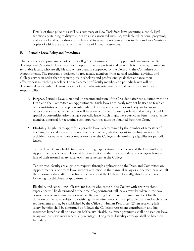Details of these policies as well as a summary of New York State laws governing alcohol, legal sanctions pertaining to drug use, health risks associated with use, available educational programs, and alcohol and other drug counseling and treatment programs appear in the *Student Handbook*, copies of which are available in the Office of Human Resources.

## E. Periodic Leave Policy and Procedures

The periodic leave program is part of the College's continuing effort to support and encourage faculty development. A periodic leave provides an opportunity for professional growth. It is a privilege granted to tenurable faculty who are eligible and whose plans are approved by the Dean and the Committee on Appointments. The program is designed to free faculty members from normal teaching, advising, and College service in order that they may pursue scholarly and professional goals that enhance their effectiveness as teaching scholars. The replacement of faculty members on periodic leaves will be determined by a combined consideration of curricular integrity, instructional continuity, and fiscal responsibility.

- 1. Purpose. Periodic leave is granted on recommendation of the President after consultation with the Dean and the Committee on Appointments. Such leaves ordinarily may not be used to teach at other institutions, to accept a regular salaried post in government or industry, or to engage in other contractual agreements that will interfere with the proposed professional activity. Should special opportunities arise during a periodic leave which might have particular benefit for a faculty member, approval for accepting such opportunities must be obtained from the Dean.
- **2.** Eligibility. Eligibility to apply for a periodic leave is determined by the number of semesters of teaching. Personal leaves of absence from the College, whether spent in teaching or research activities, normally will not count as service to the College in determining eligibility for periodic leaves.

Tenured faculty are eligible to request, through application to the Dean and the Committee on Appointments, a one-term leave without reduction in their normal salary or a one-year leave at half of their normal salary, after each ten semesters at the College.

Tenure-track faculty are eligible to request, through application to the Dean and Committee on Appointments, a one-term leave without reduction in their annual salary or a one-year leave at half their normal salary, after their first six semesters at the College. Normally, this leave will occur following the third-year reappointment.

Eligibility and scheduling of leaves for faculty who come to the College with prior teaching experience will be determined at the time of appointment. All leaves must be taken in the twocourse term of an annual five-course faculty teaching load. Benefits remain in effect for the duration of the leave, subject to satisfying the requirements of the applicable plans and such other requirements as may be established by the Office of Human Resources. When receiving half salary, benefits shall be continued as follows: the College's retirement contribution and life insurance benefit shall be based on half salary. Health insurance premiums shall be based on leave salary and pre-leave work schedule percentage. Long-term disability coverage shall be based on full salary.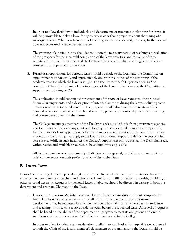In order to allow flexibility to individuals and departments or programs in planning for leaves, it will be permissible to delay a leave for up to two years without prejudice about the timing of a subsequent leave. When fourteen terms of teaching service have accrued, however, further accrual does not occur until a leave has been taken.

The granting of a periodic leave shall depend upon the necessary period of teaching, an evaluation of the prospects for the successful completion of the leave activities, and the value of those activities for the faculty member and the College. Consideration shall also be given to the leave pattern in the department or program.

**3. Procedure**. Applications for periodic leave should be made to the Dean and the Committee on Appointments by August 1, and approximately one year in advance of the beginning of the academic year for which the leave is sought. The Faculty member's Department or *ad hoc* committee Chair shall submit a letter in support of the leave to the Dean and the Committee on Appointments by August 20.

The application should contain a clear statement of the type of leave requested, the proposed financial arrangements, and a description of intended activities during the leave, including some indication of the anticipated benefits. The proposal should also describe the relation of the planned activities to previous research and scholarly pursuits, professional growth, and teaching and course development in the future.

The College encourages members of the Faculty to seek outside funds from government agencies and foundations. Copies of any grant or fellowship proposals should be submitted as part of a faculty member's leave application. A faculty member granted a periodic leave who also receives modest outside funding may apply to the Dean for additional support to defray the cost of a full year's leave. While in such instances the College's support can only be partial, the Dean shall seek, within reason and available resources, to be as supportive as possible.

All faculty members who are granted periodic leaves are expected, on their return, to provide a brief written report on their professional activities to the Dean.

## F. Personal Leaves

Leaves from teaching duties are provided: (i) to permit faculty members to engage in activities that shall enhance their competence as teachers and scholars at Hamilton; and (ii) for reasons of health, disability, or other personal necessity. Requests for personal leaves of absence should be directed in writing to both the department and program Chair and to the Dean.

1. Leaves for Professional Activity. Leaves of absence from teaching duties without compensation from Hamilton to pursue activities that shall enhance a faculty member's professional development may be requested by a faculty member who shall normally have been in residence and teaching for three consecutive academic years before the requested leave. Approval of requests shall be based on the ability of the department or program to meet its obligations and on the significance of the proposed leave to the faculty member and to the College.

In order to allow for adequate consideration, preliminary application for unpaid leave, addressed to both the Chair of the faculty member's department or program and to the Dean, should be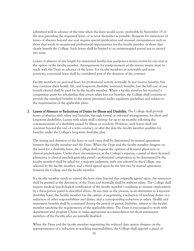submitted well in advance of the time when the leave would occur, preferably by November 15 of the year preceding the requested leave, or as soon thereafter as possible. Requests for extensions of leaves of absence beyond one year require special justification and unusual circumstances such as those that result in exceptional professional opportunities for the faculty member or those that clearly benefit the College. Such leaves shall be limited to an uninterrupted period not to exceed two years.

Leaves of absence of any length for untenured faculty may postpone a tenure review by one year at the option of the faculty member. Arrangements for postponement of the tenure review must be made with the Dean in advance of the leave. For faculty members in renewable and term positions, a personal leave shall be considered part of the duration of the contract.

Faculty members on personal leave for professional activity normally do not receive benefits, but may continue their health, life, and long-term disability insurance benefits, but the full cost of any benefit elected shall be paid for by the faculty member. When a faculty member has received a competitive grant for scholarship that covers salary but not benefits, the College shall continue to provide the standard benefits to the extent permitted under regulatory guidelines and subject to the requirements of the applicable plans.

2. Leaves of Absence or Reductions of Duties for Illness and Disability. The College shall provide leaves of absence with salary and benefits, through formal or informal arrangements, for short and long-term disabilities. Leaves with salary shall continue for up to six months following the commencement of a disability caused by illness or accident. However, such leaves shall not continue beyond the end of a term contract, or after the date the faculty member qualifies for benefits under the College's long-term disability plan.

The timing and duration of the leave in such cases shall be determined by mutual agreement between the faculty member and the Dean. When the Dean and the faculty member disagree on the need for a disability leave, the College shall request the opinion of licensed physicians or clinical psychologists. Under these circumstances, at the College's expense, a panel of three licensed physicians or clinical psychologists (the panel's professional composition to be determined by the faculty member) shall be asked for a majority judgment, with one selected by the College, one selected by the faculty member, and a third agreed upon by the first two by mutual agreement between the College and the faculty member.

If a faculty member needs to extend the leave time beyond that originally agreed upon, the extension shall be granted at the discretion of the Dean and normally shall be without salary. The College shall require medical/psychological certification of the faculty member's readiness to resume employment by a three-person panel as described above. At any time in the process, as an alternative to long-term disability leave, the faculty member has the option of negotiating a reduction of teaching duties or a reduction of other responsibilities and duties, and a corresponding reduction in salary. Health and retirement benefits shall be continued during the period of partial disability, subject to the faculty member satisfying the requirements of the applicable plans. The Dean is encouraged to work with department and program Chairs to make appropriate accommodation for those permanent members of the Faculty who are partially disabled.

When the Dean and the faculty member negotiating the reduced duty option disagree on the appropriateness of a reduction in teaching responsibilities, the College shall appoint a panel of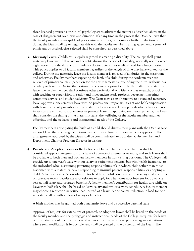three licensed physicians or clinical psychologists to arbitrate the matter as described above in the case of disagreement over leave and duration. If at any time in the process the Dean believes that the faculty member is incapable of performing any duties, or requires a further reduction of duties, the Dean shall try to negotiate this with the faculty member. Failing agreement, a panel of physicians or psychologists selected shall be consulted, as described above.

**3.** Maternity Leaves. Childbirth is legally regarded as creating a disability. The college shall grant maternity leave with full salary and benefits during the period of disability, normally not to exceed eight weeks from the date of birth unless a doctor determines medical need for a longer period. This policy applies to all faculty members regardless of the length of time they have worked for the college. During the maternity leave the faculty member is relieved of all duties, in the classroom and otherwise. Faculty members expecting the birth of a child during the academic year are relieved of primary course supervision for the entire semester surrounding the birth, without loss of salary or benefits. During the portion of the semester prior to the birth or after the maternity leave, the faculty member shall continue other professional activities, such as research, assisting with teaching or supervision of senior and independent study projects, department meetings, committee service, and student advising. The Dean may, as an alternative to a standard maternity leave, approve a one-semester leave with no professional responsibilities at one-half compensation with benefits. Faculty members whose maternity leave occurs during periods when classes are not in session are entitled to a one-semester parental leave. In approving such arrangements, the Dean shall consider the timing of the maternity leave, the wellbeing of the faculty member and her offspring, and the pedagogic and instructional needs of the College.

Faculty members anticipating the birth of a child should discuss their plans with the Dean as soon as possible so that the range of options can be fully explored and arrangements approved. The arrangements approved by the Dean shall be communicated to both the faculty member and Department Chair or Program Director in writing.

4. Parental and Adoption Leaves or Reductions of Duties. The rearing of children shall be considered appropriate grounds for a leave of absence of a semester or more, and such leaves shall be available to both men and women faculty members in non-visiting positions. The College shall provide up to one year's leave without salary or retirement benefits, but with health insurance, to the individual who is: assuming parenting responsibilities of a newborn child (other than those associated with a maternity leave); responding to unusual parental responsibilities; or adopting a child. A faculty member's contribution for health care while on leave with no salary shall continue on pre-leave terms. Faculty are also welcome to apply for a half-time appointment for up to one year at half salary and prorated benefits. A faculty member's contribution for health care while on leave with half salary shall be based on leave salary and pre-leave work schedule. A faculty member may choose a reduction in course load instead of a leave. A one-course reduction in load for one semester shall be without loss of salary or benefits.

A birth mother may be granted both a maternity leave and a successive parental leave.

Approval of requests for extensions of parental, or adoption leaves shall be based on the needs of the faculty member and the pedagogic and instructional needs of the College. Requests for leaves of this nature should be made at least three months in advance except in emergency situations where such notification is impossible, and shall be granted at the discretion of the Dean. The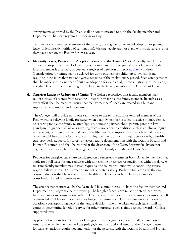arrangements approved by the Dean shall be communicated to both the faculty member and Department Chair or Program Director in writing.

Tenure-track and tenured members of the Faculty are eligible for extended adoption or parental leave (unless already notified of termination). Visiting faculty are not eligible for such leave, even if they have been on the Faculty for over a year.

- 5. Maternity Leaves, Parental and Adoption Leaves, and the Tenure Clock. A faculty member is entitled to stop the tenure clock, with or without taking a full or partial leave of absence, if the faculty member is a primary or coequal caregiver of newborn or newly-adopted children. Consideration for tenure may be delayed for up to one year per child, up to two children, resulting in no more than two one-year extensions of the probationary period. Such arrangements shall be made within one year of birth or adoption for each child, in consultation with the Dean, and shall be confirmed in writing by the Dean to the faculty member and Department Chair.
- 6. Caregiver Leaves or Reduction of Duties. The College recognizes that faculty members may require leaves of absence from teaching duties to care for a close family member. In such cases every effort shall be made to ensure that faculty members' needs are treated in a humane, supportive, and understanding manner.

The College shall provide up to one year's leave to the tenure-track or tenured member of the Faculty who is relieving family pressures when a family member is called to active military service or is caring for a close family relative (spouse, domestic partner, child, parent, parent-in-law, grandparent, grandchild) who is suffering from serious health condition such as an illness, injury, impairment, or physical or mental condition (that involves: inpatient care in a hospital, hospice, or residential health care facility; or continuing treatment or continuing supervision by a health care provider). Requests for caregiver leaves require documentation with the Dean of Faculty and Human Resources and shall be granted at the discretion of the Dean. Visiting faculty are not eligible for such leave, but may be eligible under the Family and Medical Leave Act.

Requests for caregiver leaves are considered on a semester-by-semester basis. A faculty member may apply for a full leave for one semester with no teaching or service responsibilities without salary. A full-time faculty member may instead request a one-course reduction while continuing service responsibilities with a 20% reduction in that semester's salary. Both the full leave and the onecourse reduction shall be without loss of health care benefits with the faculty member's contribution based on pre-leave terms.

The arrangements approved by the Dean shall be communicated to both the faculty member and Department or Program Chair in writing. The length of each leave must be determined by the faculty member in consultation with the Dean when the request for leave is made; it cannot be left open-ended. Full leaves of a semester or longer for tenure-track faculty members shall normally occasion a corresponding delay of the tenure decision. The time taken on such leaves shall not count in determining length of service for other purposes, such as time accrued toward a Collegesupported leave.

Approval of requests for extensions of caregiver leaves beyond a semester shall be based on the needs of the faculty member and the pedagogic and instructional needs of the College. Requests for leave extensions require documentation of the necessity with the Dean of Faculty and Human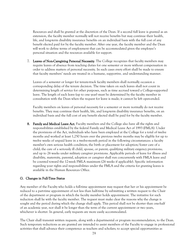Resources and shall be granted at the discretion of the Dean. If a second full leave is granted as an extension, the faculty member normally will not receive benefits but may continue their health, life, and long-term disability insurance benefits on an individual basis with the full cost of any benefit elected paid for by the faculty member. After one year, the faculty member and the Dean will work to define terms of employment that can be accommodated given the employee's personal situation and the resources available for support.

7. Leaves of Non-Caregiving Personal Necessity. The College recognizes that faculty members may require leaves of absence from teaching duties for one semester or more without compensation in order to address matters of personal necessity. In such cases every effort shall be made to ensure that faculty members' needs are treated in a humane, supportive, and understanding manner.

Leaves of a semester or longer for tenure-track faculty members shall normally occasion a corresponding delay of the tenure decision. The time taken on such leaves shall not count in determining length of service for other purposes, such as time accrued toward a College-supported leave. The length of each leave (up to one year) must be determined by the faculty member in consultation with the Dean when the request for leave is made; it cannot be left open-ended.

Faculty members on leaves of personal necessity for a semester or more normally do not receive benefits. They may continue their health, life, and long-term disability insurance benefits, on an individual basis and the full cost of any benefit elected shall be paid for by the faculty member.

8. Family and Medical Leave Act. Faculty members and the College also have all the rights and responsibilities established by the federal Family and Medical Leave Act of 1993 (FMLA). Under the provisions of the Act, individuals who have been employed at the College for a total of twelve months and worked at least 1,250 hours over the previous twelve months may be eligible for up to twelve weeks of unpaid leave in a twelve-month period in the following circumstances: a faculty member's own serious health condition; the birth or placement for adoption/foster care of a child; the care of a seriously ill child, spouse, or parent; qualifying military exigency provisions; and up to 26 weeks under military caregiver provisions. Applicable periods of leave for illness and disability, maternity, parental, adoption or caregiver shall run concurrently with FMLA leave and be counted toward the 12-week FMLA maximum (26 weeks if applicable). Specific information regarding your rights and responsibilities under the FMLA and the criteria for granting leaves is available in the Human Resources Office.

## G. Changes in Full-Time Status

Any member of the Faculty who holds a full-time appointment may request that her or his appointment be reduced to a part-time appointment of not less than half-time by submitting a written request to the Chair of the department or program in which the faculty member holds appointment. The initiative for such reduction shall lie with the faculty member. The request must make clear the reasons why the change is sought and the period during which the change shall apply. This period shall not be shorter than one-half of an academic year, nor shall it be longer than the term of the current appointment or two years, whichever is shorter. In general, early requests are more easily accommodated.

The Chair shall transmit written requests, along with a departmental or program recommendation, to the Dean. Such temporary reductions as are granted are intended to assist members of the Faculty to engage in professional activities that shall advance their competence as teachers and scholars; to accept special opportunities as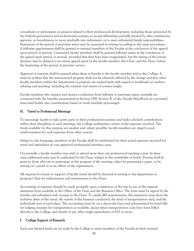consultants or participants in projects related to their professional development, including those sponsored by the Federal government and professional societies; to accept fellowships partially funded by other institutions, agencies, or foundations; to move gradually into retirement; or to meet substantial family responsibilities. Extensions of the period of part-time status may be requested in writing according to the same procedures. A full-time appointment shall be granted to tenured members of the Faculty at the conclusion of the agreedupon period or periods. Untenured faculty members shall be granted full-time status at the conclusion of the agreed upon period or periods, provided that they have been reappointed, but the timing of the tenure decision may be delayed to an extent agreed upon by the faculty member, the Chair, and the Dean, before the beginning of the period of part-time service.

Approval of requests shall be granted when there is benefit to the faculty member and to the College. It must be evident that the instructional program shall not be adversely affected by the change and that other faculty members within the department or program are treated fairly with regard to workloads on student advising and teaching, including the number and nature of courses taught.

Faculty members who request and receive a reduction from full-time to part-time status normally are continued with the benefits enumerated in Section VIII, Section B. of the *Faculty Handbook* on a prorated basis (and health care contributions based on work schedule percentage).

## H. Travel to Professional Meetings

To encourage faculty to take active parts in their professional societies and make scholarly contributions within their disciplines at such meetings, the College underwrites certain of the expenses involved. The funds available for this purpose are modest and, where possible, faculty members are urged to seek reimbursement for such expenses from other sources.

Subject to the foregoing, members of the Faculty shall be reimbursed for their actual expenses incurred for travel and attendance to one approved professional meeting a year.

Occasionally a faculty member may wish to attend more than one professional meeting a year. In these cases additional sums may be authorized by the Dean, subject to the availability of funds. Priority shall be given to those who are to participate in the program of the meeting, either by presenting a paper, or by serving on a panel or as an officer of the organization.

All requests for funds in support of faculty travel should be directed in writing to the department or program Chair for endorsement and transmission to the Dean.

Accounting of expenses should be made promptly upon completion of the trip by use of the expense statement form available in the Office of the Dean and the Business Office. The form must be signed by the traveler and submitted with receipts to the Dean. To satisfy IRS requirements, this statement must show the inclusive dates of the travel, the nature of the business conducted, the kind of transportation used, and the individuals seen at each place. The accounting must be on a day-to-day basis and substantiated by hotel bills for lodging, receipts for transportation as available, except when transportation costs have been billed directly to the College, and details of any other single expenditure of \$25 or more.

# I. College Support of Research

Each year limited funds are set aside by the College to assist members of the Faculty in their research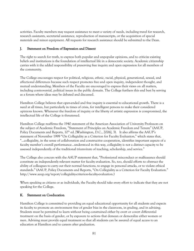activities. Faculty members may request assistance to meet a variety of needs, including travel for research, research assistants, secretarial assistance, reproduction of manuscripts, or the acquisition of special materials and minor equipment. All requests for research assistance should be submitted to the Dean.

### J. Statement on Freedom of Expression and Dissent

The right to search for truth, to express both popular and unpopular opinions, and to criticize existing beliefs and institutions is the foundation of intellectual life in a democratic society. Academic citizenship carries with it the added responsibility of preserving free inquiry and open expression for all members of the community.

The College encourages respect for political, religious, ethnic, racial, physical, generational, sexual, and affectional differences because such respect promotes free and open inquiry, independent thought, and mutual understanding. Members of the Faculty are encouraged to express their views on all matters, including controversial, political issues in the public domain. The College furthers this end best by serving as a forum where ideas may be debated and discussed.

Hamilton College believes that open-ended and free inquiry is essential to educational growth. There is a need at all times, but particularly in times of crisis, for intelligent persons to make their considered opinions known. Whenever the freedom of inquiry or the liberty of artistic expression is compromised, the intellectual life of the College is threatened.

Hamilton College reaffirms the 1940 statement of the American Association of University Professors on the subject of Academic Freedom, "Statement of Principles on Academic Freedom and Tenure" (AAUP, Policy Documents and Reports, 10<sup>th</sup> ed. [Washington, D.C., 2006], 3). It also affirms the AAUP's statement of November 1999 "On Collegiality as a Criterion for Faculty Evaluation," which states that, "…collegiality, in the sense of collaboration and constructive cooperation, identifies important aspects of a faculty member's overall performance…understood in this way, collegiality is not a distinct capacity to be assessed independently of the traditional triumvirate of teaching, scholarship, and service."

The College also concurs with the AAUP statement that, "Professional misconduct or malfeasance should constitute an independently relevant matter for faculty evaluation. So, too, should efforts to obstruct the ability of colleagues to carry out their normal functions, to engage in personal attacks, or to violate ethical standards." (AAUP, Policy Documents and Reports, "On Collegiality as a Criterion for Faculty Evaluation." [http://www.aaup.org/report/collegiality-criterion-faculty-evaluation.](http://www.aaup.org/report/collegiality-criterion-faculty-evaluation))

When speaking as citizens or as individuals, the Faculty should take every effort to indicate that they are not speaking for the College.

## K. Statement on Coeducation

Hamilton College is committed to providing an equal educational opportunity for all students and expects its faculty to promote an environment free of gender bias in the classroom, in grading, and in advising. Students must be permitted to learn without being constrained either by overt or covert differential treatment on the basis of gender, or by exposure to actions that demean or demoralize either women or men. Advising must provide equal treatment so that all students can be assured of equal access to an education at Hamilton and to careers after graduation.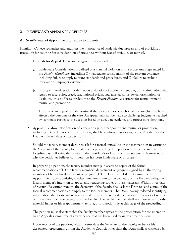## X. REVIEW AND APPEALS PROCEDURES

#### A. Non-Renewal of Appointment or Failure to Promote

Hamilton College recognizes and endorses the importance of academic due process and of providing a procedure for assuring fair consideration of grievances without fear of prejudice or reprisal.

- 1. Grounds for Appeal. There are two grounds for appeal:
	- a. Inadequate Consideration is defined as a material violation of the procedural steps stated in the *Faculty Handbook*, including: (1) inadequate consideration of the relevant evidence, including failure to apply relevant standards and procedures; and (2) failure to exclude irrelevant or improper evidence.
	- b. Improper Consideration is defined as a violation of academic freedom, or discrimination with regard to race, color, creed, sex, national origin, age, marital status, sexual orientation, or disability, or use of bases irrelevant to the *Faculty Handbook's* criteria for reappointment, tenure, and promotion.

The aim of an appeal is to determine if there were errors of such kind and weight as to have affected the outcome of the case. An appeal may not be made to challenge judgments reached by legitimate parties to the decision based on adequate evidence and proper considerations.

2. Appeal Procedure. Notification of a decision against reappointment, tenure, or promotion, including detailed reasons for the decision, shall be confirmed in writing by the President or the Dean within ten days of the decision.

Should the faculty member decide to ask for a formal appeal, he or she may petition in writing to the Secretary of the Faculty to initiate such a proceeding. The petition must be received within forty-five days following the receipt of the President's or Dean's written statement. It must state why the petitioner believes consideration has been inadequate or improper.

In preparing a petition, the faculty member may gain access to copies of the formal recommendations of (1) the faculty member's department or program signed by all the voting members of her or his department or program, (2) the Dean, and (3) the Committee on Appointments, by submitting a written memorandum to the Secretary of the Faculty stating the faculty member's intention to appeal and requesting copies of these materials. Within three days of receipt of a written request, the Secretary of the Faculty shall ask the Dean to send copies of the formal recommendations promptly to the faculty member. The Dean, having redacted identifying information about external reviewers, shall provide the requested copies within a week of receipt of the request from the Secretary of the Faculty. The faculty member shall not have access to other material in her or his reappointment, tenure, or promotion file at this stage of the proceeding.

The petition must also state that the faculty member agrees to the presentation for consideration by an Appeals Committee of any evidence that has been used to arrive at the decision.

Upon receipt of the petition, within twenty days the Secretary of the Faculty or her or his designated representative from the Academic Council other than the Dean shall, as witnessed by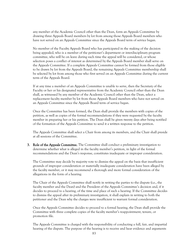any member of the Academic Council other than the Dean, form an Appeals Committee by drawing three Appeals Board members by lot from among those Appeals Board members who have not served on an Appeals Committee since the Appeals Board term of service began.

No member of the Faculty Appeals Board who has participated in the making of the decision being appealed, who is a member of the petitioner's department or interdisciplinary program committee, who will be on leave during such time the appeal will be considered, or whose selection poses a conflict of interest as determined by the Appeals Board member shall serve on the Appeals Committee. If a complete Appeals Committee cannot be formed from those eligible to be drawn by lot from the Appeals Board, the remaining Appeals Committee membership shall be selected by lot from among those who first served on an Appeals Committee during the current term of the Appeals Board.

If at any time a member of an Appeals Committee is unable to serve, then the Secretary of the Faculty or her or his designated representative from the Academic Council other than the Dean shall, as witnessed by any member of the Academic Council other than the Dean, select a replacement faculty member by lot from those Appeals Board members who have not served on an Appeals Committee since the Appeals Board term of service began.

Once the Committee has been formed, the Dean shall provide the members with copies of the petition, as well as copies of the formal recommendations if they were requested by the faculty member in preparing her or his petition. The Dean shall be given twenty days after being notified of the formation of the Appeals Committee to send it a written response to the petition.

The Appeals Committee shall select a Chair from among its members, and the Chair shall preside at all sessions of the Committee.

3. Role of the Appeals Committee. The Committee shall conduct a preliminary investigation to determine whether what is alleged in the faculty member's petition, in light of the formal recommendations and the Dean's response, constitutes inadequate or improper consideration.

The Committee may decide by majority vote to dismiss the appeal on the basis that insufficient grounds of improper consideration or materially inadequate consideration have been alleged by the faculty member, or it may recommend a thorough and more formal consideration of the allegations in the form of a hearing.

The Chair of the Appeals Committee shall notify in writing the parties to the dispute (i.e., the faculty member and the Dean) and the President of the Appeals Committee's decision and, if it decides to proceed to a hearing, of the time and place of such a hearing. If the Committee decides to dismiss the appeal after its preliminary investigation, it shall explain in writing to both the petitioner and the Dean why the charges were insufficient to warrant formal consideration.

Once the Appeals Committee decides to proceed to a formal hearing, the Dean shall provide the Committee with three complete copies of the faculty member's reappointment, tenure, or promotion file.

The Appeals Committee is charged with the responsibility of conducting a full, fair, and impartial hearing of the dispute. The purpose of the hearing is to receive and hear evidence and arguments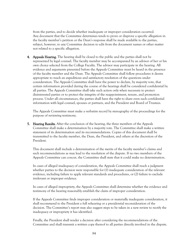from the parties, and to decide whether inadequate or improper consideration occurred. Any document that the Committee determines tends to prove or disprove a specific allegation in the faculty member's petition or the Dean's response shall be made available to the parties, subject, however, to any Committee decision to edit from the document names or other matter not related to a specific allegation.

4. Appeals Hearing. The hearing shall be closed to the public and the parties shall not be represented by legal counsel. The faculty member may be accompanied by an advisor of her or his own choice selected from the College Faculty. The advisor may participate in the hearing. All evidence and arguments presented before the Appeals Committee must be heard in the presence of the faculty member and the Dean. The Appeals Committee shall follow procedures it deems appropriate to reach an expeditious and satisfactory resolution of the questions under consideration. The Appeals Committee shall have the power to declare, by majority vote, that certain information provided during the course of the hearings shall be considered confidential by all parties. The Appeals Committee shall take such action only when necessary to protect disinterested parties or to protect the integrity of the reappointment, tenure, and promotion process. Under all circumstances, the parties shall have the right to share even such confidential information with legal counsel, spouses or partners, and the President and Board of Trustees.

The Appeals Committee must make a verbatim record by stenography of the proceedings for the purpose of reviewing testimony.

**5. Hearing Results.** After the conclusion of the hearing, the three members of the Appeals Committee shall make a determination by a majority vote. The Committee shall make a written statement of its determination and its recommendations. Copies of this document shall be transmitted to the faculty member, the Dean, the President, and others at the discretion of the President.

This document shall include a determination of the merits of the faculty member's claims and such recommendations as may lead to the resolution of the dispute. If no two members of the Appeals Committee can concur, the Committee shall state that it could make no determination.

In cases of alleged inadequacy of consideration, the Appeals Committee shall reach a judgment whether parties to the decision were responsible for (1) inadequate consideration of the relevant evidence, including failure to apply relevant standards and procedures, or (2) failure to exclude irrelevant or improper evidence.

In cases of alleged impropriety, the Appeals Committee shall determine whether the evidence and testimony of the hearing reasonably establish the claim of improper consideration.

If the Appeals Committee finds improper consideration or materially inadequate consideration, it shall recommend to the President a full rehearing or a presidential reconsideration of the decision. The Committee's report may also suggest steps to be taken in a new review to rectify the inadequacy or impropriety it has identified.

Finally, the President shall render a decision after considering the recommendations of the Committee and shall transmit a written copy thereof to all parties directly involved in the dispute.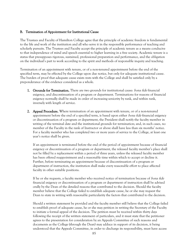#### B. Termination of Appointment for Institutional Cause

The Trustees and Faculty of Hamilton College agree that the principle of academic freedom is fundamental to the life and work of the institution and all who serve it in the responsible performance of teaching and scholarly pursuits. The Trustees and Faculty accept the principle of academic tenure as a means conducive to that independence of mind and speech essential to higher learning in a free society. Academic tenure is a status that presupposes rigorous, sustained, professional preparation and performance, and the obligation on the individual's part to work according to the spirit and methods of responsible inquiry and teaching.

Termination of an appointment with tenure, or of a non-tenured appointment before the end of the specified term, may be effected by the College upon due notice, but only for adequate institutional cause. The burden of proof that adequate cause exists rests with the College and shall be satisfied only by a preponderance of the evidence considered as a whole.

- 1. Grounds for Termination. There are two grounds for institutional cause: *bona fide* financial exigency, and discontinuation of a program or department. Terminations for reasons of financial exigency normally shall be made in order of increasing seniority by rank, and within rank, inversely with length of service.
- 2. Appeal Procedure. Where termination of an appointment with tenure, or of a non-tenured appointment before the end of a specified term, is based upon either *bona fide* financial exigency or discontinuation of a program or department, the President shall notify the faculty member in writing of the terminal date and the institutional grounds for termination; and, in such cases, no member of the Faculty in the rank of Instructor or above shall have less than six months' notice. For a faculty member who has completed two or more years of service to the College, at least one year's notice shall be given.

If an appointment is terminated before the end of the period of appointment because of financial exigency or discontinuation of a program or department, the released faculty member's place shall not be filled by a replacement within a period of three years, unless the released faculty member has been offered reappointment and a reasonable time within which to accept or decline it. Further, before terminating an appointment because of discontinuation of a program or department of instruction, the institution shall make every reasonable effort to place affected faculty in other suitable positions.

If he or she requests, a faculty member who received notice of termination because of *bona fide* financial exigency or discontinuation of a program or department of instruction shall be advised orally by the Dean of the detailed reasons that contributed to the decision. Should the faculty member believe that the College failed to establish adequate cause, he or she may request the Dean to state in writing with reasonable particularity the factors that contributed to the decision.

Should a written statement be provided and the faculty member still believe that the College failed to establish proof of adequate cause, he or she may petition in writing the Secretary of the Faculty to initiate a formal appeal of the decision. The petition must be received within thirty days following the receipt of the written statement of particulars, and it must state that the petitioner agrees to the presentation for consideration by an Appeals Committee of such reasons and documents as the College (through the Dean) may adduce in support of its decision, it being understood that the Appeals Committee, in order to discharge its responsibility, must have access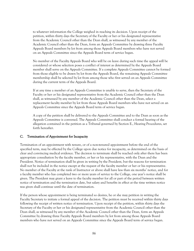to whatever information the College weighed in reaching its decision. Upon receipt of the petition, within thirty days the Secretary of the Faculty or her or his designated representative from the Academic Council other than the Dean shall, as witnessed by any member of the Academic Council other than the Dean, form an Appeals Committee by drawing three Faculty Appeals Board members by lot from among those Appeals Board members who have not served on an Appeals Committee since the Appeals Board term of service began.

No member of the Faculty Appeals Board who will be on leave during such time the appeal will be considered or whose selection poses a conflict of interest as determined by the Appeals Board member shall serve on the Appeals Committee. If a complete Appeals Committee cannot be formed from those eligible to be drawn by lot from the Appeals Board, the remaining Appeals Committee membership shall be selected by lot from among those who first served on an Appeals Committee during the current term of the Appeals Board.

If at any time a member of an Appeals Committee is unable to serve, then the Secretary of the Faculty or her or his designated representative from the Academic Council other than the Dean shall, as witnessed by any member of the Academic Council other than the Dean, select a replacement faculty member by lot from those Appeals Board members who have not served on an Appeals Committee since the Appeals Board term of service began.

A copy of the petition shall be delivered to the Appeals Committee and to the Dean as soon as the Appeals Committee is convened. The Appeals Committee shall conduct a formal hearing of the allegation contained in the petition as a Tribunal governed by Section E., Hearing Procedures, set forth hereafter.

#### C. Termination of Appointment for Incapacity

Termination of an appointment with tenure, or of a non-tenured appointment before the end of the specified term, may be effected by the College upon due notice for incapacity, as determined on the basis of clear and convincing medical evidence. The decision to terminate shall be reached only after there has been appropriate consultation by the faculty member, or her or his representative, with the Dean and the President. Notice of termination shall be given in writing by the President, but the reasons for termination shall not be included in the notice except at the request of the faculty member or her or his representative. No member of the Faculty at the rank of Instructor or above shall have less than six months' notice, and for a faculty member who has completed two or more years of service to the College, one year's notice shall be given. The President may grant a leave to the faculty member for all or part of the period between written notice of termination and the termination date, but salary and benefits in effect at the time written notice was given shall continue until the date of termination.

If the person whose appointment is being terminated so desires, he or she may petition in writing the Faculty Secretary to initiate a formal appeal of the decision. The petition must be received within thirty days following the receipt of written notice of termination. Upon receipt of the petition, within thirty days the Secretary of the Faculty or her or his designated representative from the Academic Council other than the Dean shall, as witnessed by any member of the Academic Council other than the Dean, form an Appeals Committee by drawing three Faculty Appeals Board members by lot from among those Appeals Board members who have not served on an Appeals Committee since the Appeals Board term of service began.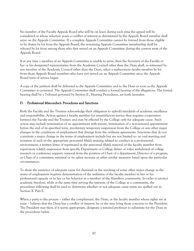No member of the Faculty Appeals Board who will be on leave during such time the appeal will be considered or whose selection poses a conflict of interest as determined by the Appeals Board member shall serve on the Appeals Committee. If a complete Appeals Committee cannot be formed from those eligible to be drawn by lot from the Appeals Board, the remaining Appeals Committee membership shall be selected by lot from among those who first served on an Appeals Committee during the current term of the Appeals Board.

If at any time a member of an Appeals Committee is unable to serve, then the Secretary of the Faculty or her or his designated representative from the Academic Council other than the Dean shall, as witnessed by any member of the Academic Council other than the Dean, select a replacement faculty member by lot from those Appeals Board members who have not served on an Appeals Committee since the Appeals Board term of service began.

A copy of the petition shall be delivered to the Appeals Committee and to the Dean as soon as the Appeals Committee is convened. The Appeals Committee shall conduct a formal hearing of the allegations. The formal hearing shall be a Tribunal governed by Section E., Hearing Procedures, set forth hereafter.

## D. Professional Misconduct: Procedures and Sanctions

Both the Faculty and the Trustees acknowledge their obligation to uphold standards of academic excellence and responsibility. Action against a faculty member for unsatisfactory service thus requires cooperation between the Faculty and the Trustees and may be effected by the College only for adequate cause. Such action may include termination of an appointment with tenure, termination of a non-tenured appointment before the end of its specified term, involuntary temporary suspension from the College or any other major changes in the conditions of employment that diverge from the ordinary agreements. Sanctions that do not constitute a major change in the terms of employment include but are not limited to: an oral warning and notation of such in the appropriate personnel file(s); training related to conduct in a professional environment; a written letter of reprimand in the personnel file(s); removal of the faculty member from supervisory role(s); suspension from specific Department or College duties or roles; withdrawal of college research or conference support; removal from the position of Chair of a department, Director of a program, or Chair of a committee; minimal or no salary increase or other similar measures based upon the particular circumstances.

To show the existence of adequate cause for dismissal or the invoking of some other major change in the terms of employment requires demonstration of the unfitness of the faculty member in her or his professional capacity or in her or his behavior as a member of the Hamilton community. In order to protect academic freedom, while at the same time serving the interests of the College as a community, the procedures following shall be used to determine whether or not adequate cause exists are spelled out in Section X. Part E.

When a party to the process – either the complainant, the Dean, or the faculty member whose rights are at issue – believes that the Dean has a conflict of interest, he or she may bring those concerns to the President. The President may then, if it seems appropriate, designate a tenured professor to substitute for the Dean in the procedures below.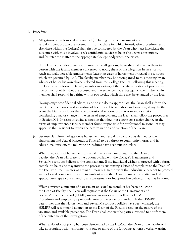#### 1. Procedure

a. Allegations of professional misconduct (excluding those of harassment and sexual misconduct that are covered in 1. b., or those for which investigative procedures exist elsewhere within the College) shall first be considered by the Dean who may: investigate the substance with those involved, seek confidential advice as he or she deems appropriate, and/or refer the matter to the appropriate College body when one exists.

If the Dean concludes there is substance to the allegations, he or she shall discuss them in person with the faculty member concerned to notify them of the allegation in an effort to reach mutually agreeable arrangements (except in cases of harassment or sexual misconduct, which are governed by 1.b.). The faculty member may be accompanied to this meeting by an advisor of her or his own choice, selected from the College Faculty. Following this meeting, the Dean shall inform the faculty member in writing of the specific allegation of professional misconduct of which they are accused and the evidence that exists against them. The faculty member shall respond in writing within two weeks, which time may be extended by the Dean.

Having sought confidential advice, as he or she deems appropriate, the Dean shall inform the faculty member concerned in writing of his or her determination and sanction, if any. In the event the Dean concludes that the professional misconduct may warrant a sanction constituting a major change in the terms of employment, the Dean shall follow the procedures in Section X.E. In cases involving a sanction that does not constitute a major change in the terms of employment, a faculty member found responsible for professional misconduct may appeal to the President to review the determination and sanction of the Dean.

b. Because Hamilton College views harassment and sexual misconduct (as defined by the [Harassment and Sexual Misconduct Policies\)](http://www.hamilton.edu/hsmb/sexual-misconduct-policy.) to be a threat to community norms and its educational mission, the following procedures have been put into place.

When allegations of harassment or sexual misconduct are brought to the Dean of Faculty, the Dean will present the options available in the College's Harassment and Sexual Misconduct Policies to the complainant. If the individual wishes to proceed with a formal complaint, he or she may initiate the process by submitting a letter of complaint to the Dean of the Faculty or the Director of Human Resources. In the event the individual elects not to proceed with a formal complaint, it is still incumbent upon the Dean to pursue the matter and take appropriate steps to put an end to any harassment or inappropriate behavior that may be found.

When a written complaint of harassment or sexual misconduct has been brought to the Dean of Faculty, the Dean will request that the Chair of the Harassment and Sexual Misconduct Board (HSMB) initiate an investigation following HSMB Procedures and employing a preponderance of the evidence standard. If the HSMRP determines that the Harassment and Sexual Misconduct policies have been violated, the HSMRP will recommend a sanction to the Dean of the Faculty based on the nature of the violation and available precedent. The Dean shall contact the parties involved to notify them of the outcome of the investigation.

When a violation of policy has been determined by the HSMRP, the Dean of the Faculty will take appropriate action choosing from one or more of the following actions: a verbal warning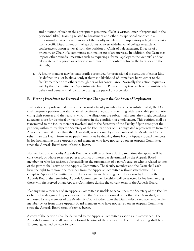and notation of such in the appropriate personnel file(s); a written letter of reprimand in the personnel file(s); training related to harassment and other interpersonal conduct in a professional environment; removal of the faculty member from supervisory role(s); suspension from specific Department or College duties or roles; withdrawal of college research or conference support; removal from the position of Chair of a department, Director of a program, or Chair of a committee; minimal or no salary increase. In addition, the Dean may impose other remedial measures such as requiring a formal apology to the victim(s) and/or taking steps to separate or otherwise minimize future contact between the harasser and the victim(s).

c. A faculty member may be temporarily suspended for professional misconduct of either kind (as defined in a. or b. above) only if there is a likelihood of immediate harm either to the faculty member or to others through her or his continuance. Normally this action requires a vote by the Committee on Appointments, but the President may take such action unilaterally. Salary and benefits shall continue during the period of suspension.

### E. Hearing Procedures for Dismissal or Major Changes in the Condition of Employment

If allegations of professional misconduct against a faculty member have been substantiated, the Dean shall prepare a petition that shall state all pertinent allegations in writing with reasonable particularity, citing their sources and the reasons why, if the allegations are substantially true, they might constitute adequate cause for dismissal or major changes in the condition of employment. This petition shall be transmitted to the faculty member involved and to the Secretary of the Faculty. Upon receipt of the petition, within thirty days the Secretary of the Faculty or her or his designated representative from the Academic Council other than the Dean shall, as witnessed by any member of the Academic Council other than the Dean, form an Appeals Committee by drawing three Faculty Appeals Board members by lot from among those Appeals Board members who have not served on an Appeals Committee since the Appeals Board term of service began.

No member of the Faculty Appeals Board who will be on leave during such time the appeal will be considered, or whose selection poses a conflict of interest as determined by the Appeals Board member, or who has assisted substantially in the preparation of a party's case, or who is related to one of the parties shall serve on the Appeals Committee. The faculty member and the Dean shall each have the right to remove one member from the Appeals Committee without stated cause. If a complete Appeals Committee cannot be formed from those eligible to be drawn by lot from the Appeals Board, the remaining Appeals Committee membership shall be selected by lot from among those who first served on an Appeals Committee during the current term of the Appeals Board.

If at any time a member of an Appeals Committee is unable to serve, then the Secretary of the Faculty or her or his designated representative from the Academic Council other than the Dean shall, as witnessed by any member of the Academic Council other than the Dean, select a replacement faculty member by lot from those Appeals Board members who have not served on an Appeals Committee since the Appeals Board term of service began.

A copy of the petition shall be delivered to the Appeals Committee as soon as it is convened. The Appeals Committee shall conduct a formal hearing of the allegations. The formal hearing shall be a Tribunal governed by what follows.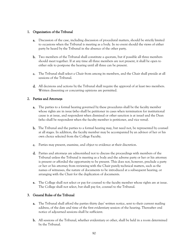## 1. Organization of the Tribunal

- **a.** Discussion of the case, including discussion of procedural matters, should be strictly limited to occasions when the Tribunal is meeting as a body. In no event should the views of either party be heard by the Tribunal in the absence of the other party.
- b. Two members of the Tribunal shall constitute a quorum, but if possible all three members should meet together. If at any time all three members are not present, it shall be open to either side to postpone the hearing until all three can be present.
- c. The Tribunal shall select a Chair from among its members, and the Chair shall preside at all sessions of the Tribunal.
- d. All decisions and actions by the Tribunal shall require the approval of at least two members. Written dissenting or concurring opinions are permitted.

### 2. Parties and Attorneys

- a. The parties to a formal hearing governed by these procedures shall be the faculty member whose rights are in issue (who shall be petitioner in cases when termination for institutional cause is at issue, and respondent when dismissal or other sanction is at issue) and the Dean (who shall be respondent when the faculty member is petitioner, and vice versa).
- b. The Tribunal and the parties to a formal hearing may, but need not, be represented by counsel at all stages. In addition, the faculty member may be accompanied by an advisor of her or his own choice selected from the College Faculty.
- c. Parties may present, examine, and object to evidence at their discretion.
- d. Parties and attorneys are admonished not to discuss the proceedings with members of the Tribunal unless the Tribunal is meeting as a body and the adverse party or her or his attorney is present or afforded the opportunity to be present. This does not, however, preclude a party or her or his attorney from reviewing with the Chair purely technical matters, such as the names of witnesses, the nature of documents to be introduced at a subsequent hearing, or arranging with the Chair for the duplication of documents.
- e. The College shall not select or pay for counsel to the faculty member whose rights are at issue. The College shall not select, but shall pay for, counsel to the Tribunal.

#### 3. General Rules of the Tribunal

- a. The Tribunal shall afford the parties thirty days' written notice, sent to their current mailing address, of the date and time of the first evidentiary session of the hearing. Thereafter oral notice of adjourned sessions shall be sufficient.
- b. All sessions of the Tribunal, whether evidentiary or other, shall be held in a room determined by the Tribunal.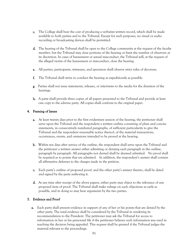- c. The College shall bear the cost of producing a verbatim written record, which shall be made available to both parties and to the Tribunal. Except for such purposes, no visual or audio recording or broadcasting devices shall be permitted.
- d. The hearing of the Tribunal shall be open to the College community at the request of the faculty member, but the Tribunal may close portions of the hearing or limit the number of observers at its discretion. In cases of harassment or sexual misconduct, the Tribunal will, at the request of the alleged victim of the harassment or misconduct, close the hearing.
- e. All parties, participants, witnesses, and spectators shall observe strict rules of decorum.
- f. The Tribunal shall strive to conduct the hearing as expeditiously as possible.
- g. Parties shall not issue statements, releases, or interviews to the media for the duration of the hearings.
- h. A party shall provide three copies of all papers presented to the Tribunal and provide at least one copy to the adverse party. All copies shall conform to the original paper.

## 4. Framing of Issues

- a. At least twenty days prior to the first evidentiary session of the hearing, the petitioner shall serve upon the Tribunal and the respondent a written outline consisting of plain and concise statements, in consecutively numbered paragraphs, of sufficient particularity to give the Tribunal and the respondent reasonable notice thereof, of the material transactions, occurrences, events, and omissions intended to be proved at the hearing.
- b. Within ten days after service of the outline, the respondent shall serve upon the Tribunal and the petitioner a written answer either admitting or denying each paragraph in the outline, paragraph by paragraph. All paragraphs not denied shall be deemed admitted. No proof shall be required as to points that are admitted. In addition, the respondent's answer shall contain all affirmative defenses to the charges made in the petition.
- c. Each party's outline of proposed proof, and the other party's answer thereto, shall be dated and signed by the party authoring it.
- d. At any time after receipt of the above papers, either party may object to the relevance of any proposed item of proof. The Tribunal shall make rulings on such objections as early as possible, and in doing so may hear arguments by the two parties.

#### 5. Evidence and Proof

a. Each party shall present evidence in support of any of her or his points that are denied by the other party. The total evidence shall be considered by the Tribunal in rendering its recommendation to the President. The petitioner may ask the Tribunal for access to information in her or his personnel file if the petitioner believes such information was used in reaching the decision being appealed. This request shall be granted if the Tribunal judges the material relevant to the proceedings.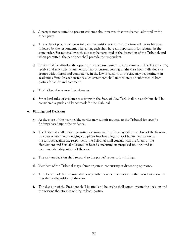- b. A party is not required to present evidence about matters that are deemed admitted by the other party.
- c. The order of proof shall be as follows: the petitioner shall first put forward her or his case, followed by the respondent. Thereafter, each shall have an opportunity for rebuttal in the same order. Sur-rebuttal by each side may be permitted at the discretion of the Tribunal, and when permitted, the petitioner shall precede the respondent.
- d. Parties shall be afforded the opportunity to cross-examine adverse witnesses. The Tribunal may receive and may solicit statements of law or custom bearing on the case from individuals or groups with interest and competence in the law or custom, as the case may be, pertinent in academic affairs. In each instance such statements shall immediately be submitted to both parties for study and comment.
- e. The Tribunal may examine witnesses.
- f. Strict legal rules of evidence as existing in the State of New York shall not apply but shall be considered a guide and benchmark for the Tribunal.

#### 6. Findings and Decisions

- a. At the close of the hearings the parties may submit requests to the Tribunal for specific findings based upon the evidence.
- b. The Tribunal shall render its written decision within thirty days after the close of the hearing. In a case where the underlying complaint involves allegations of harassment or sexual misconduct against the respondent, the Tribunal shall consult with the Chair of the Harassment and Sexual Misconduct Board concerning its proposed findings and its recommended disposition of the case.
- c. The written decision shall respond to the parties' requests for findings.
- d. Members of the Tribunal may submit or join in concurring or dissenting opinions.
- e. The decision of the Tribunal shall carry with it a recommendation to the President about the President's disposition of the case.
- f. The decision of the President shall be final and he or she shall communicate the decision and the reasons therefore in writing to both parties.